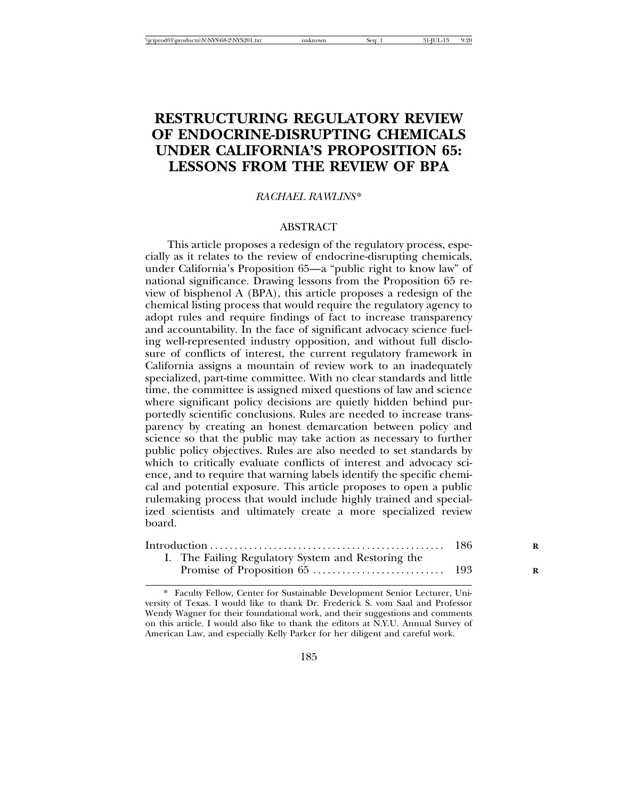# **RESTRUCTURING REGULATORY REVIEW OF ENDOCRINE-DISRUPTING CHEMICALS UNDER CALIFORNIA'S PROPOSITION 65: LESSONS FROM THE REVIEW OF BPA**

## *RACHAEL RAWLINS*\*

## ABSTRACT

This article proposes a redesign of the regulatory process, especially as it relates to the review of endocrine-disrupting chemicals, under California's Proposition 65—a "public right to know law" of national significance. Drawing lessons from the Proposition 65 review of bisphenol A (BPA), this article proposes a redesign of the chemical listing process that would require the regulatory agency to adopt rules and require findings of fact to increase transparency and accountability. In the face of significant advocacy science fueling well-represented industry opposition, and without full disclosure of conflicts of interest, the current regulatory framework in California assigns a mountain of review work to an inadequately specialized, part-time committee. With no clear standards and little time, the committee is assigned mixed questions of law and science where significant policy decisions are quietly hidden behind purportedly scientific conclusions. Rules are needed to increase transparency by creating an honest demarcation between policy and science so that the public may take action as necessary to further public policy objectives. Rules are also needed to set standards by which to critically evaluate conflicts of interest and advocacy science, and to require that warning labels identify the specific chemical and potential exposure. This article proposes to open a public rulemaking process that would include highly trained and specialized scientists and ultimately create a more specialized review board.

|                                                    | R |
|----------------------------------------------------|---|
| I. The Failing Regulatory System and Restoring the |   |
|                                                    | R |

<sup>\*</sup> Faculty Fellow, Center for Sustainable Development Senior Lecturer, University of Texas. I would like to thank Dr. Frederick S. vom Saal and Professor Wendy Wagner for their foundational work, and their suggestions and comments on this article. I would also like to thank the editors at N.Y.U. Annual Survey of American Law, and especially Kelly Parker for her diligent and careful work.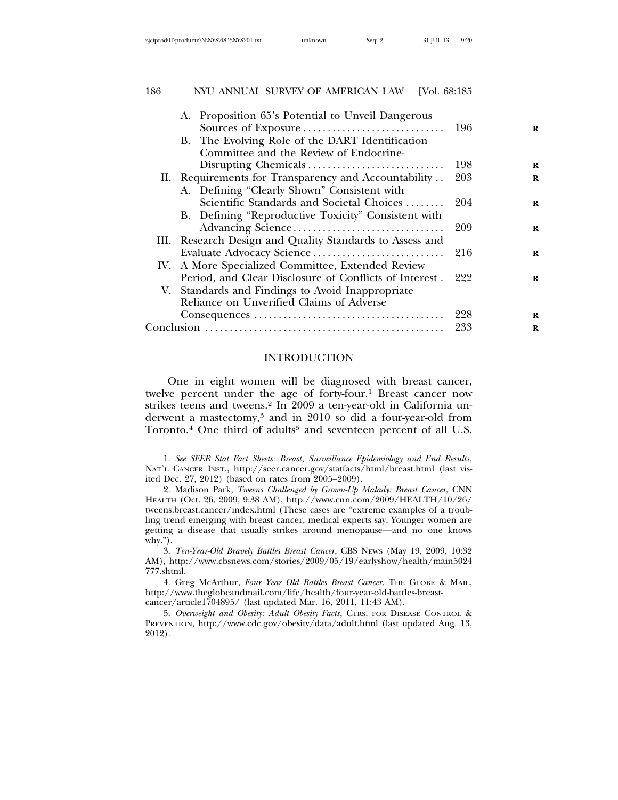| A. Proposition 65's Potential to Unveil Dangerous        |      |             |
|----------------------------------------------------------|------|-------------|
|                                                          | -196 | R           |
| B. The Evolving Role of the DART Identification          |      |             |
| Committee and the Review of Endocrine-                   |      |             |
|                                                          | 198  | R           |
| II. Requirements for Transparency and Accountability     | 203  | R           |
| A. Defining "Clearly Shown" Consistent with              |      |             |
| Scientific Standards and Societal Choices                | 204  | R           |
| B. Defining "Reproductive Toxicity" Consistent with      |      |             |
|                                                          | 209  | R           |
| III. Research Design and Quality Standards to Assess and |      |             |
| Evaluate Advocacy Science                                | 216  | $\mathbf R$ |
| IV. A More Specialized Committee, Extended Review        |      |             |
| Period, and Clear Disclosure of Conflicts of Interest.   | 222  | R           |
| V. Standards and Findings to Avoid Inappropriate         |      |             |
| Reliance on Unverified Claims of Adverse                 |      |             |
|                                                          | 228  | R           |
|                                                          | 233  | R           |
|                                                          |      |             |

## INTRODUCTION

One in eight women will be diagnosed with breast cancer, twelve percent under the age of forty-four.<sup>1</sup> Breast cancer now strikes teens and tweens.2 In 2009 a ten-year-old in California underwent a mastectomy,<sup>3</sup> and in 2010 so did a four-year-old from Toronto.<sup>4</sup> One third of adults<sup>5</sup> and seventeen percent of all U.S.

<sup>1.</sup> *See SEER Stat Fact Sheets: Breast*, *Surveillance Epidemiology and End Results*, NAT'L CANCER INST., http://seer.cancer.gov/statfacts/html/breast.html (last visited Dec. 27, 2012) (based on rates from 2005–2009).

<sup>2.</sup> Madison Park, *Tweens Challenged by Grown-Up Malady: Breast Cancer*, CNN HEALTH (Oct. 26, 2009, 9:38 AM), http://www.cnn.com/2009/HEALTH/10/26/ tweens.breast.cancer/index.html (These cases are "extreme examples of a troubling trend emerging with breast cancer, medical experts say. Younger women are getting a disease that usually strikes around menopause—and no one knows why.").

<sup>3.</sup> *Ten-Year-Old Bravely Battles Breast Cancer*, CBS NEWS (May 19, 2009, 10:32 AM), http://www.cbsnews.com/stories/2009/05/19/earlyshow/health/main5024 777.shtml.

<sup>4.</sup> Greg McArthur, *Four Year Old Battles Breast Cancer*, THE GLOBE & MAIL, http://www.theglobeandmail.com/life/health/four-year-old-battles-breastcancer/article1704895/ (last updated Mar. 16, 2011, 11:43 AM).

<sup>5.</sup> *Overweight and Obesity: Adult Obesity Facts*, CTRS. FOR DISEASE CONTROL & PREVENTION, http://www.cdc.gov/obesity/data/adult.html (last updated Aug. 13,

<sup>2012).</sup>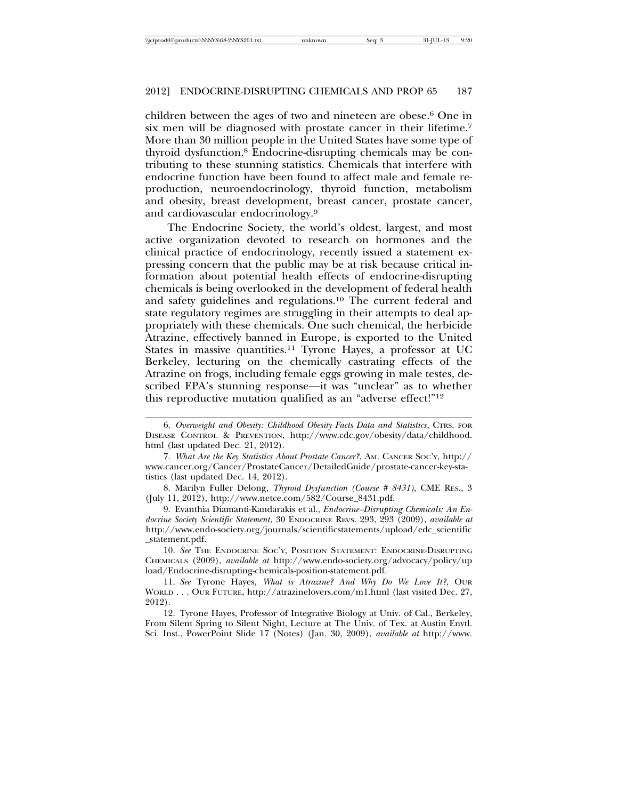| \\iciprod01\productn\N\NYS\68-2\NYS201.txt | Sea: | "ا-تا∪⊢.  | 9.90 |
|--------------------------------------------|------|-----------|------|
| unknown                                    |      | 3 I - I I |      |

children between the ages of two and nineteen are obese.6 One in six men will be diagnosed with prostate cancer in their lifetime.7 More than 30 million people in the United States have some type of thyroid dysfunction.8 Endocrine-disrupting chemicals may be contributing to these stunning statistics. Chemicals that interfere with endocrine function have been found to affect male and female reproduction, neuroendocrinology, thyroid function, metabolism and obesity, breast development, breast cancer, prostate cancer, and cardiovascular endocrinology.9

The Endocrine Society, the world's oldest, largest, and most active organization devoted to research on hormones and the clinical practice of endocrinology, recently issued a statement expressing concern that the public may be at risk because critical information about potential health effects of endocrine-disrupting chemicals is being overlooked in the development of federal health and safety guidelines and regulations.10 The current federal and state regulatory regimes are struggling in their attempts to deal appropriately with these chemicals. One such chemical, the herbicide Atrazine, effectively banned in Europe, is exported to the United States in massive quantities.11 Tyrone Hayes, a professor at UC Berkeley, lecturing on the chemically castrating effects of the Atrazine on frogs, including female eggs growing in male testes, described EPA's stunning response—it was "unclear" as to whether this reproductive mutation qualified as an "adverse effect!"12

8. Marilyn Fuller Delong, *Thyroid Dysfunction (Course # 8431)*, CME RES., 3 (July 11, 2012), http://www.netce.com/582/Course\_8431.pdf.

9. Evanthia Diamanti-Kandarakis et al., *Endocrine–Disrupting Chemicals: An Endocrine Society Scientific Statement*, 30 ENDOCRINE REVS. 293, 293 (2009), *available at* http://www.endo-society.org/journals/scientificstatements/upload/edc\_scientific \_statement.pdf.

10. *See* THE ENDOCRINE SOC'Y, POSITION STATEMENT: ENDOCRINE-DISRUPTING CHEMICALS (2009), *available at* http://www.endo-society.org/advocacy/policy/up load/Endocrine-disrupting-chemicals-position-statement.pdf.

11. *See* Tyrone Hayes, *What is Atrazine? And Why Do We Love It?*, OUR WORLD . . . OUR FUTURE, http://atrazinelovers.com/m1.html (last visited Dec. 27, 2012).

12. Tyrone Hayes, Professor of Integrative Biology at Univ. of Cal., Berkeley, From Silent Spring to Silent Night, Lecture at The Univ. of Tex. at Austin Envtl. Sci. Inst., PowerPoint Slide 17 (Notes) (Jan. 30, 2009), *available at* http://www.

<sup>6.</sup> *Overweight and Obesity: Childhood Obesity Facts Data and Statistics*, CTRS. FOR DISEASE CONTROL & PREVENTION, http://www.cdc.gov/obesity/data/childhood. html (last updated Dec. 21, 2012).

<sup>7.</sup> *What Are the Key Statistics About Prostate Cancer?*, AM. CANCER SOC'Y, http:// www.cancer.org/Cancer/ProstateCancer/DetailedGuide/prostate-cancer-key-statistics (last updated Dec. 14, 2012).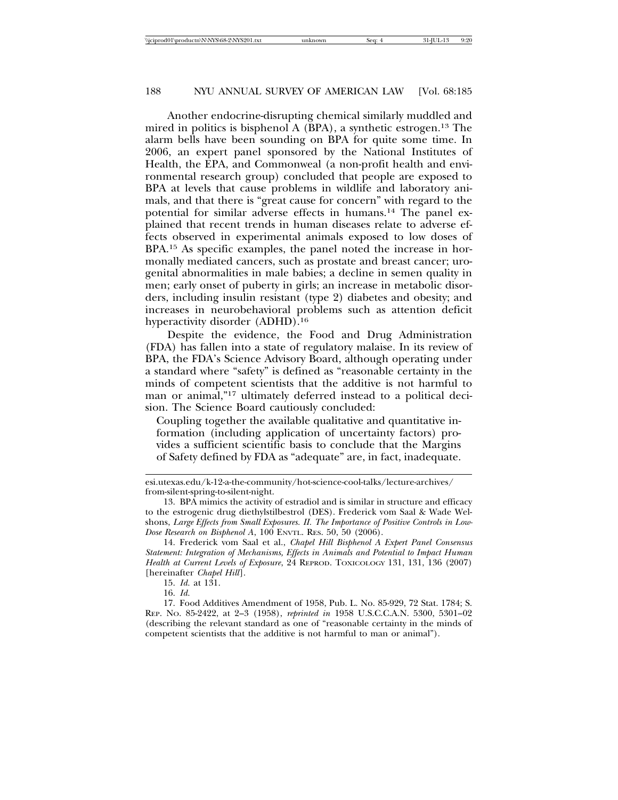Another endocrine-disrupting chemical similarly muddled and mired in politics is bisphenol A (BPA), a synthetic estrogen.13 The alarm bells have been sounding on BPA for quite some time. In 2006, an expert panel sponsored by the National Institutes of Health, the EPA, and Commonweal (a non-profit health and environmental research group) concluded that people are exposed to BPA at levels that cause problems in wildlife and laboratory animals, and that there is "great cause for concern" with regard to the potential for similar adverse effects in humans.14 The panel explained that recent trends in human diseases relate to adverse effects observed in experimental animals exposed to low doses of BPA.15 As specific examples, the panel noted the increase in hormonally mediated cancers, such as prostate and breast cancer; urogenital abnormalities in male babies; a decline in semen quality in men; early onset of puberty in girls; an increase in metabolic disorders, including insulin resistant (type 2) diabetes and obesity; and increases in neurobehavioral problems such as attention deficit hyperactivity disorder (ADHD).<sup>16</sup>

Despite the evidence, the Food and Drug Administration (FDA) has fallen into a state of regulatory malaise. In its review of BPA, the FDA's Science Advisory Board, although operating under a standard where "safety" is defined as "reasonable certainty in the minds of competent scientists that the additive is not harmful to man or animal,"17 ultimately deferred instead to a political decision. The Science Board cautiously concluded:

Coupling together the available qualitative and quantitative information (including application of uncertainty factors) provides a sufficient scientific basis to conclude that the Margins of Safety defined by FDA as "adequate" are, in fact, inadequate.

esi.utexas.edu/k-12-a-the-community/hot-science-cool-talks/lecture-archives/ from-silent-spring-to-silent-night.

<sup>13.</sup> BPA mimics the activity of estradiol and is similar in structure and efficacy to the estrogenic drug diethylstilbestrol (DES). Frederick vom Saal & Wade Welshons, *Large Effects from Small Exposures. II. The Importance of Positive Controls in Low-Dose Research on Bisphenol A*, 100 ENVTL. RES. 50, 50 (2006).

<sup>14.</sup> Frederick vom Saal et al., *Chapel Hill Bisphenol A Expert Panel Consensus Statement: Integration of Mechanisms, Effects in Animals and Potential to Impact Human Health at Current Levels of Exposure*, 24 REPROD. TOXICOLOGY 131, 131, 136 (2007) [hereinafter *Chapel Hill*].

<sup>15.</sup> *Id.* at 131.

<sup>16.</sup> *Id.*

<sup>17.</sup> Food Additives Amendment of 1958, Pub. L. No. 85-929, 72 Stat. 1784; S. REP. NO. 85-2422, at 2–3 (1958), *reprinted in* 1958 U.S.C.C.A.N. 5300, 5301–02 (describing the relevant standard as one of "reasonable certainty in the minds of competent scientists that the additive is not harmful to man or animal").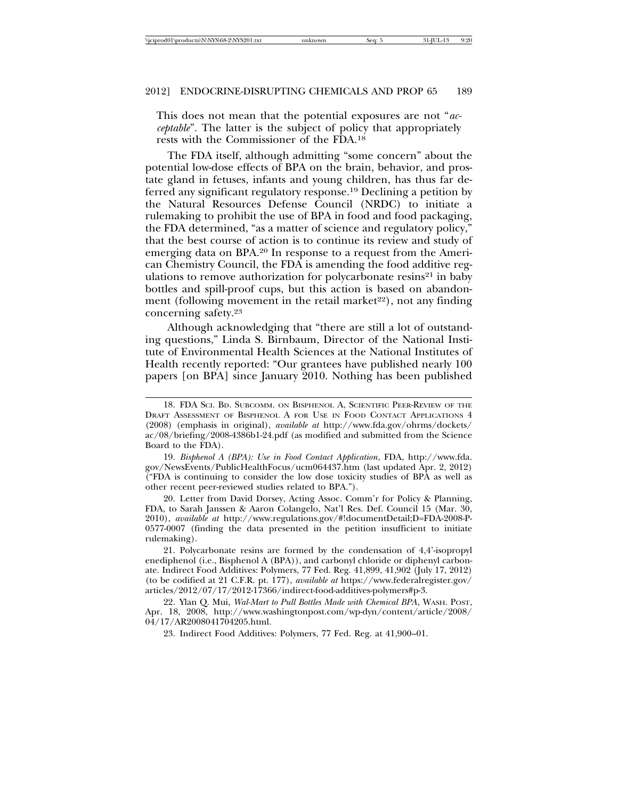This does not mean that the potential exposures are not "*acceptable*". The latter is the subject of policy that appropriately rests with the Commissioner of the FDA.18

The FDA itself, although admitting "some concern" about the potential low-dose effects of BPA on the brain, behavior, and prostate gland in fetuses, infants and young children, has thus far deferred any significant regulatory response.19 Declining a petition by the Natural Resources Defense Council (NRDC) to initiate a rulemaking to prohibit the use of BPA in food and food packaging, the FDA determined, "as a matter of science and regulatory policy," that the best course of action is to continue its review and study of emerging data on BPA.20 In response to a request from the American Chemistry Council, the FDA is amending the food additive regulations to remove authorization for polycarbonate resins<sup>21</sup> in baby bottles and spill-proof cups, but this action is based on abandonment (following movement in the retail market<sup>22</sup>), not any finding concerning safety.23

Although acknowledging that "there are still a lot of outstanding questions," Linda S. Birnbaum, Director of the National Institute of Environmental Health Sciences at the National Institutes of Health recently reported: "Our grantees have published nearly 100 papers [on BPA] since January 2010. Nothing has been published

20. Letter from David Dorsey, Acting Assoc. Comm'r for Policy & Planning, FDA, to Sarah Janssen & Aaron Colangelo, Nat'l Res. Def. Council 15 (Mar. 30, 2010), *available at* http://www.regulations.gov/#!documentDetail;D=FDA-2008-P-0577-0007 (finding the data presented in the petition insufficient to initiate rulemaking).

21. Polycarbonate resins are formed by the condensation of 4,4'-isopropyl enediphenol (i.e., Bisphenol A (BPA)), and carbonyl chloride or diphenyl carbonate. Indirect Food Additives: Polymers, 77 Fed. Reg. 41,899, 41,902 (July 17, 2012) (to be codified at 21 C.F.R. pt. 177), *available at* https://www.federalregister.gov/ articles/2012/07/17/2012-17366/indirect-food-additives-polymers#p-3.

22. Ylan Q. Mui, *Wal-Mart to Pull Bottles Made with Chemical BPA*, WASH. POST, Apr. 18, 2008, http://www.washingtonpost.com/wp-dyn/content/article/2008/ 04/17/AR2008041704205.html.

23. Indirect Food Additives: Polymers, 77 Fed. Reg. at 41,900–01.

<sup>18.</sup> FDA SCI. BD. SUBCOMM. ON BISPHENOL A, SCIENTIFIC PEER-REVIEW OF THE DRAFT ASSESSMENT OF BISPHENOL A FOR USE IN FOOD CONTACT APPLICATIONS 4 (2008) (emphasis in original), *available at* http://www.fda.gov/ohrms/dockets/ ac/08/briefing/2008-4386b1-24.pdf (as modified and submitted from the Science Board to the FDA).

<sup>19.</sup> *Bisphenol A (BPA): Use in Food Contact Application*, FDA, http://www.fda. gov/NewsEvents/PublicHealthFocus/ucm064437.htm (last updated Apr. 2, 2012) ("FDA is continuing to consider the low dose toxicity studies of BPA as well as other recent peer-reviewed studies related to BPA.").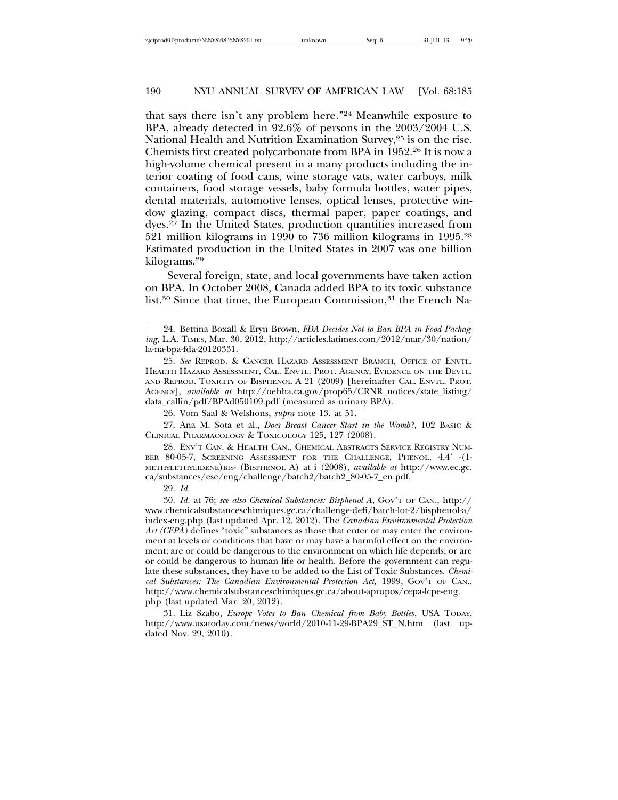that says there isn't any problem here*.*"24 Meanwhile exposure to BPA, already detected in 92.6% of persons in the 2003/2004 U.S. National Health and Nutrition Examination Survey,25 is on the rise. Chemists first created polycarbonate from BPA in 1952.26 It is now a high-volume chemical present in a many products including the interior coating of food cans, wine storage vats, water carboys, milk containers, food storage vessels, baby formula bottles, water pipes, dental materials, automotive lenses, optical lenses, protective window glazing, compact discs, thermal paper, paper coatings, and dyes.27 In the United States, production quantities increased from 521 million kilograms in 1990 to 736 million kilograms in 1995.28 Estimated production in the United States in 2007 was one billion kilograms.29

Several foreign, state, and local governments have taken action on BPA. In October 2008, Canada added BPA to its toxic substance list.<sup>30</sup> Since that time, the European Commission,<sup>31</sup> the French Na-

25. *See* REPROD. & CANCER HAZARD ASSESSMENT BRANCH, OFFICE OF ENVTL. HEALTH HAZARD ASSESSMENT, CAL. ENVTL. PROT. AGENCY, EVIDENCE ON THE DEVTL. AND REPROD. TOXICITY OF BISPHENOL A 21 (2009) [hereinafter CAL. ENVTL. PROT. AGENCY], *available at* http://oehha.ca.gov/prop65/CRNR\_notices/state\_listing/ data\_callin/pdf/BPAd050109.pdf (measured as urinary BPA).

26. Vom Saal & Welshons, *supra* note 13, at 51.

27. Ana M. Sota et al., *Does Breast Cancer Start in the Womb?*, 102 BASIC & CLINICAL PHARMACOLOGY & TOXICOLOGY 125, 127 (2008).

28. ENV'T CAN. & HEALTH CAN., CHEMICAL ABSTRACTS SERVICE REGISTRY NUM-BER 80-05-7, SCREENING ASSESSMENT FOR THE CHALLENGE, PHENOL, 4,4' -(1- METHYLETHYLIDENE)BIS- (BISPHENOL A) at i (2008), *available at* http://www.ec.gc. ca/substances/ese/eng/challenge/batch2/batch2\_80-05-7\_en.pdf.

29. *Id.*

30. *Id.* at 76; *see also Chemical Substances: Bisphenol A*, GOV'T OF CAN., http:// www.chemicalsubstanceschimiques.gc.ca/challenge-defi/batch-lot-2/bisphenol-a/ index-eng.php (last updated Apr. 12, 2012). The *Canadian Environmental Protection Act (CEPA)* defines "toxic" substances as those that enter or may enter the environment at levels or conditions that have or may have a harmful effect on the environment; are or could be dangerous to the environment on which life depends; or are or could be dangerous to human life or health. Before the government can regulate these substances, they have to be added to the List of Toxic Substances. *Chemical Substances: The Canadian Environmental Protection Act,* 1999, GOV'T OF CAN., http://www.chemicalsubstanceschimiques.gc.ca/about-apropos/cepa-lcpe-eng. php (last updated Mar. 20, 2012).

31. Liz Szabo, *Europe Votes to Ban Chemical from Baby Bottles*, USA TODAY, http://www.usatoday.com/news/world/2010-11-29-BPA29\_ST\_N.htm (last updated Nov. 29, 2010).

<sup>24.</sup> Bettina Boxall & Eryn Brown, *FDA Decides Not to Ban BPA in Food Packaging*, L.A. TIMES, Mar. 30, 2012, http://articles.latimes.com/2012/mar/30/nation/ la-na-bpa-fda-20120331.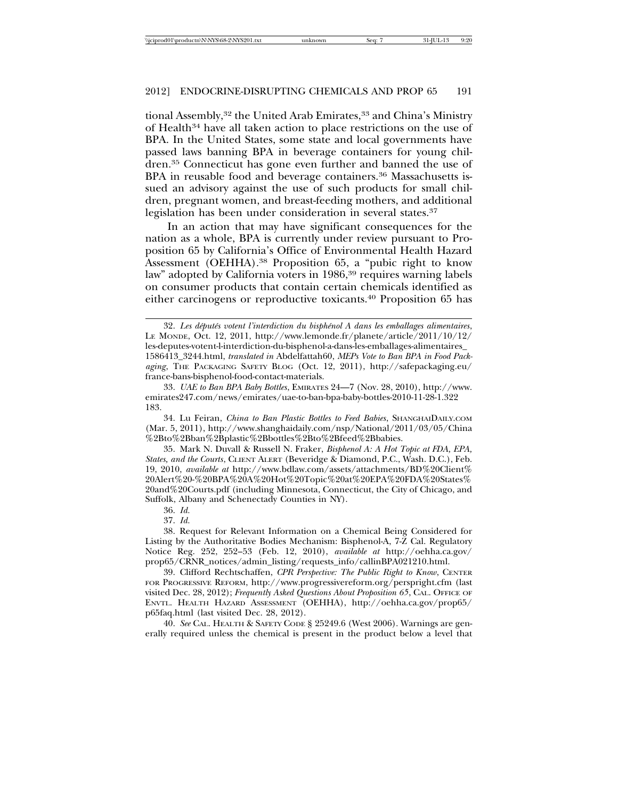tional Assembly,<sup>32</sup> the United Arab Emirates,<sup>33</sup> and China's Ministry of Health34 have all taken action to place restrictions on the use of BPA. In the United States, some state and local governments have passed laws banning BPA in beverage containers for young children.35 Connecticut has gone even further and banned the use of BPA in reusable food and beverage containers.<sup>36</sup> Massachusetts issued an advisory against the use of such products for small children, pregnant women, and breast-feeding mothers, and additional legislation has been under consideration in several states.<sup>37</sup>

In an action that may have significant consequences for the nation as a whole, BPA is currently under review pursuant to Proposition 65 by California's Office of Environmental Health Hazard Assessment (OEHHA).38 Proposition 65, a "pubic right to know law" adopted by California voters in 1986,<sup>39</sup> requires warning labels on consumer products that contain certain chemicals identified as either carcinogens or reproductive toxicants.40 Proposition 65 has

34. Lu Feiran, *China to Ban Plastic Bottles to Feed Babies*, SHANGHAIDAILY.COM (Mar. 5, 2011), http://www.shanghaidaily.com/nsp/National/2011/03/05/China %2Bto%2Bban%2Bplastic%2Bbottles%2Bto%2Bfeed%2Bbabies.

35. Mark N. Duvall & Russell N. Fraker, *Bisphenol A: A Hot Topic at FDA, EPA, States, and the Courts*, CLIENT ALERT (Beveridge & Diamond, P.C., Wash. D.C.), Feb. 19, 2010, *available at* http://www.bdlaw.com/assets/attachments/BD%20Client% 20Alert%20-%20BPA%20A%20Hot%20Topic%20at%20EPA%20FDA%20States% 20and%20Courts.pdf (including Minnesota, Connecticut, the City of Chicago, and Suffolk, Albany and Schenectady Counties in NY).

40. *See* CAL. HEALTH & SAFETY CODE § 25249.6 (West 2006). Warnings are generally required unless the chemical is present in the product below a level that

<sup>32.</sup> Les députés votent l'interdiction du bisphénol A dans les emballages alimentaires, LE MONDE, Oct. 12, 2011, http://www.lemonde.fr/planete/article/2011/10/12/ les-deputes-votent-l-interdiction-du-bisphenol-a-dans-les-emballages-alimentaires\_ 1586413\_3244.html, *translated in* Abdelfattah60, *MEPs Vote to Ban BPA in Food Packaging*, THE PACKAGING SAFETY BLOG (Oct. 12, 2011), http://safepackaging.eu/ france-bans-bisphenol-food-contact-materials.

<sup>33.</sup> *UAE to Ban BPA Baby Bottles*, EMIRATES 24—7 (Nov. 28, 2010), http://www. emirates247.com/news/emirates/uae-to-ban-bpa-baby-bottles-2010-11-28-1.322 183.

<sup>36.</sup> *Id.*

<sup>37.</sup> *Id.*

<sup>38.</sup> Request for Relevant Information on a Chemical Being Considered for Listing by the Authoritative Bodies Mechanism: Bisphenol-A, 7-Z Cal. Regulatory Notice Reg. 252, 252–53 (Feb. 12, 2010), *available at* http://oehha.ca.gov/ prop65/CRNR\_notices/admin\_listing/requests\_info/callinBPA021210.html.

<sup>39.</sup> Clifford Rechtschaffen, *CPR Perspective: The Public Right to Know*, CENTER FOR PROGRESSIVE REFORM, http://www.progressivereform.org/perspright.cfm (last visited Dec. 28, 2012); *Frequently Asked Questions About Proposition 65*, CAL. OFFICE OF ENVTL. HEALTH HAZARD ASSESSMENT (OEHHA), http://oehha.ca.gov/prop65/ p65faq.html (last visited Dec. 28, 2012).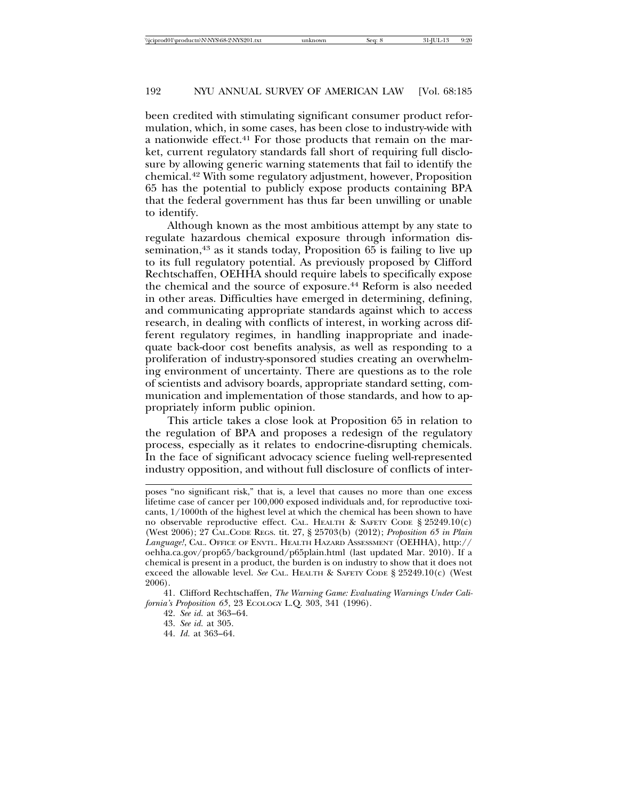been credited with stimulating significant consumer product reformulation, which, in some cases, has been close to industry-wide with a nationwide effect.41 For those products that remain on the market, current regulatory standards fall short of requiring full disclosure by allowing generic warning statements that fail to identify the chemical.42 With some regulatory adjustment, however, Proposition 65 has the potential to publicly expose products containing BPA that the federal government has thus far been unwilling or unable to identify.

Although known as the most ambitious attempt by any state to regulate hazardous chemical exposure through information dissemination,<sup>43</sup> as it stands today, Proposition 65 is failing to live up to its full regulatory potential. As previously proposed by Clifford Rechtschaffen, OEHHA should require labels to specifically expose the chemical and the source of exposure.44 Reform is also needed in other areas. Difficulties have emerged in determining, defining, and communicating appropriate standards against which to access research, in dealing with conflicts of interest, in working across different regulatory regimes, in handling inappropriate and inadequate back-door cost benefits analysis, as well as responding to a proliferation of industry-sponsored studies creating an overwhelming environment of uncertainty. There are questions as to the role of scientists and advisory boards, appropriate standard setting, communication and implementation of those standards, and how to appropriately inform public opinion.

This article takes a close look at Proposition 65 in relation to the regulation of BPA and proposes a redesign of the regulatory process, especially as it relates to endocrine-disrupting chemicals. In the face of significant advocacy science fueling well-represented industry opposition, and without full disclosure of conflicts of inter-

41. Clifford Rechtschaffen, *The Warning Game: Evaluating Warnings Under California's Proposition 65*, 23 ECOLOGY L.Q. 303, 341 (1996).

44. *Id.* at 363–64.

poses "no significant risk," that is, a level that causes no more than one excess lifetime case of cancer per 100,000 exposed individuals and, for reproductive toxicants, 1/1000th of the highest level at which the chemical has been shown to have no observable reproductive effect. CAL. HEALTH & SAFETY CODE § 25249.10(c) (West 2006); 27 CAL.CODE REGS. tit. 27, § 25703(b) (2012); *Proposition 65 in Plain Language!*, CAL. OFFICE OF ENVTL. HEALTH HAZARD ASSESSMENT (OEHHA), http:// oehha.ca.gov/prop65/background/p65plain.html (last updated Mar. 2010). If a chemical is present in a product, the burden is on industry to show that it does not exceed the allowable level. *See* CAL. HEALTH & SAFETY CODE § 25249.10(c) (West 2006).

<sup>42.</sup> *See id.* at 363–64.

<sup>43.</sup> *See id.* at 305.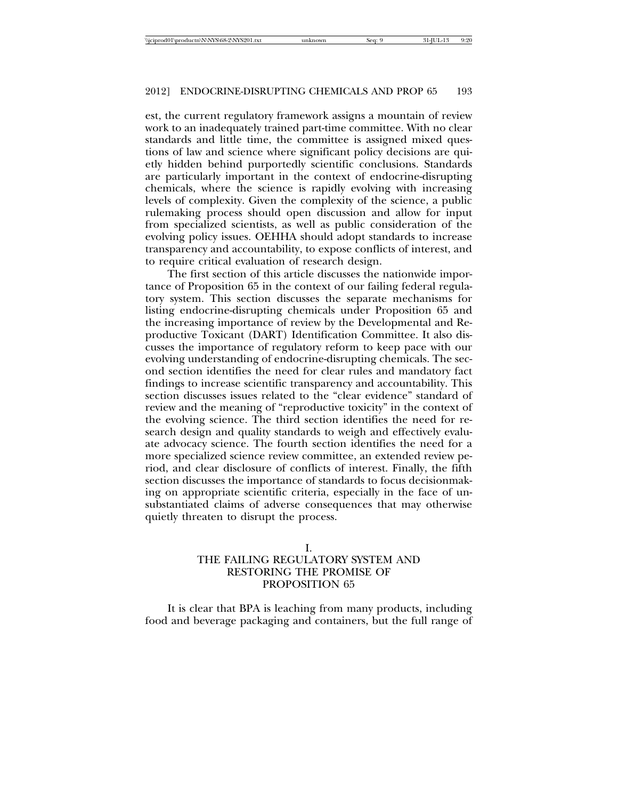|  | \\iciprod01\productn\N\NYS\68-2\NYS201.txt | unknown | Sea: | 31-JUL-13 | 9.90<br>, <u>.</u> |
|--|--------------------------------------------|---------|------|-----------|--------------------|
|--|--------------------------------------------|---------|------|-----------|--------------------|

est, the current regulatory framework assigns a mountain of review work to an inadequately trained part-time committee. With no clear standards and little time, the committee is assigned mixed questions of law and science where significant policy decisions are quietly hidden behind purportedly scientific conclusions. Standards are particularly important in the context of endocrine-disrupting chemicals, where the science is rapidly evolving with increasing levels of complexity. Given the complexity of the science, a public rulemaking process should open discussion and allow for input from specialized scientists, as well as public consideration of the evolving policy issues. OEHHA should adopt standards to increase transparency and accountability, to expose conflicts of interest, and to require critical evaluation of research design.

The first section of this article discusses the nationwide importance of Proposition 65 in the context of our failing federal regulatory system. This section discusses the separate mechanisms for listing endocrine-disrupting chemicals under Proposition 65 and the increasing importance of review by the Developmental and Reproductive Toxicant (DART) Identification Committee. It also discusses the importance of regulatory reform to keep pace with our evolving understanding of endocrine-disrupting chemicals. The second section identifies the need for clear rules and mandatory fact findings to increase scientific transparency and accountability. This section discusses issues related to the "clear evidence" standard of review and the meaning of "reproductive toxicity" in the context of the evolving science. The third section identifies the need for research design and quality standards to weigh and effectively evaluate advocacy science. The fourth section identifies the need for a more specialized science review committee, an extended review period, and clear disclosure of conflicts of interest. Finally, the fifth section discusses the importance of standards to focus decisionmaking on appropriate scientific criteria, especially in the face of unsubstantiated claims of adverse consequences that may otherwise quietly threaten to disrupt the process.

#### I.

## THE FAILING REGULATORY SYSTEM AND RESTORING THE PROMISE OF PROPOSITION 65

It is clear that BPA is leaching from many products, including food and beverage packaging and containers, but the full range of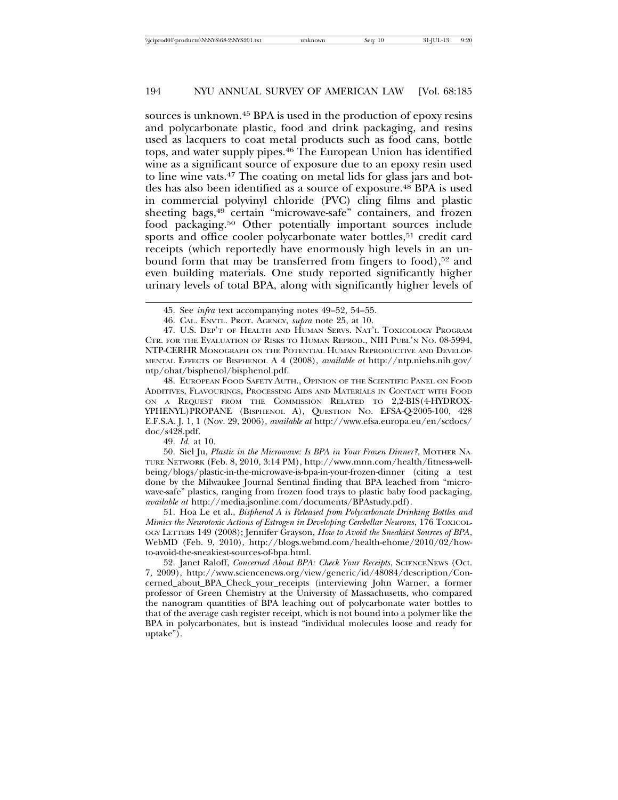sources is unknown.45 BPA is used in the production of epoxy resins and polycarbonate plastic, food and drink packaging, and resins used as lacquers to coat metal products such as food cans, bottle tops, and water supply pipes.46 The European Union has identified wine as a significant source of exposure due to an epoxy resin used to line wine vats.47 The coating on metal lids for glass jars and bottles has also been identified as a source of exposure.48 BPA is used in commercial polyvinyl chloride (PVC) cling films and plastic sheeting bags,<sup>49</sup> certain "microwave-safe" containers, and frozen food packaging.50 Other potentially important sources include sports and office cooler polycarbonate water bottles,<sup>51</sup> credit card receipts (which reportedly have enormously high levels in an unbound form that may be transferred from fingers to food),<sup>52</sup> and even building materials. One study reported significantly higher urinary levels of total BPA, along with significantly higher levels of

48. EUROPEAN FOOD SAFETY AUTH., OPINION OF THE SCIENTIFIC PANEL ON FOOD ADDITIVES, FLAVOURINGS, PROCESSING AIDS AND MATERIALS IN CONTACT WITH FOOD ON A REQUEST FROM THE COMMISSION RELATED TO 2,2-BIS(4-HYDROX-YPHENYL)PROPANE (BISPHENOL A), QUESTION NO. EFSA-Q-2005-100, 428 E.F.S.A. J. 1, 1 (Nov. 29, 2006), *available at* http://www.efsa.europa.eu/en/scdocs/ doc/s428.pdf.

49. *Id.* at 10.

50. Siel Ju, *Plastic in the Microwave: Is BPA in Your Frozen Dinner?*, MOTHER NA-TURE NETWORK (Feb. 8, 2010, 3:14 PM), http://www.mnn.com/health/fitness-wellbeing/blogs/plastic-in-the-microwave-is-bpa-in-your-frozen-dinner (citing a test done by the Milwaukee Journal Sentinal finding that BPA leached from "microwave-safe" plastics, ranging from frozen food trays to plastic baby food packaging, *available at* http://media.jsonline.com/documents/BPAstudy.pdf).

51. Hoa Le et al., *Bisphenol A is Released from Polycarbonate Drinking Bottles and Mimics the Neurotoxic Actions of Estrogen in Developing Cerebellar Neurons*, 176 TOXICOL-OGY LETTERS 149 (2008); Jennifer Grayson, *How to Avoid the Sneakiest Sources of BPA*, WebMD (Feb. 9, 2010), http://blogs.webmd.com/health-ehome/2010/02/howto-avoid-the-sneakiest-sources-of-bpa.html.

52. Janet Raloff, *Concerned About BPA: Check Your Receipts*, SCIENCENEWS (Oct. 7, 2009), http://www.sciencenews.org/view/generic/id/48084/description/Concerned\_about\_BPA\_Check\_your\_receipts (interviewing John Warner, a former professor of Green Chemistry at the University of Massachusetts, who compared the nanogram quantities of BPA leaching out of polycarbonate water bottles to that of the average cash register receipt, which is not bound into a polymer like the BPA in polycarbonates, but is instead "individual molecules loose and ready for uptake").

<sup>45.</sup> See *infra* text accompanying notes 49–52, 54–55.

<sup>46.</sup> CAL. ENVTL. PROT. AGENCY, *supra* note 25, at 10.

<sup>47.</sup> U.S. DEP'T OF HEALTH AND HUMAN SERVS. NAT'L TOXICOLOGY PROGRAM CTR. FOR THE EVALUATION OF RISKS TO HUMAN REPROD., NIH PUBL'N NO. 08-5994, NTP-CERHR MONOGRAPH ON THE POTENTIAL HUMAN REPRODUCTIVE AND DEVELOP-MENTAL EFFECTS OF BISPHENOL A 4 (2008), *available at* http://ntp.niehs.nih.gov/ ntp/ohat/bisphenol/bisphenol.pdf.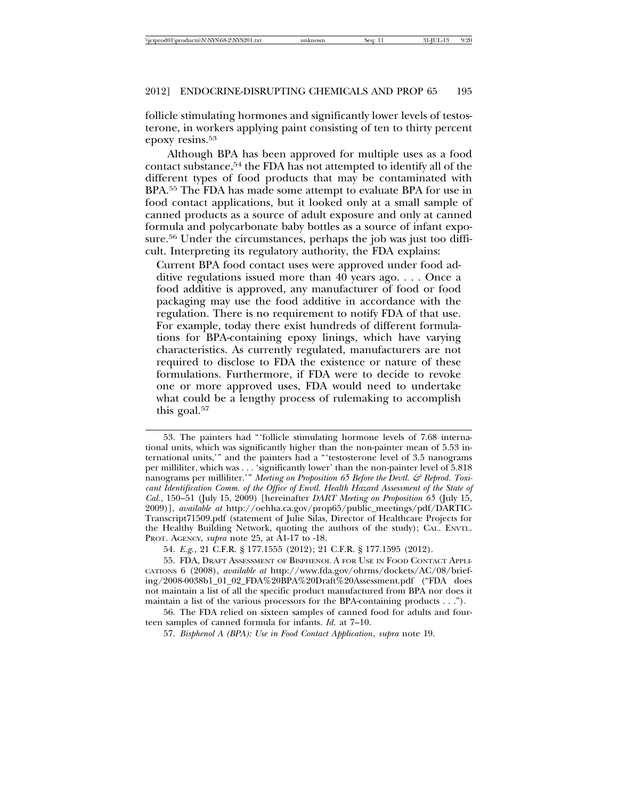follicle stimulating hormones and significantly lower levels of testosterone, in workers applying paint consisting of ten to thirty percent epoxy resins.53

Although BPA has been approved for multiple uses as a food contact substance,<sup>54</sup> the FDA has not attempted to identify all of the different types of food products that may be contaminated with BPA.55 The FDA has made some attempt to evaluate BPA for use in food contact applications, but it looked only at a small sample of canned products as a source of adult exposure and only at canned formula and polycarbonate baby bottles as a source of infant exposure.56 Under the circumstances, perhaps the job was just too difficult. Interpreting its regulatory authority, the FDA explains:

Current BPA food contact uses were approved under food additive regulations issued more than 40 years ago. . . . Once a food additive is approved, any manufacturer of food or food packaging may use the food additive in accordance with the regulation. There is no requirement to notify FDA of that use. For example, today there exist hundreds of different formulations for BPA-containing epoxy linings, which have varying characteristics. As currently regulated, manufacturers are not required to disclose to FDA the existence or nature of these formulations. Furthermore, if FDA were to decide to revoke one or more approved uses, FDA would need to undertake what could be a lengthy process of rulemaking to accomplish this goal.<sup>57</sup>

57. *Bisphenol A (BPA): Use in Food Contact Application*, *supra* note 19.

<sup>53.</sup> The painters had "'follicle stimulating hormone levels of 7.68 international units, which was significantly higher than the non-painter mean of 5.53 international units,'" and the painters had a "'testosterone level of 3.5 nanograms per milliliter, which was . . . 'significantly lower' than the non-painter level of 5.818 nanograms per milliliter.'" Meeting on Proposition 65 Before the Devtl. & Reprod. Toxi*cant Identification Comm. of the Office of Envtl. Health Hazard Assessment of the State of Cal.*, 150–51 (July 15, 2009) [hereinafter *DART Meeting on Proposition 65* (July 15, 2009)], *available at* http://oehha.ca.gov/prop65/public\_meetings/pdf/DARTIC-Transcript71509.pdf (statement of Julie Silas, Director of Healthcare Projects for the Healthy Building Network, quoting the authors of the study); CAL. ENVTL. PROT. AGENCY, *supra* note 25, at A1-17 to -18.

<sup>54.</sup> *E.g.*, 21 C.F.R. § 177.1555 (2012); 21 C.F.R. § 177.1595 (2012).

<sup>55.</sup> FDA, DRAFT ASSESSMENT OF BISPHENOL A FOR USE IN FOOD CONTACT APPLI-CATIONS 6 (2008), *available at* http://www.fda.gov/ohrms/dockets/AC/08/briefing/2008-0038b1\_01\_02\_FDA%20BPA%20Draft%20Assessment.pdf ("FDA does not maintain a list of all the specific product manufactured from BPA nor does it maintain a list of the various processors for the BPA-containing products . . .").

<sup>56.</sup> The FDA relied on sixteen samples of canned food for adults and fourteen samples of canned formula for infants. *Id.* at 7–10.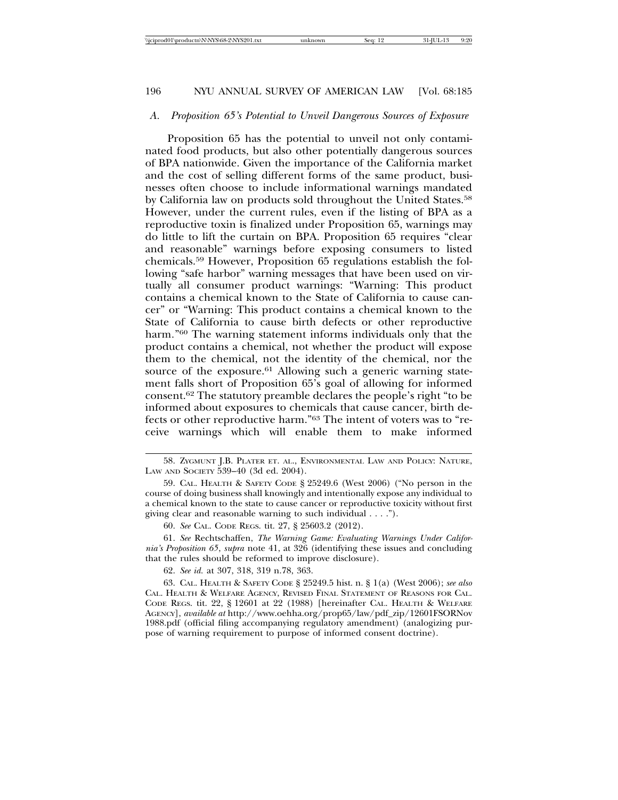### *A. Proposition 65's Potential to Unveil Dangerous Sources of Exposure*

Proposition 65 has the potential to unveil not only contaminated food products, but also other potentially dangerous sources of BPA nationwide. Given the importance of the California market and the cost of selling different forms of the same product, businesses often choose to include informational warnings mandated by California law on products sold throughout the United States.<sup>58</sup> However, under the current rules, even if the listing of BPA as a reproductive toxin is finalized under Proposition 65, warnings may do little to lift the curtain on BPA. Proposition 65 requires "clear and reasonable" warnings before exposing consumers to listed chemicals.59 However, Proposition 65 regulations establish the following "safe harbor" warning messages that have been used on virtually all consumer product warnings: "Warning: This product contains a chemical known to the State of California to cause cancer" or "Warning: This product contains a chemical known to the State of California to cause birth defects or other reproductive harm*.*"60 The warning statement informs individuals only that the product contains a chemical, not whether the product will expose them to the chemical, not the identity of the chemical, nor the source of the exposure.<sup>61</sup> Allowing such a generic warning statement falls short of Proposition 65's goal of allowing for informed consent.62 The statutory preamble declares the people's right "to be informed about exposures to chemicals that cause cancer, birth defects or other reproductive harm."63 The intent of voters was to "receive warnings which will enable them to make informed

<sup>58.</sup> ZYGMUNT J.B. PLATER ET. AL., ENVIRONMENTAL LAW AND POLICY: NATURE, LAW AND SOCIETY 539–40 (3d ed. 2004).

<sup>59.</sup> CAL. HEALTH & SAFETY CODE § 25249.6 (West 2006) ("No person in the course of doing business shall knowingly and intentionally expose any individual to a chemical known to the state to cause cancer or reproductive toxicity without first giving clear and reasonable warning to such individual . . . .").

<sup>60.</sup> *See* CAL. CODE REGS. tit. 27, § 25603.2 (2012).

<sup>61.</sup> *See* Rechtschaffen, *The Warning Game: Evaluating Warnings Under California's Proposition 65*, *supra* note 41, at 326 (identifying these issues and concluding that the rules should be reformed to improve disclosure).

<sup>62.</sup> *See id.* at 307, 318, 319 n.78, 363.

<sup>63.</sup> CAL. HEALTH & SAFETY CODE § 25249.5 hist. n. § 1(a) (West 2006); *see also* CAL. HEALTH & WELFARE AGENCY, REVISED FINAL STATEMENT OF REASONS FOR CAL. CODE REGS. tit. 22, § 12601 at 22 (1988) [hereinafter CAL. HEALTH & WELFARE AGENCY], *available at* http://www.oehha.org/prop65/law/pdf\_zip/12601FSORNov 1988.pdf (official filing accompanying regulatory amendment) (analogizing purpose of warning requirement to purpose of informed consent doctrine).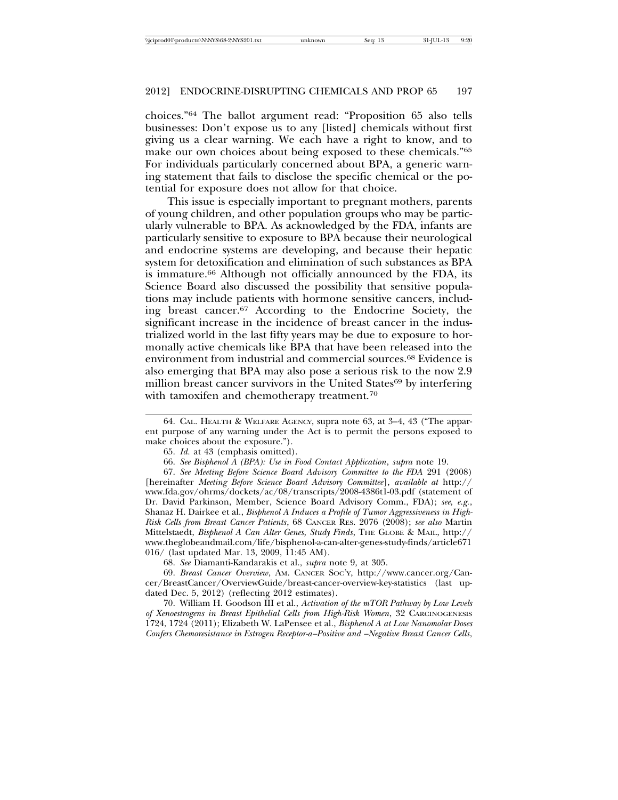choices."64 The ballot argument read: "Proposition 65 also tells businesses: Don't expose us to any [listed] chemicals without first giving us a clear warning. We each have a right to know, and to make our own choices about being exposed to these chemicals."65 For individuals particularly concerned about BPA, a generic warning statement that fails to disclose the specific chemical or the potential for exposure does not allow for that choice.

This issue is especially important to pregnant mothers, parents of young children, and other population groups who may be particularly vulnerable to BPA. As acknowledged by the FDA, infants are particularly sensitive to exposure to BPA because their neurological and endocrine systems are developing, and because their hepatic system for detoxification and elimination of such substances as BPA is immature.<sup>66</sup> Although not officially announced by the FDA, its Science Board also discussed the possibility that sensitive populations may include patients with hormone sensitive cancers, including breast cancer.67 According to the Endocrine Society, the significant increase in the incidence of breast cancer in the industrialized world in the last fifty years may be due to exposure to hormonally active chemicals like BPA that have been released into the environment from industrial and commercial sources.68 Evidence is also emerging that BPA may also pose a serious risk to the now 2.9 million breast cancer survivors in the United States<sup>69</sup> by interfering with tamoxifen and chemotherapy treatment.<sup>70</sup>

67. *See Meeting Before Science Board Advisory Committee to the FDA* 291 (2008) [hereinafter *Meeting Before Science Board Advisory Committee*], *available at* http:// www.fda.gov/ohrms/dockets/ac/08/transcripts/2008-4386t1-03.pdf (statement of Dr. David Parkinson, Member, Science Board Advisory Comm., FDA); *see, e.g.*, Shanaz H. Dairkee et al., *Bisphenol A Induces a Profile of Tumor Aggressiveness in High-Risk Cells from Breast Cancer Patients*, 68 CANCER RES. 2076 (2008); *see also* Martin Mittelstaedt, *Bisphenol A Can Alter Genes, Study Finds*, THE GLOBE & MAIL, http:// www.theglobeandmail.com/life/bisphenol-a-can-alter-genes-study-finds/article671 016/ (last updated Mar. 13, 2009, 11:45 AM).

68. *See* Diamanti-Kandarakis et al., *supra* note 9, at 305.

69. *Breast Cancer Overview*, AM. CANCER SOC'Y, http://www.cancer.org/Cancer/BreastCancer/OverviewGuide/breast-cancer-overview-key-statistics (last updated Dec. 5, 2012) (reflecting 2012 estimates).

70. William H. Goodson III et al., *Activation of the mTOR Pathway by Low Levels of Xenoestrogens in Breast Epithelial Cells from High-Risk Women*, 32 CARCINOGENESIS 1724, 1724 (2011); Elizabeth W. LaPensee et al., *Bisphenol A at Low Nanomolar Doses Confers Chemoresistance in Estrogen Receptor-a–Positive and –Negative Breast Cancer Cells*,

<sup>64.</sup> CAL. HEALTH & WELFARE AGENCY, supra note 63, at 3–4, 43 ("The apparent purpose of any warning under the Act is to permit the persons exposed to make choices about the exposure.").

<sup>65.</sup> *Id.* at 43 (emphasis omitted).

<sup>66.</sup> *See Bisphenol A (BPA): Use in Food Contact Application*, *supra* note 19.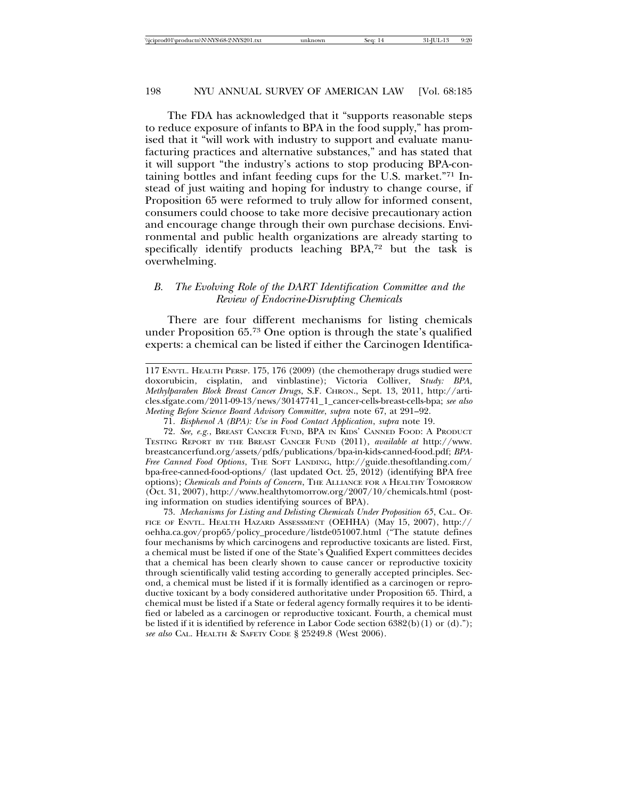The FDA has acknowledged that it "supports reasonable steps to reduce exposure of infants to BPA in the food supply," has promised that it "will work with industry to support and evaluate manufacturing practices and alternative substances," and has stated that it will support "the industry's actions to stop producing BPA-containing bottles and infant feeding cups for the U.S. market."71 Instead of just waiting and hoping for industry to change course, if Proposition 65 were reformed to truly allow for informed consent, consumers could choose to take more decisive precautionary action and encourage change through their own purchase decisions. Environmental and public health organizations are already starting to specifically identify products leaching BPA,72 but the task is overwhelming.

## *B. The Evolving Role of the DART Identification Committee and the Review of Endocrine-Disrupting Chemicals*

There are four different mechanisms for listing chemicals under Proposition 65.73 One option is through the state's qualified experts: a chemical can be listed if either the Carcinogen Identifica-

71. *Bisphenol A (BPA): Use in Food Contact Application*, *supra* note 19.

72. *See, e.g.*, BREAST CANCER FUND, BPA IN KIDS' CANNED FOOD: A PRODUCT TESTING REPORT BY THE BREAST CANCER FUND (2011), *available at* http://www. breastcancerfund.org/assets/pdfs/publications/bpa-in-kids-canned-food.pdf; *BPA-*Free Canned Food Options, THE SOFT LANDING, http://guide.thesoftlanding.com/ bpa-free-canned-food-options/ (last updated Oct. 25, 2012) (identifying BPA free options); *Chemicals and Points of Concern*, THE ALLIANCE FOR A HEALTHY TOMORROW (Oct. 31, 2007), http://www.healthytomorrow.org/2007/10/chemicals.html (posting information on studies identifying sources of BPA).

73. *Mechanisms for Listing and Delisting Chemicals Under Proposition 65*, CAL. OF-FICE OF ENVTL. HEALTH HAZARD ASSESSMENT (OEHHA) (May 15, 2007), http:// oehha.ca.gov/prop65/policy\_procedure/listde051007.html ("The statute defines four mechanisms by which carcinogens and reproductive toxicants are listed. First, a chemical must be listed if one of the State's Qualified Expert committees decides that a chemical has been clearly shown to cause cancer or reproductive toxicity through scientifically valid testing according to generally accepted principles. Second, a chemical must be listed if it is formally identified as a carcinogen or reproductive toxicant by a body considered authoritative under Proposition 65. Third, a chemical must be listed if a State or federal agency formally requires it to be identified or labeled as a carcinogen or reproductive toxicant. Fourth, a chemical must be listed if it is identified by reference in Labor Code section  $6382(b)(1)$  or (d)."); *see also* CAL. HEALTH & SAFETY CODE § 25249.8 (West 2006).

<sup>117</sup> ENVTL. HEALTH PERSP. 175, 176 (2009) (the chemotherapy drugs studied were doxorubicin, cisplatin, and vinblastine); Victoria Colliver, S*tudy: BPA, Methylparaben Block Breast Cancer Drugs*, S.F. CHRON., Sept. 13, 2011, http://articles.sfgate.com/2011-09-13/news/30147741\_1\_cancer-cells-breast-cells-bpa; *see also Meeting Before Science Board Advisory Committee*, *supra* note 67, at 291–92.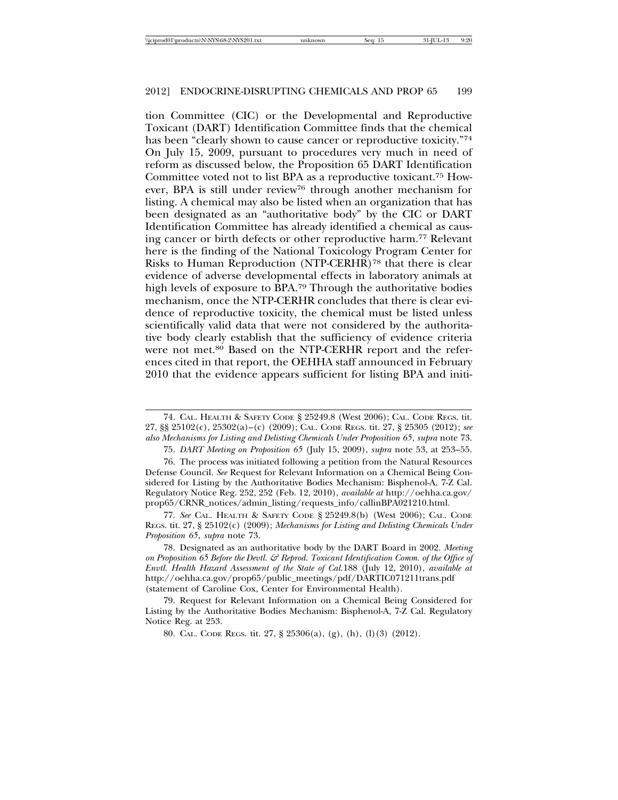tion Committee (CIC) or the Developmental and Reproductive Toxicant (DART) Identification Committee finds that the chemical has been "clearly shown to cause cancer or reproductive toxicity."<sup>74</sup> On July 15, 2009, pursuant to procedures very much in need of reform as discussed below, the Proposition 65 DART Identification Committee voted not to list BPA as a reproductive toxicant.75 However, BPA is still under review<sup>76</sup> through another mechanism for listing. A chemical may also be listed when an organization that has been designated as an "authoritative body" by the CIC or DART Identification Committee has already identified a chemical as causing cancer or birth defects or other reproductive harm.77 Relevant here is the finding of the National Toxicology Program Center for Risks to Human Reproduction (NTP-CERHR)78 that there is clear evidence of adverse developmental effects in laboratory animals at high levels of exposure to BPA.79 Through the authoritative bodies mechanism, once the NTP-CERHR concludes that there is clear evidence of reproductive toxicity, the chemical must be listed unless scientifically valid data that were not considered by the authoritative body clearly establish that the sufficiency of evidence criteria were not met.80 Based on the NTP-CERHR report and the references cited in that report, the OEHHA staff announced in February 2010 that the evidence appears sufficient for listing BPA and initi-

75. *DART Meeting on Proposition 65* (July 15, 2009), *supra* note 53, at 253–55.

77. *See* CAL. HEALTH & SAFETY CODE § 25249.8(b) (West 2006); CAL. CODE REGS. tit. 27, § 25102(c) (2009); *Mechanisms for Listing and Delisting Chemicals Under Proposition 65*, *supra* note 73.

<sup>74.</sup> CAL. HEALTH & SAFETY CODE § 25249.8 (West 2006); CAL. CODE REGS. tit. 27, §§ 25102(c), 25302(a)–(c) (2009); CAL. CODE REGS. tit. 27, § 25305 (2012); *see also Mechanisms for Listing and Delisting Chemicals Under Proposition 65*, *supra* note 73.

<sup>76.</sup> The process was initiated following a petition from the Natural Resources Defense Council. *See* Request for Relevant Information on a Chemical Being Considered for Listing by the Authoritative Bodies Mechanism: Bisphenol-A, 7-Z Cal. Regulatory Notice Reg. 252, 252 (Feb. 12, 2010), *available at* http://oehha.ca.gov/ prop65/CRNR\_notices/admin\_listing/requests\_info/callinBPA021210.html.

<sup>78.</sup> Designated as an authoritative body by the DART Board in 2002. *Meeting on Proposition 65 Before the Devtl. & Reprod. Toxicant Identification Comm. of the Office of Envtl. Health Hazard Assessment of the State of Cal.*188 (July 12, 2010), *available at* http://oehha.ca.gov/prop65/public\_meetings/pdf/DARTIC071211trans.pdf (statement of Caroline Cox, Center for Environmental Health).

<sup>79.</sup> Request for Relevant Information on a Chemical Being Considered for Listing by the Authoritative Bodies Mechanism: Bisphenol-A, 7-Z Cal. Regulatory Notice Reg. at 253.

<sup>80.</sup> CAL. CODE REGS. tit. 27, § 25306(a), (g), (h), (l)(3) (2012).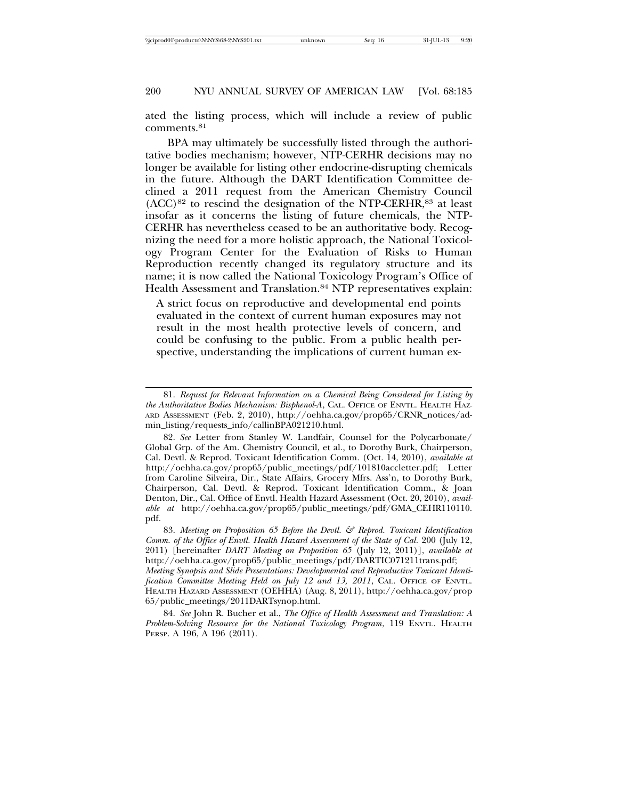ated the listing process, which will include a review of public comments.81

BPA may ultimately be successfully listed through the authoritative bodies mechanism; however, NTP-CERHR decisions may no longer be available for listing other endocrine-disrupting chemicals in the future. Although the DART Identification Committee declined a 2011 request from the American Chemistry Council  $(ACC)^{82}$  to rescind the designation of the NTP-CERHR,  $83$  at least insofar as it concerns the listing of future chemicals, the NTP-CERHR has nevertheless ceased to be an authoritative body. Recognizing the need for a more holistic approach, the National Toxicology Program Center for the Evaluation of Risks to Human Reproduction recently changed its regulatory structure and its name; it is now called the National Toxicology Program's Office of Health Assessment and Translation.<sup>84</sup> NTP representatives explain:

A strict focus on reproductive and developmental end points evaluated in the context of current human exposures may not result in the most health protective levels of concern, and could be confusing to the public. From a public health perspective, understanding the implications of current human ex-

84. *See* John R. Bucher et al., *The Office of Health Assessment and Translation: A Problem-Solving Resource for the National Toxicology Program*, 119 ENVTL. HEALTH PERSP. A 196, A 196 (2011).

<sup>81.</sup> *Request for Relevant Information on a Chemical Being Considered for Listing by the Authoritative Bodies Mechanism: Bisphenol-A*, CAL. OFFICE OF ENVTL. HEALTH HAZ-ARD ASSESSMENT (Feb. 2, 2010), http://oehha.ca.gov/prop65/CRNR\_notices/admin\_listing/requests\_info/callinBPA021210.html.

<sup>82.</sup> *See* Letter from Stanley W. Landfair, Counsel for the Polycarbonate/ Global Grp. of the Am. Chemistry Council, et al., to Dorothy Burk, Chairperson, Cal. Devtl. & Reprod. Toxicant Identification Comm. (Oct. 14, 2010), *available at* http://oehha.ca.gov/prop65/public\_meetings/pdf/101810accletter.pdf; Letter from Caroline Silveira, Dir., State Affairs, Grocery Mfrs. Ass'n, to Dorothy Burk, Chairperson, Cal. Devtl. & Reprod. Toxicant Identification Comm., & Joan Denton, Dir., Cal. Office of Envtl. Health Hazard Assessment (Oct. 20, 2010), *available at* http://oehha.ca.gov/prop65/public\_meetings/pdf/GMA\_CEHR110110. pdf.

<sup>83.</sup> *Meeting on Proposition 65 Before the Devtl. & Reprod. Toxicant Identification Comm. of the Office of Envtl. Health Hazard Assessment of the State of Cal.* 200 (July 12, 2011) [hereinafter *DART Meeting on Proposition 65* (July 12, 2011)], *available at* http://oehha.ca.gov/prop65/public\_meetings/pdf/DARTIC071211trans.pdf; *Meeting Synopsis and Slide Presentations: Developmental and Reproductive Toxicant Identification Committee Meeting Held on July 12 and 13, 2011*, CAL. OFFICE OF ENVTL. HEALTH HAZARD ASSESSMENT (OEHHA) (Aug. 8, 2011), http://oehha.ca.gov/prop 65/public\_meetings/2011DARTsynop.html.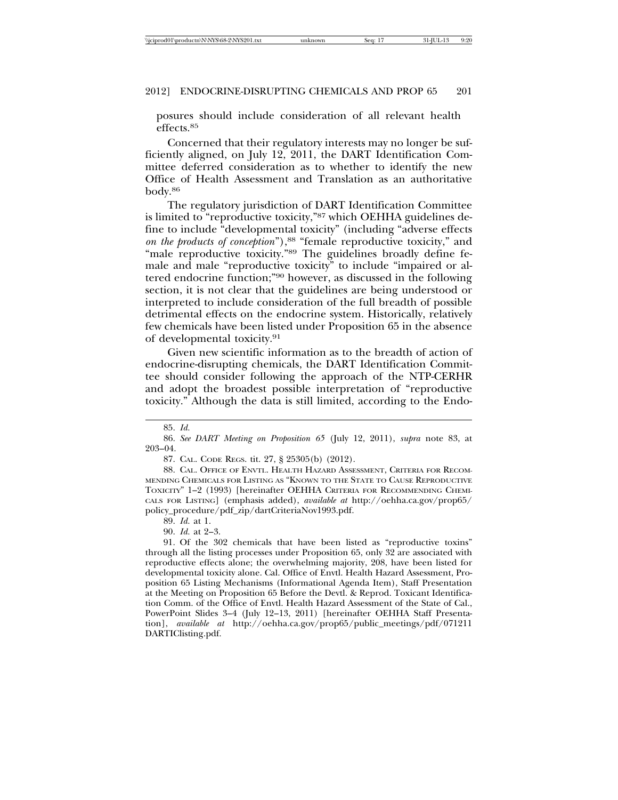| \\iciprod01\productn\N\NYS\68-2\NYS201.txt<br>31-IUL-13<br>Sea:<br>unknown |
|----------------------------------------------------------------------------|
|----------------------------------------------------------------------------|

posures should include consideration of all relevant health effects.85

Concerned that their regulatory interests may no longer be sufficiently aligned, on July 12, 2011, the DART Identification Committee deferred consideration as to whether to identify the new Office of Health Assessment and Translation as an authoritative body.86

The regulatory jurisdiction of DART Identification Committee is limited to "reproductive toxicity,"87 which OEHHA guidelines define to include "developmental toxicity" (including "adverse effects *on the products of conception*"),<sup>88</sup> "female reproductive toxicity," and "male reproductive toxicity."89 The guidelines broadly define female and male "reproductive toxicity" to include "impaired or altered endocrine function;"90 however, as discussed in the following section, it is not clear that the guidelines are being understood or interpreted to include consideration of the full breadth of possible detrimental effects on the endocrine system. Historically, relatively few chemicals have been listed under Proposition 65 in the absence of developmental toxicity.91

Given new scientific information as to the breadth of action of endocrine-disrupting chemicals, the DART Identification Committee should consider following the approach of the NTP-CERHR and adopt the broadest possible interpretation of "reproductive toxicity." Although the data is still limited, according to the Endo-

89. *Id.* at 1.

91. Of the 302 chemicals that have been listed as "reproductive toxins" through all the listing processes under Proposition 65, only 32 are associated with reproductive effects alone; the overwhelming majority, 208, have been listed for developmental toxicity alone. Cal. Office of Envtl. Health Hazard Assessment, Proposition 65 Listing Mechanisms (Informational Agenda Item), Staff Presentation at the Meeting on Proposition 65 Before the Devtl. & Reprod. Toxicant Identification Comm. of the Office of Envtl. Health Hazard Assessment of the State of Cal., PowerPoint Slides 3–4 (July 12–13, 2011) [hereinafter OEHHA Staff Presentation], *available at* http://oehha.ca.gov/prop65/public\_meetings/pdf/071211 DARTIClisting.pdf.

<sup>85.</sup> *Id.*

<sup>86.</sup> *See DART Meeting on Proposition 65* (July 12, 2011), *supra* note 83, at 203–04.

<sup>87.</sup> CAL. CODE REGS. tit. 27, § 25305(b) (2012).

<sup>88.</sup> CAL. OFFICE OF ENVTL. HEALTH HAZARD ASSESSMENT, CRITERIA FOR RECOM-MENDING CHEMICALS FOR LISTING AS "KNOWN TO THE STATE TO CAUSE REPRODUCTIVE TOXICITY" 1–2 (1993) [hereinafter OEHHA CRITERIA FOR RECOMMENDING CHEMI-CALS FOR LISTING] (emphasis added), *available at* http://oehha.ca.gov/prop65/ policy\_procedure/pdf\_zip/dartCriteriaNov1993.pdf.

<sup>90.</sup> *Id.* at 2–3.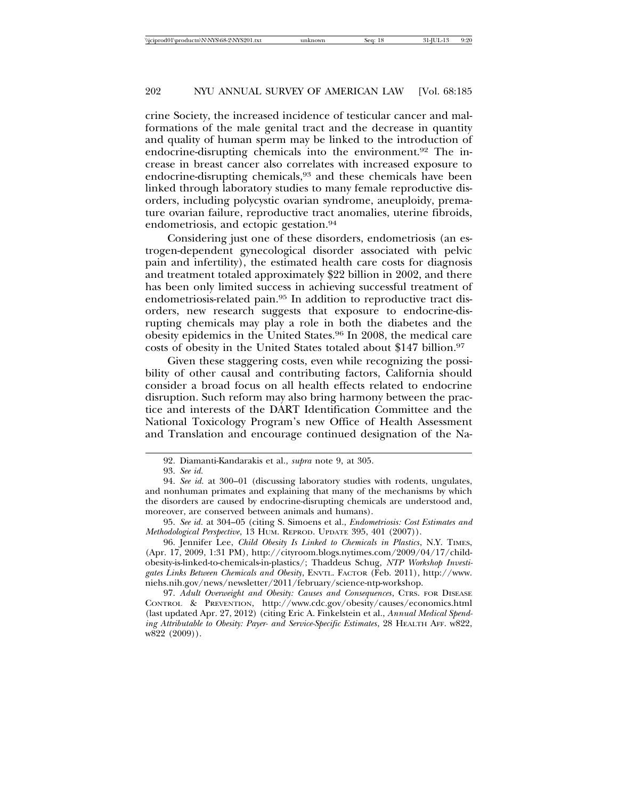crine Society, the increased incidence of testicular cancer and malformations of the male genital tract and the decrease in quantity and quality of human sperm may be linked to the introduction of endocrine-disrupting chemicals into the environment.92 The increase in breast cancer also correlates with increased exposure to endocrine-disrupting chemicals,93 and these chemicals have been linked through laboratory studies to many female reproductive disorders, including polycystic ovarian syndrome, aneuploidy, premature ovarian failure, reproductive tract anomalies, uterine fibroids, endometriosis, and ectopic gestation.<sup>94</sup>

Considering just one of these disorders, endometriosis (an estrogen-dependent gynecological disorder associated with pelvic pain and infertility), the estimated health care costs for diagnosis and treatment totaled approximately \$22 billion in 2002, and there has been only limited success in achieving successful treatment of endometriosis-related pain.95 In addition to reproductive tract disorders, new research suggests that exposure to endocrine-disrupting chemicals may play a role in both the diabetes and the obesity epidemics in the United States.96 In 2008, the medical care costs of obesity in the United States totaled about \$147 billion.97

Given these staggering costs, even while recognizing the possibility of other causal and contributing factors, California should consider a broad focus on all health effects related to endocrine disruption. Such reform may also bring harmony between the practice and interests of the DART Identification Committee and the National Toxicology Program's new Office of Health Assessment and Translation and encourage continued designation of the Na-

96. Jennifer Lee, *Child Obesity Is Linked to Chemicals in Plastics*, N.Y. TIMES, (Apr. 17, 2009, 1:31 PM), http://cityroom.blogs.nytimes.com/2009/04/17/childobesity-is-linked-to-chemicals-in-plastics/; Thaddeus Schug, *NTP Workshop Investigates Links Between Chemicals and Obesity*, ENVTL. FACTOR (Feb. 2011), http://www. niehs.nih.gov/news/newsletter/2011/february/science-ntp-workshop.

97. *Adult Overweight and Obesity: Causes and Consequences*, CTRS. FOR DISEASE CONTROL & PREVENTION, http://www.cdc.gov/obesity/causes/economics.html (last updated Apr. 27, 2012) (citing Eric A. Finkelstein et al., *Annual Medical Spending Attributable to Obesity: Payer- and Service-Specific Estimates*, 28 HEALTH AFF. w822, w822 (2009)).

<sup>92.</sup> Diamanti-Kandarakis et al., *supra* note 9, at 305.

<sup>93.</sup> *See id.*

<sup>94.</sup> *See id.* at 300–01 (discussing laboratory studies with rodents, ungulates, and nonhuman primates and explaining that many of the mechanisms by which the disorders are caused by endocrine-disrupting chemicals are understood and, moreover, are conserved between animals and humans).

<sup>95.</sup> *See id.* at 304–05 (citing S. Simoens et al., *Endometriosis: Cost Estimates and Methodological Perspective*, 13 HUM. REPROD. UPDATE 395, 401 (2007)).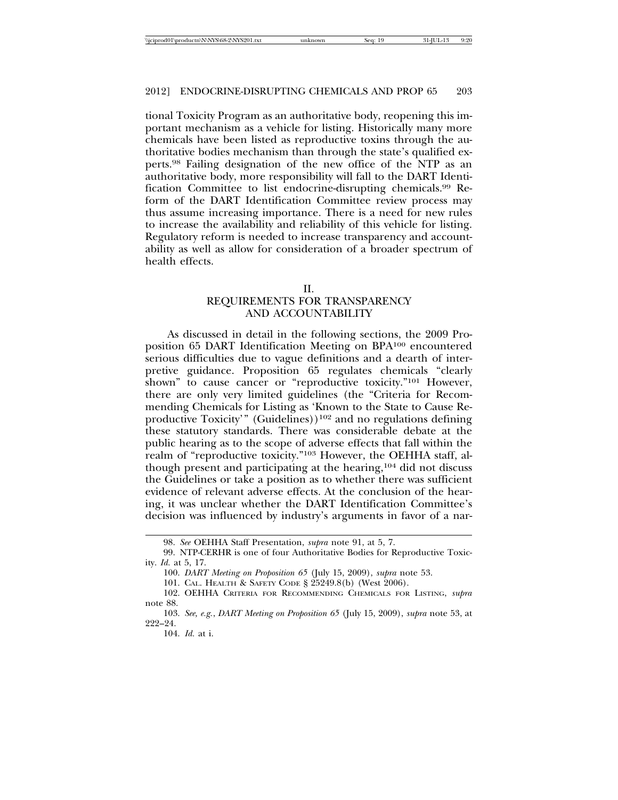tional Toxicity Program as an authoritative body, reopening this important mechanism as a vehicle for listing. Historically many more chemicals have been listed as reproductive toxins through the authoritative bodies mechanism than through the state's qualified experts.98 Failing designation of the new office of the NTP as an authoritative body, more responsibility will fall to the DART Identification Committee to list endocrine-disrupting chemicals.99 Reform of the DART Identification Committee review process may thus assume increasing importance. There is a need for new rules to increase the availability and reliability of this vehicle for listing. Regulatory reform is needed to increase transparency and accountability as well as allow for consideration of a broader spectrum of health effects.

#### II.

## REQUIREMENTS FOR TRANSPARENCY AND ACCOUNTABILITY

As discussed in detail in the following sections, the 2009 Proposition 65 DART Identification Meeting on BPA100 encountered serious difficulties due to vague definitions and a dearth of interpretive guidance. Proposition 65 regulates chemicals "clearly shown" to cause cancer or "reproductive toxicity."<sup>101</sup> However, there are only very limited guidelines (the "Criteria for Recommending Chemicals for Listing as 'Known to the State to Cause Reproductive Toxicity'" (Guidelines))<sup>102</sup> and no regulations defining these statutory standards. There was considerable debate at the public hearing as to the scope of adverse effects that fall within the realm of "reproductive toxicity."103 However, the OEHHA staff, although present and participating at the hearing,104 did not discuss the Guidelines or take a position as to whether there was sufficient evidence of relevant adverse effects. At the conclusion of the hearing, it was unclear whether the DART Identification Committee's decision was influenced by industry's arguments in favor of a nar-

<sup>98.</sup> *See* OEHHA Staff Presentation, *supra* note 91, at 5, 7.

<sup>99.</sup> NTP-CERHR is one of four Authoritative Bodies for Reproductive Toxicity. *Id.* at 5, 17.

<sup>100.</sup> *DART Meeting on Proposition 65* (July 15, 2009), *supra* note 53.

<sup>101.</sup> CAL. HEALTH & SAFETY CODE § 25249.8(b) (West 2006).

<sup>102.</sup> OEHHA CRITERIA FOR RECOMMENDING CHEMICALS FOR LISTING, *supra* note 88.

<sup>103.</sup> *See, e.g.*, *DART Meeting on Proposition 65* (July 15, 2009), *supra* note 53, at 222–24.

<sup>104.</sup> *Id.* at i.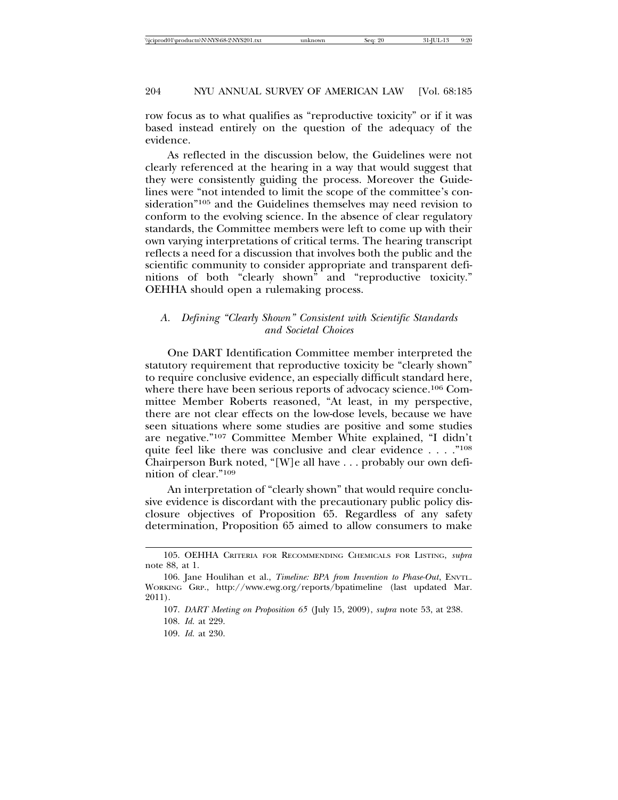row focus as to what qualifies as "reproductive toxicity" or if it was based instead entirely on the question of the adequacy of the evidence.

As reflected in the discussion below, the Guidelines were not clearly referenced at the hearing in a way that would suggest that they were consistently guiding the process. Moreover the Guidelines were "not intended to limit the scope of the committee's consideration"105 and the Guidelines themselves may need revision to conform to the evolving science. In the absence of clear regulatory standards, the Committee members were left to come up with their own varying interpretations of critical terms. The hearing transcript reflects a need for a discussion that involves both the public and the scientific community to consider appropriate and transparent definitions of both "clearly shown" and "reproductive toxicity." OEHHA should open a rulemaking process.

## *A. Defining "Clearly Shown" Consistent with Scientific Standards and Societal Choices*

One DART Identification Committee member interpreted the statutory requirement that reproductive toxicity be "clearly shown" to require conclusive evidence, an especially difficult standard here, where there have been serious reports of advocacy science.<sup>106</sup> Committee Member Roberts reasoned, "At least, in my perspective, there are not clear effects on the low-dose levels, because we have seen situations where some studies are positive and some studies are negative."107 Committee Member White explained, "I didn't quite feel like there was conclusive and clear evidence . . . . "<sup>108</sup> Chairperson Burk noted, "[W]e all have . . . probably our own definition of clear."109

An interpretation of "clearly shown" that would require conclusive evidence is discordant with the precautionary public policy disclosure objectives of Proposition 65. Regardless of any safety determination, Proposition 65 aimed to allow consumers to make

<sup>105.</sup> OEHHA CRITERIA FOR RECOMMENDING CHEMICALS FOR LISTING, *supra* note 88, at 1.

<sup>106.</sup> Jane Houlihan et al., *Timeline: BPA from Invention to Phase-Out*, ENVTL. WORKING GRP., http://www.ewg.org/reports/bpatimeline (last updated Mar. 2011).

<sup>107.</sup> *DART Meeting on Proposition 65* (July 15, 2009), *supra* note 53, at 238.

<sup>108.</sup> *Id.* at 229.

<sup>109.</sup> *Id.* at 230.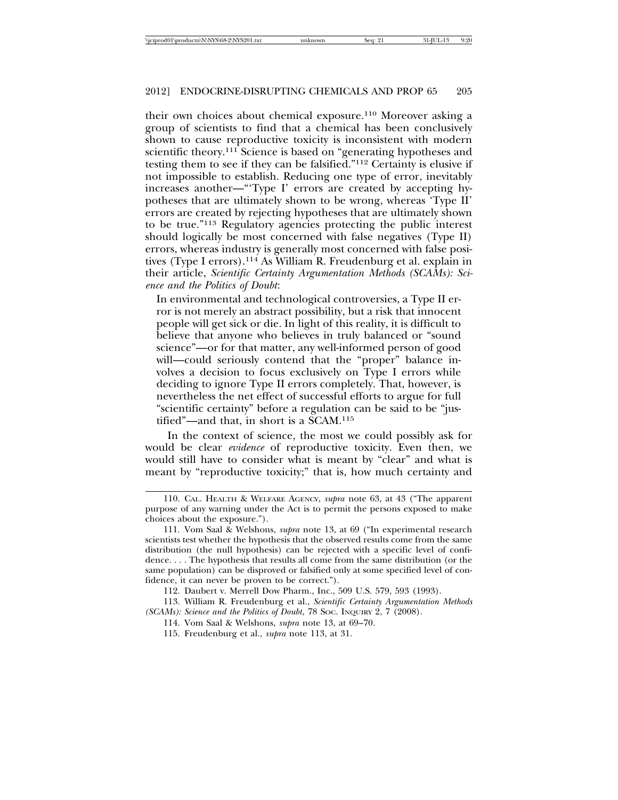their own choices about chemical exposure.110 Moreover asking a group of scientists to find that a chemical has been conclusively shown to cause reproductive toxicity is inconsistent with modern scientific theory.111 Science is based on "generating hypotheses and testing them to see if they can be falsified."112 Certainty is elusive if not impossible to establish. Reducing one type of error, inevitably increases another—"'Type I' errors are created by accepting hypotheses that are ultimately shown to be wrong, whereas 'Type II' errors are created by rejecting hypotheses that are ultimately shown to be true."113 Regulatory agencies protecting the public interest should logically be most concerned with false negatives (Type II) errors, whereas industry is generally most concerned with false positives (Type I errors).114 As William R. Freudenburg et al. explain in their article, *Scientific Certainty Argumentation Methods (SCAMs): Science and the Politics of Doubt*:

In environmental and technological controversies, a Type II error is not merely an abstract possibility, but a risk that innocent people will get sick or die. In light of this reality, it is difficult to believe that anyone who believes in truly balanced or "sound science"—or for that matter, any well-informed person of good will—could seriously contend that the "proper" balance involves a decision to focus exclusively on Type I errors while deciding to ignore Type II errors completely. That, however, is nevertheless the net effect of successful efforts to argue for full "scientific certainty" before a regulation can be said to be "justified"—and that, in short is a SCAM.115

In the context of science, the most we could possibly ask for would be clear *evidence* of reproductive toxicity. Even then, we would still have to consider what is meant by "clear" and what is meant by "reproductive toxicity;" that is, how much certainty and

<sup>110.</sup> CAL. HEALTH & WELFARE AGENCY, *supra* note 63, at 43 ("The apparent purpose of any warning under the Act is to permit the persons exposed to make choices about the exposure.").

<sup>111.</sup> Vom Saal & Welshons, *supra* note 13, at 69 ("In experimental research scientists test whether the hypothesis that the observed results come from the same distribution (the null hypothesis) can be rejected with a specific level of confidence. . . . The hypothesis that results all come from the same distribution (or the same population) can be disproved or falsified only at some specified level of confidence, it can never be proven to be correct.").

<sup>112.</sup> Daubert v. Merrell Dow Pharm., Inc., 509 U.S. 579, 593 (1993).

<sup>113.</sup> William R. Freudenburg et al., *Scientific Certainty Argumentation Methods (SCAMs): Science and the Politics of Doubt, 78 Soc. Inquiry 2, 7 (2008).* 

<sup>114.</sup> Vom Saal & Welshons, *supra* note 13, at 69–70.

<sup>115.</sup> Freudenburg et al., *supra* note 113, at 31.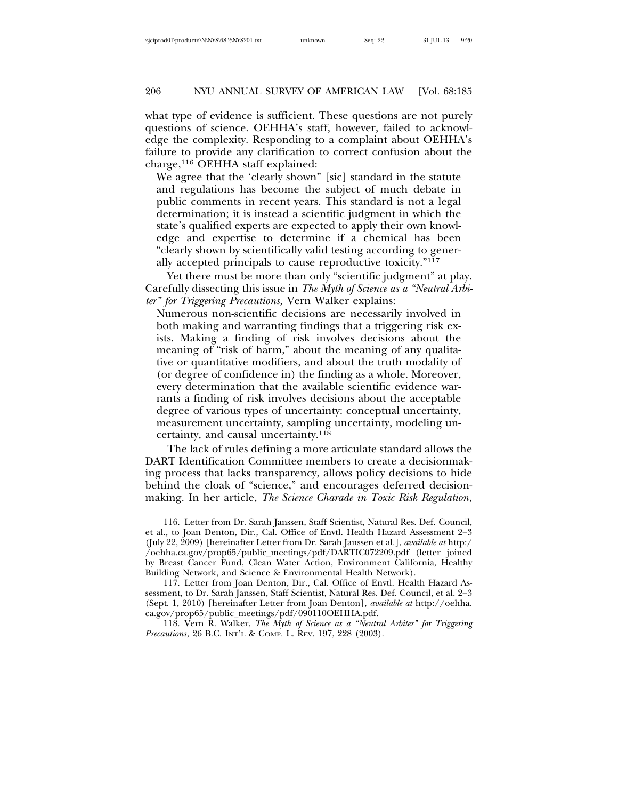what type of evidence is sufficient. These questions are not purely questions of science. OEHHA's staff, however, failed to acknowledge the complexity. Responding to a complaint about OEHHA's failure to provide any clarification to correct confusion about the charge,116 OEHHA staff explained:

We agree that the 'clearly shown" [sic] standard in the statute and regulations has become the subject of much debate in public comments in recent years. This standard is not a legal determination; it is instead a scientific judgment in which the state's qualified experts are expected to apply their own knowledge and expertise to determine if a chemical has been "clearly shown by scientifically valid testing according to generally accepted principals to cause reproductive toxicity."<sup>117</sup>

Yet there must be more than only "scientific judgment" at play. Carefully dissecting this issue in *The Myth of Science as a "Neutral Arbiter" for Triggering Precautions,* Vern Walker explains:

Numerous non-scientific decisions are necessarily involved in both making and warranting findings that a triggering risk exists. Making a finding of risk involves decisions about the meaning of "risk of harm," about the meaning of any qualitative or quantitative modifiers, and about the truth modality of (or degree of confidence in) the finding as a whole. Moreover, every determination that the available scientific evidence warrants a finding of risk involves decisions about the acceptable degree of various types of uncertainty: conceptual uncertainty, measurement uncertainty, sampling uncertainty, modeling uncertainty, and causal uncertainty.118

The lack of rules defining a more articulate standard allows the DART Identification Committee members to create a decisionmaking process that lacks transparency, allows policy decisions to hide behind the cloak of "science," and encourages deferred decisionmaking. In her article, *The Science Charade in Toxic Risk Regulation*,

118. Vern R. Walker, *The Myth of Science as a "Neutral Arbiter" for Triggering Precautions*, 26 B.C. INT'L & COMP. L. REV. 197, 228 (2003).

<sup>116.</sup> Letter from Dr. Sarah Janssen, Staff Scientist, Natural Res. Def. Council, et al., to Joan Denton, Dir., Cal. Office of Envtl. Health Hazard Assessment 2–3 (July 22, 2009) [hereinafter Letter from Dr. Sarah Janssen et al.], *available at* http:/ /oehha.ca.gov/prop65/public\_meetings/pdf/DARTIC072209.pdf (letter joined by Breast Cancer Fund, Clean Water Action, Environment California, Healthy Building Network, and Science & Environmental Health Network).

<sup>117.</sup> Letter from Joan Denton, Dir., Cal. Office of Envtl. Health Hazard Assessment, to Dr. Sarah Janssen, Staff Scientist, Natural Res. Def. Council, et al. 2–3 (Sept. 1, 2010) [hereinafter Letter from Joan Denton], *available at* http://oehha. ca.gov/prop65/public\_meetings/pdf/090110OEHHA.pdf.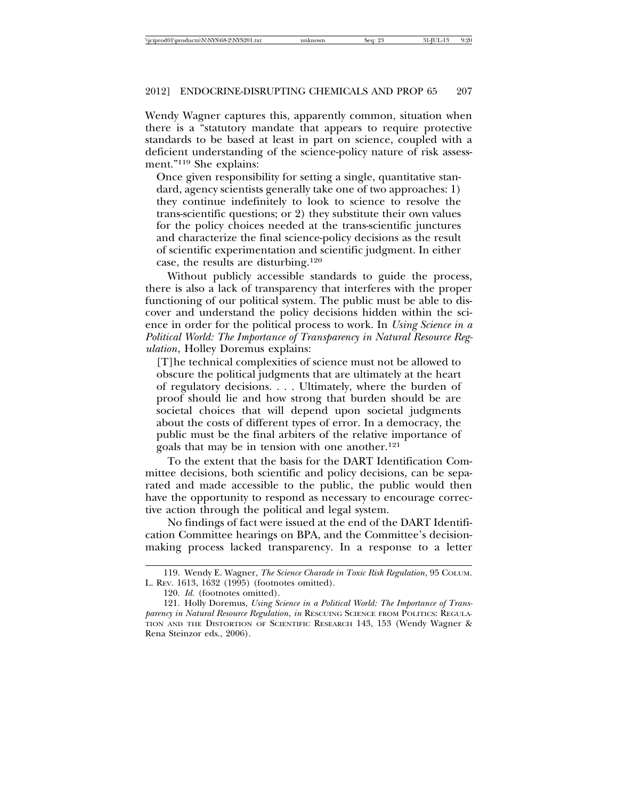Wendy Wagner captures this, apparently common, situation when there is a "statutory mandate that appears to require protective standards to be based at least in part on science, coupled with a deficient understanding of the science-policy nature of risk assessment."119 She explains:

Once given responsibility for setting a single, quantitative standard, agency scientists generally take one of two approaches: 1) they continue indefinitely to look to science to resolve the trans-scientific questions; or 2) they substitute their own values for the policy choices needed at the trans-scientific junctures and characterize the final science-policy decisions as the result of scientific experimentation and scientific judgment. In either case, the results are disturbing.120

Without publicly accessible standards to guide the process, there is also a lack of transparency that interferes with the proper functioning of our political system. The public must be able to discover and understand the policy decisions hidden within the science in order for the political process to work. In *Using Science in a Political World: The Importance of Transparency in Natural Resource Regulation*, Holley Doremus explains:

[T]he technical complexities of science must not be allowed to obscure the political judgments that are ultimately at the heart of regulatory decisions. . . . Ultimately, where the burden of proof should lie and how strong that burden should be are societal choices that will depend upon societal judgments about the costs of different types of error. In a democracy, the public must be the final arbiters of the relative importance of goals that may be in tension with one another.<sup>121</sup>

To the extent that the basis for the DART Identification Committee decisions, both scientific and policy decisions, can be separated and made accessible to the public, the public would then have the opportunity to respond as necessary to encourage corrective action through the political and legal system.

No findings of fact were issued at the end of the DART Identification Committee hearings on BPA, and the Committee's decisionmaking process lacked transparency. In a response to a letter

<sup>119.</sup> Wendy E. Wagner, *The Science Charade in Toxic Risk Regulation*, 95 COLUM. L. REV. 1613, 1632 (1995) (footnotes omitted).

<sup>120.</sup> *Id.* (footnotes omitted).

<sup>121.</sup> Holly Doremus, *Using Science in a Political World: The Importance of Transparency in Natural Resource Regulation*, *in* RESCUING SCIENCE FROM POLITICS: REGULA-TION AND THE DISTORTION OF SCIENTIFIC RESEARCH 143, 153 (Wendy Wagner & Rena Steinzor eds., 2006).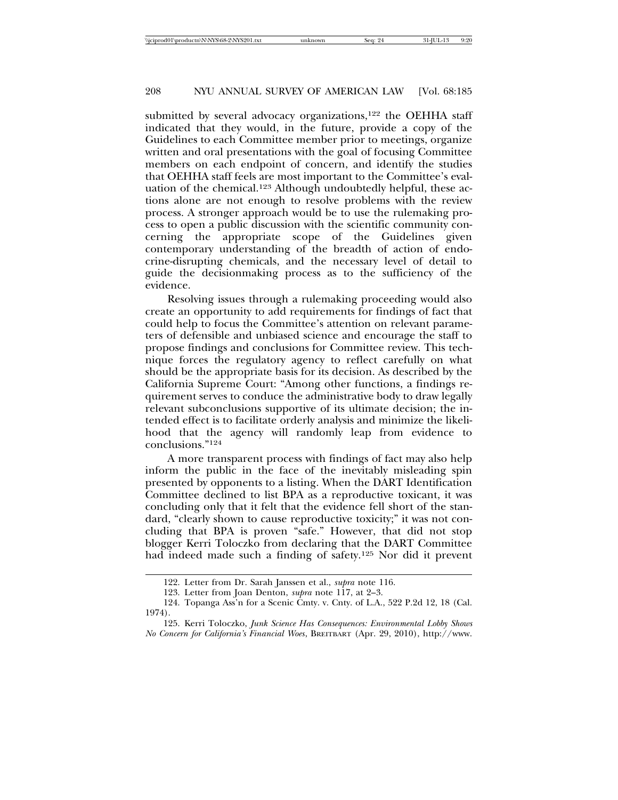submitted by several advocacy organizations,<sup>122</sup> the OEHHA staff indicated that they would, in the future, provide a copy of the Guidelines to each Committee member prior to meetings, organize written and oral presentations with the goal of focusing Committee members on each endpoint of concern, and identify the studies that OEHHA staff feels are most important to the Committee's evaluation of the chemical.<sup>123</sup> Although undoubtedly helpful, these actions alone are not enough to resolve problems with the review process. A stronger approach would be to use the rulemaking process to open a public discussion with the scientific community concerning the appropriate scope of the Guidelines given contemporary understanding of the breadth of action of endocrine-disrupting chemicals, and the necessary level of detail to guide the decisionmaking process as to the sufficiency of the evidence.

Resolving issues through a rulemaking proceeding would also create an opportunity to add requirements for findings of fact that could help to focus the Committee's attention on relevant parameters of defensible and unbiased science and encourage the staff to propose findings and conclusions for Committee review. This technique forces the regulatory agency to reflect carefully on what should be the appropriate basis for its decision. As described by the California Supreme Court: "Among other functions, a findings requirement serves to conduce the administrative body to draw legally relevant subconclusions supportive of its ultimate decision; the intended effect is to facilitate orderly analysis and minimize the likelihood that the agency will randomly leap from evidence to conclusions."124

A more transparent process with findings of fact may also help inform the public in the face of the inevitably misleading spin presented by opponents to a listing. When the DART Identification Committee declined to list BPA as a reproductive toxicant, it was concluding only that it felt that the evidence fell short of the standard, "clearly shown to cause reproductive toxicity;" it was not concluding that BPA is proven "safe." However, that did not stop blogger Kerri Toloczko from declaring that the DART Committee had indeed made such a finding of safety.125 Nor did it prevent

<sup>122.</sup> Letter from Dr. Sarah Janssen et al., *supra* note 116.

<sup>123.</sup> Letter from Joan Denton, *supra* note 117, at 2–3.

<sup>124.</sup> Topanga Ass'n for a Scenic Cmty. v. Cnty. of L.A., 522 P.2d 12, 18 (Cal. 1974).

<sup>125.</sup> Kerri Toloczko, *Junk Science Has Consequences: Environmental Lobby Shows No Concern for California's Financial Woes*, BREITBART (Apr. 29, 2010), http://www.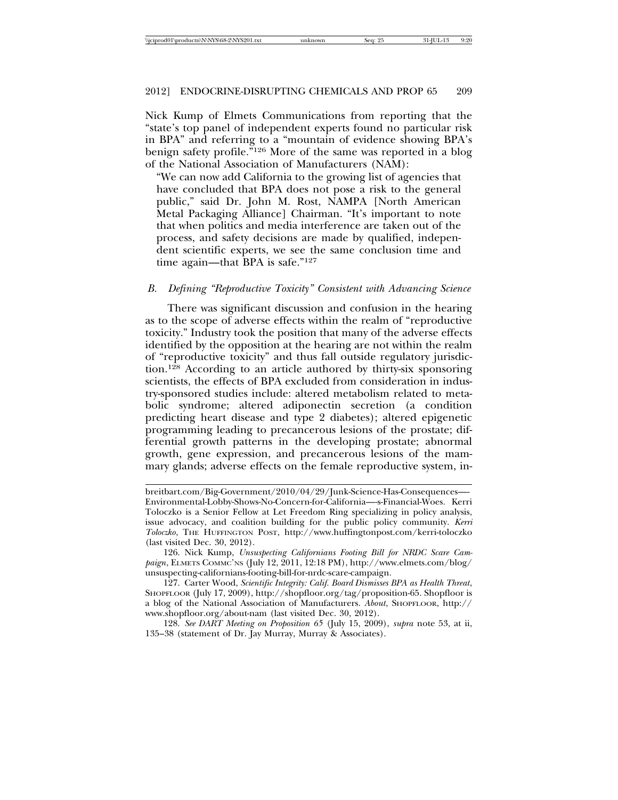Nick Kump of Elmets Communications from reporting that the "state's top panel of independent experts found no particular risk in BPA" and referring to a "mountain of evidence showing BPA's benign safety profile.<sup>"126</sup> More of the same was reported in a blog of the National Association of Manufacturers (NAM):

"We can now add California to the growing list of agencies that have concluded that BPA does not pose a risk to the general public," said Dr. John M. Rost, NAMPA [North American Metal Packaging Alliance] Chairman. "It's important to note that when politics and media interference are taken out of the process, and safety decisions are made by qualified, independent scientific experts, we see the same conclusion time and time again—that BPA is safe."127

## *B. Defining "Reproductive Toxicity" Consistent with Advancing Science*

There was significant discussion and confusion in the hearing as to the scope of adverse effects within the realm of "reproductive toxicity." Industry took the position that many of the adverse effects identified by the opposition at the hearing are not within the realm of "reproductive toxicity" and thus fall outside regulatory jurisdiction.128 According to an article authored by thirty-six sponsoring scientists, the effects of BPA excluded from consideration in industry-sponsored studies include: altered metabolism related to metabolic syndrome; altered adiponectin secretion (a condition predicting heart disease and type 2 diabetes); altered epigenetic programming leading to precancerous lesions of the prostate; differential growth patterns in the developing prostate; abnormal growth, gene expression, and precancerous lesions of the mammary glands; adverse effects on the female reproductive system, in-

126. Nick Kump, *Unsuspecting Californians Footing Bill for NRDC Scare Campaign*, ELMETS COMMC'NS (July 12, 2011, 12:18 PM), http://www.elmets.com/blog/ unsuspecting-californians-footing-bill-for-nrdc-scare-campaign.

127. Carter Wood, *Scientific Integrity: Calif. Board Dismisses BPA as Health Threat*, SHOPFLOOR (July 17, 2009), http://shopfloor.org/tag/proposition-65. Shopfloor is a blog of the National Association of Manufacturers. *About*, SHOPFLOOR, http:// www.shopfloor.org/about-nam (last visited Dec. 30, 2012).

128. *See DART Meeting on Proposition 65* (July 15, 2009), *supra* note 53, at ii, 135–38 (statement of Dr. Jay Murray, Murray & Associates).

breitbart.com/Big-Government/2010/04/29/Junk-Science-Has-Consequences—- Environmental-Lobby-Shows-No-Concern-for-California—-s-Financial-Woes. Kerri Toloczko is a Senior Fellow at Let Freedom Ring specializing in policy analysis, issue advocacy, and coalition building for the public policy community. *Kerri Toloczko*, THE HUFFINGTON POST, http://www.huffingtonpost.com/kerri-toloczko (last visited Dec. 30, 2012).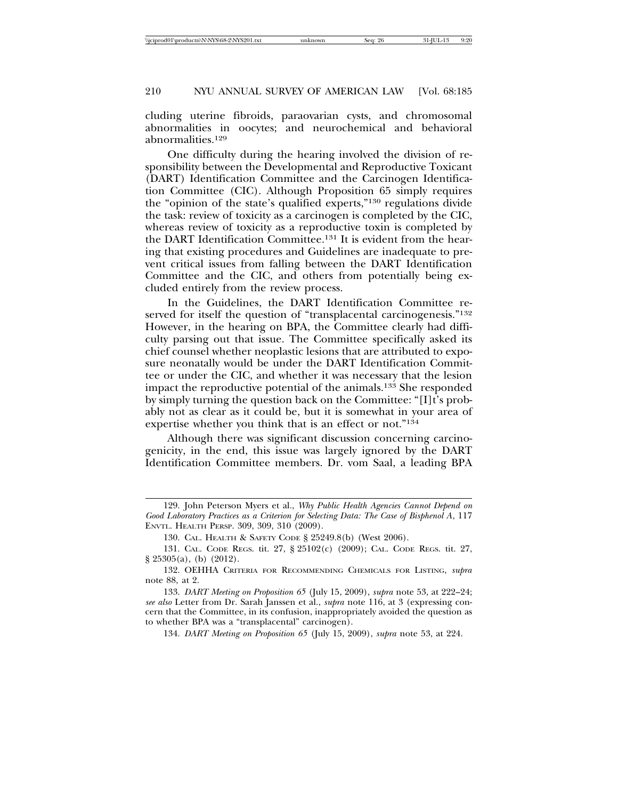cluding uterine fibroids, paraovarian cysts, and chromosomal abnormalities in oocytes; and neurochemical and behavioral abnormalities.129

One difficulty during the hearing involved the division of responsibility between the Developmental and Reproductive Toxicant (DART) Identification Committee and the Carcinogen Identification Committee (CIC). Although Proposition 65 simply requires the "opinion of the state's qualified experts,"130 regulations divide the task: review of toxicity as a carcinogen is completed by the CIC, whereas review of toxicity as a reproductive toxin is completed by the DART Identification Committee.131 It is evident from the hearing that existing procedures and Guidelines are inadequate to prevent critical issues from falling between the DART Identification Committee and the CIC, and others from potentially being excluded entirely from the review process.

In the Guidelines, the DART Identification Committee reserved for itself the question of "transplacental carcinogenesis."<sup>132</sup> However, in the hearing on BPA, the Committee clearly had difficulty parsing out that issue. The Committee specifically asked its chief counsel whether neoplastic lesions that are attributed to exposure neonatally would be under the DART Identification Committee or under the CIC, and whether it was necessary that the lesion impact the reproductive potential of the animals.133 She responded by simply turning the question back on the Committee: "[I]t's probably not as clear as it could be, but it is somewhat in your area of expertise whether you think that is an effect or not."134

Although there was significant discussion concerning carcinogenicity, in the end, this issue was largely ignored by the DART Identification Committee members. Dr. vom Saal, a leading BPA

134. *DART Meeting on Proposition 65* (July 15, 2009), *supra* note 53, at 224.

<sup>129.</sup> John Peterson Myers et al., *Why Public Health Agencies Cannot Depend on Good Laboratory Practices as a Criterion for Selecting Data: The Case of Bisphenol A*, 117 ENVTL. HEALTH PERSP. 309, 309, 310 (2009).

<sup>130.</sup> CAL. HEALTH & SAFETY CODE § 25249.8(b) (West 2006).

<sup>131.</sup> CAL. CODE REGS. tit. 27, § 25102(c) (2009); CAL. CODE REGS. tit. 27, § 25305(a), (b) (2012).

<sup>132.</sup> OEHHA CRITERIA FOR RECOMMENDING CHEMICALS FOR LISTING, *supra* note 88, at 2.

<sup>133.</sup> *DART Meeting on Proposition 65* (July 15, 2009), *supra* note 53, at 222–24; *see also* Letter from Dr. Sarah Janssen et al., *supra* note 116, at 3 (expressing concern that the Committee, in its confusion, inappropriately avoided the question as to whether BPA was a "transplacental" carcinogen).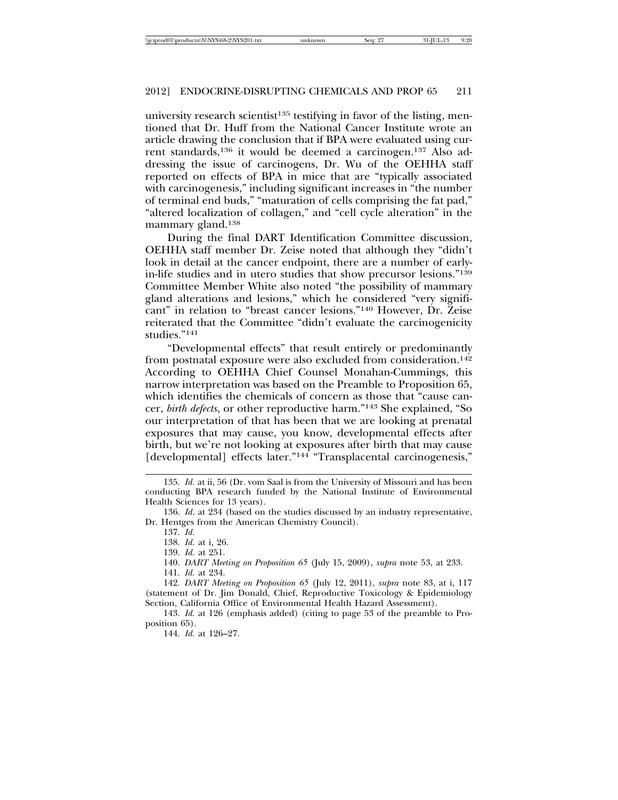university research scientist<sup>135</sup> testifying in favor of the listing, mentioned that Dr. Huff from the National Cancer Institute wrote an article drawing the conclusion that if BPA were evaluated using current standards,136 it would be deemed a carcinogen.137 Also addressing the issue of carcinogens, Dr. Wu of the OEHHA staff reported on effects of BPA in mice that are "typically associated with carcinogenesis," including significant increases in "the number of terminal end buds," "maturation of cells comprising the fat pad," "altered localization of collagen," and "cell cycle alteration" in the mammary gland.138

During the final DART Identification Committee discussion, OEHHA staff member Dr. Zeise noted that although they "didn't look in detail at the cancer endpoint, there are a number of earlyin-life studies and in utero studies that show precursor lesions."139 Committee Member White also noted "the possibility of mammary gland alterations and lesions," which he considered "very significant" in relation to "breast cancer lesions."140 However, Dr. Zeise reiterated that the Committee "didn't evaluate the carcinogenicity studies."141

"Developmental effects" that result entirely or predominantly from postnatal exposure were also excluded from consideration.142 According to OEHHA Chief Counsel Monahan-Cummings, this narrow interpretation was based on the Preamble to Proposition 65, which identifies the chemicals of concern as those that "cause cancer, *birth defects*, or other reproductive harm."143 She explained, "So our interpretation of that has been that we are looking at prenatal exposures that may cause, you know, developmental effects after birth, but we're not looking at exposures after birth that may cause [developmental] effects later."<sup>144</sup> "Transplacental carcinogenesis,"

<sup>135.</sup> *Id.* at ii, 56 (Dr. vom Saal is from the University of Missouri and has been conducting BPA research funded by the National Institute of Environmental Health Sciences for 13 years).

<sup>136.</sup> *Id*. at 234 (based on the studies discussed by an industry representative, Dr. Hentges from the American Chemistry Council).

<sup>137.</sup> *Id.*

<sup>138.</sup> *Id.* at i, 26.

<sup>139.</sup> *Id.* at 251.

<sup>140.</sup> *DART Meeting on Proposition 65* (July 15, 2009), *supra* note 53, at 233.

<sup>141.</sup> *Id.* at 234.

<sup>142.</sup> *DART Meeting on Proposition 65* (July 12, 2011), *supra* note 83, at i, 117 (statement of Dr. Jim Donald, Chief, Reproductive Toxicology & Epidemiology Section, California Office of Environmental Health Hazard Assessment).

<sup>143.</sup> *Id.* at 126 (emphasis added) (citing to page 53 of the preamble to Proposition 65).

<sup>144.</sup> *Id.* at 126–27.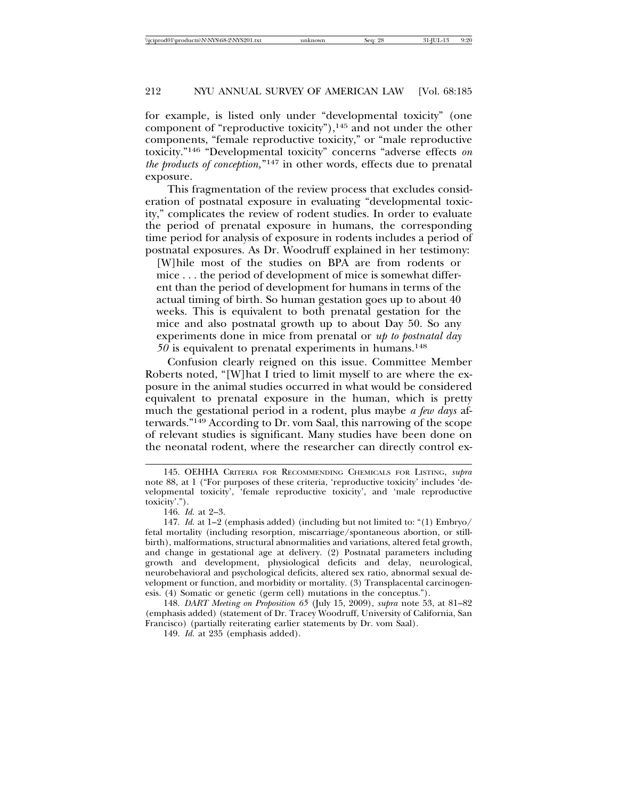for example, is listed only under "developmental toxicity" (one component of "reproductive toxicity"),145 and not under the other components, "female reproductive toxicity," or "male reproductive toxicity."146 "Developmental toxicity" concerns "adverse effects *on the products of conception,*"147 in other words, effects due to prenatal exposure.

This fragmentation of the review process that excludes consideration of postnatal exposure in evaluating "developmental toxicity," complicates the review of rodent studies. In order to evaluate the period of prenatal exposure in humans, the corresponding time period for analysis of exposure in rodents includes a period of postnatal exposures. As Dr. Woodruff explained in her testimony:

[W]hile most of the studies on BPA are from rodents or mice . . . the period of development of mice is somewhat different than the period of development for humans in terms of the actual timing of birth. So human gestation goes up to about 40 weeks. This is equivalent to both prenatal gestation for the mice and also postnatal growth up to about Day 50. So any experiments done in mice from prenatal or *up to postnatal day 50* is equivalent to prenatal experiments in humans.148

Confusion clearly reigned on this issue. Committee Member Roberts noted, "[W]hat I tried to limit myself to are where the exposure in the animal studies occurred in what would be considered equivalent to prenatal exposure in the human, which is pretty much the gestational period in a rodent, plus maybe *a few days* afterwards."149 According to Dr. vom Saal, this narrowing of the scope of relevant studies is significant. Many studies have been done on the neonatal rodent, where the researcher can directly control ex-

149. *Id.* at 235 (emphasis added).

<sup>145.</sup> OEHHA CRITERIA FOR RECOMMENDING CHEMICALS FOR LISTING, *supra* note 88, at 1 ("For purposes of these criteria, 'reproductive toxicity' includes 'developmental toxicity', 'female reproductive toxicity', and 'male reproductive toxicity'.").

<sup>146.</sup> *Id.* at 2–3.

<sup>147.</sup> *Id.* at 1–2 (emphasis added) (including but not limited to: "(1) Embryo/ fetal mortality (including resorption, miscarriage/spontaneous abortion, or stillbirth), malformations, structural abnormalities and variations, altered fetal growth, and change in gestational age at delivery. (2) Postnatal parameters including growth and development, physiological deficits and delay, neurological, neurobehavioral and psychological deficits, altered sex ratio, abnormal sexual development or function, and morbidity or mortality. (3) Transplacental carcinogenesis. (4) Somatic or genetic (germ cell) mutations in the conceptus.").

<sup>148.</sup> *DART Meeting on Proposition 65* (July 15, 2009), *supra* note 53, at 81–82 (emphasis added) (statement of Dr. Tracey Woodruff, University of California, San Francisco) (partially reiterating earlier statements by Dr. vom Saal).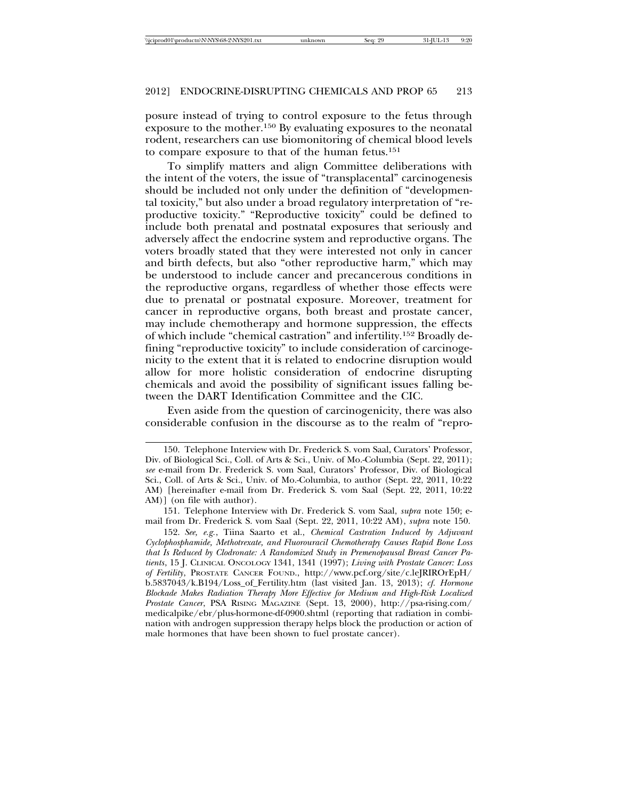posure instead of trying to control exposure to the fetus through exposure to the mother.150 By evaluating exposures to the neonatal rodent, researchers can use biomonitoring of chemical blood levels to compare exposure to that of the human fetus.151

To simplify matters and align Committee deliberations with the intent of the voters, the issue of "transplacental" carcinogenesis should be included not only under the definition of "developmental toxicity," but also under a broad regulatory interpretation of "reproductive toxicity." "Reproductive toxicity" could be defined to include both prenatal and postnatal exposures that seriously and adversely affect the endocrine system and reproductive organs. The voters broadly stated that they were interested not only in cancer and birth defects, but also "other reproductive harm," which may be understood to include cancer and precancerous conditions in the reproductive organs, regardless of whether those effects were due to prenatal or postnatal exposure. Moreover, treatment for cancer in reproductive organs, both breast and prostate cancer, may include chemotherapy and hormone suppression, the effects of which include "chemical castration" and infertility.152 Broadly defining "reproductive toxicity" to include consideration of carcinogenicity to the extent that it is related to endocrine disruption would allow for more holistic consideration of endocrine disrupting chemicals and avoid the possibility of significant issues falling between the DART Identification Committee and the CIC.

Even aside from the question of carcinogenicity, there was also considerable confusion in the discourse as to the realm of "repro-

151. Telephone Interview with Dr. Frederick S. vom Saal, *supra* note 150; email from Dr. Frederick S. vom Saal (Sept. 22, 2011, 10:22 AM), *supra* note 150.

152. *See, e.g.*, Tiina Saarto et al., *Chemical Castration Induced by Adjuvant Cyclophosphamide, Methotrexate, and Fluorouracil Chemotherapy Causes Rapid Bone Loss that Is Reduced by Clodronate: A Randomized Study in Premenopausal Breast Cancer Patients*, 15 J. CLINICAL ONCOLOGY 1341, 1341 (1997); *Living with Prostate Cancer: Loss of Fertility*, PROSTATE CANCER FOUND., http://www.pcf.org/site/c.leJRIROrEpH/ b.5837043/k.B194/Loss\_of\_Fertility.htm (last visited Jan. 13, 2013); *cf. Hormone Blockade Makes Radiation Therapy More Effective for Medium and High-Risk Localized Prostate Cancer*, PSA RISING MAGAZINE (Sept. 13, 2000), http://psa-rising.com/ medicalpike/ebr/plus-hormone-df-0900.shtml (reporting that radiation in combination with androgen suppression therapy helps block the production or action of male hormones that have been shown to fuel prostate cancer).

<sup>150.</sup> Telephone Interview with Dr. Frederick S. vom Saal, Curators' Professor, Div. of Biological Sci., Coll. of Arts & Sci., Univ. of Mo.-Columbia (Sept. 22, 2011); *see* e-mail from Dr. Frederick S. vom Saal, Curators' Professor, Div. of Biological Sci., Coll. of Arts & Sci., Univ. of Mo.-Columbia, to author (Sept. 22, 2011, 10:22 AM) [hereinafter e-mail from Dr. Frederick S. vom Saal (Sept. 22, 2011, 10:22 AM)] (on file with author).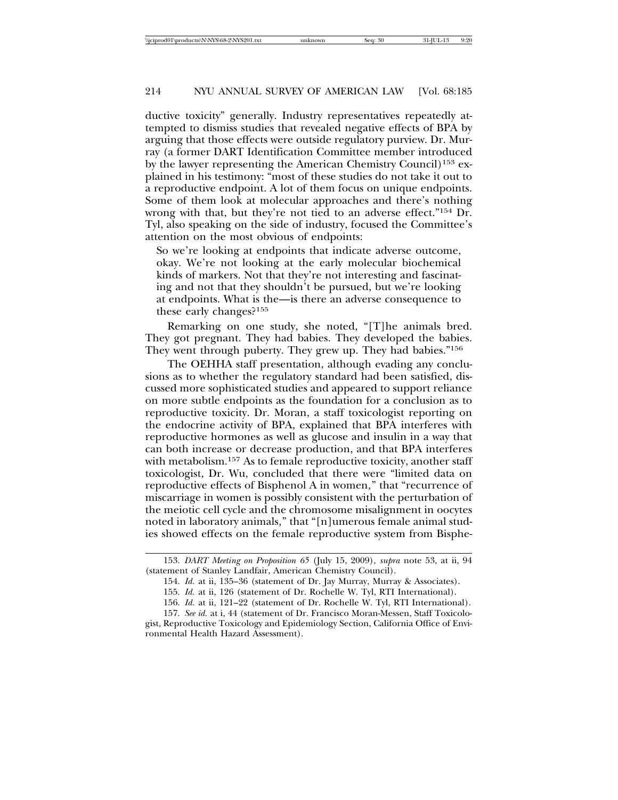ductive toxicity" generally. Industry representatives repeatedly attempted to dismiss studies that revealed negative effects of BPA by arguing that those effects were outside regulatory purview. Dr. Murray (a former DART Identification Committee member introduced by the lawyer representing the American Chemistry Council)153 explained in his testimony: "most of these studies do not take it out to a reproductive endpoint. A lot of them focus on unique endpoints. Some of them look at molecular approaches and there's nothing wrong with that, but they're not tied to an adverse effect."154 Dr. Tyl, also speaking on the side of industry, focused the Committee's attention on the most obvious of endpoints:

So we're looking at endpoints that indicate adverse outcome, okay. We're not looking at the early molecular biochemical kinds of markers. Not that they're not interesting and fascinating and not that they shouldn't be pursued, but we're looking at endpoints. What is the—is there an adverse consequence to these early changes?155

Remarking on one study, she noted, "[T]he animals bred. They got pregnant. They had babies. They developed the babies. They went through puberty. They grew up. They had babies."156

The OEHHA staff presentation, although evading any conclusions as to whether the regulatory standard had been satisfied, discussed more sophisticated studies and appeared to support reliance on more subtle endpoints as the foundation for a conclusion as to reproductive toxicity. Dr. Moran, a staff toxicologist reporting on the endocrine activity of BPA, explained that BPA interferes with reproductive hormones as well as glucose and insulin in a way that can both increase or decrease production, and that BPA interferes with metabolism.<sup>157</sup> As to female reproductive toxicity, another staff toxicologist, Dr. Wu, concluded that there were "limited data on reproductive effects of Bisphenol A in women*,*" that "recurrence of miscarriage in women is possibly consistent with the perturbation of the meiotic cell cycle and the chromosome misalignment in oocytes noted in laboratory animals*,*" that "[n]umerous female animal studies showed effects on the female reproductive system from Bisphe-

<sup>153.</sup> *DART Meeting on Proposition 65* (July 15, 2009), *supra* note 53, at ii, 94 (statement of Stanley Landfair, American Chemistry Council).

<sup>154.</sup> *Id.* at ii, 135–36 (statement of Dr. Jay Murray, Murray & Associates).

<sup>155.</sup> *Id.* at ii, 126 (statement of Dr. Rochelle W. Tyl, RTI International).

<sup>156.</sup> *Id.* at ii, 121–22 (statement of Dr. Rochelle W. Tyl, RTI International).

<sup>157.</sup> *See id.* at i, 44 (statement of Dr. Francisco Moran-Messen, Staff Toxicologist, Reproductive Toxicology and Epidemiology Section, California Office of Environmental Health Hazard Assessment).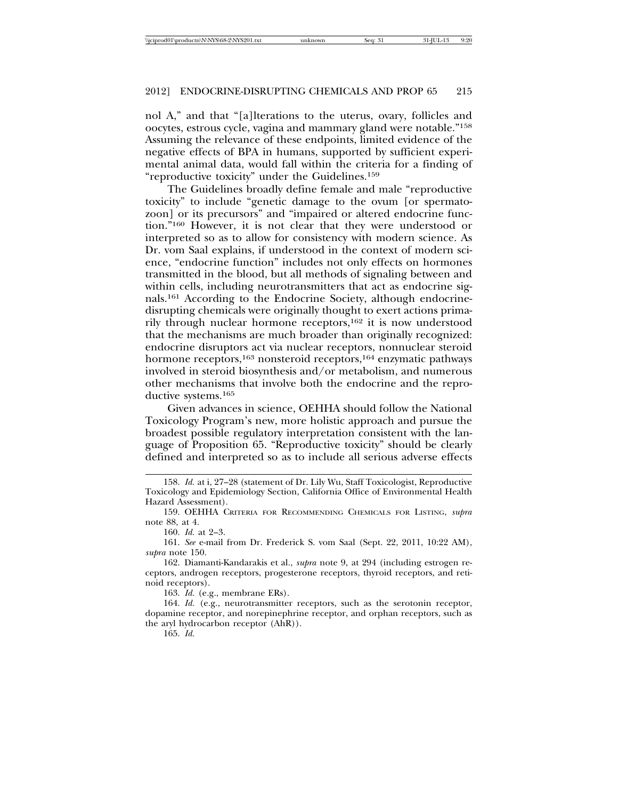nol A," and that "[a]lterations to the uterus, ovary, follicles and oocytes, estrous cycle, vagina and mammary gland were notable."158 Assuming the relevance of these endpoints, limited evidence of the negative effects of BPA in humans, supported by sufficient experimental animal data, would fall within the criteria for a finding of "reproductive toxicity" under the Guidelines.159

The Guidelines broadly define female and male "reproductive toxicity" to include "genetic damage to the ovum [or spermatozoon] or its precursors" and "impaired or altered endocrine function."160 However, it is not clear that they were understood or interpreted so as to allow for consistency with modern science. As Dr. vom Saal explains, if understood in the context of modern science, "endocrine function" includes not only effects on hormones transmitted in the blood, but all methods of signaling between and within cells, including neurotransmitters that act as endocrine signals.161 According to the Endocrine Society, although endocrinedisrupting chemicals were originally thought to exert actions primarily through nuclear hormone receptors,<sup>162</sup> it is now understood that the mechanisms are much broader than originally recognized: endocrine disruptors act via nuclear receptors, nonnuclear steroid hormone receptors,<sup>163</sup> nonsteroid receptors,<sup>164</sup> enzymatic pathways involved in steroid biosynthesis and/or metabolism, and numerous other mechanisms that involve both the endocrine and the reproductive systems.165

Given advances in science, OEHHA should follow the National Toxicology Program's new, more holistic approach and pursue the broadest possible regulatory interpretation consistent with the language of Proposition 65. "Reproductive toxicity" should be clearly defined and interpreted so as to include all serious adverse effects

163. *Id.* (e.g., membrane ERs).

165. *Id.*

<sup>158.</sup> *Id.* at i, 27–28 (statement of Dr. Lily Wu, Staff Toxicologist, Reproductive Toxicology and Epidemiology Section, California Office of Environmental Health Hazard Assessment).

<sup>159.</sup> OEHHA CRITERIA FOR RECOMMENDING CHEMICALS FOR LISTING, *supra* note 88, at 4.

<sup>160.</sup> *Id.* at 2–3.

<sup>161.</sup> *See* e-mail from Dr. Frederick S. vom Saal (Sept. 22, 2011, 10:22 AM), *supra* note 150.

<sup>162.</sup> Diamanti-Kandarakis et al., *supra* note 9, at 294 (including estrogen receptors, androgen receptors, progesterone receptors, thyroid receptors, and retinoid receptors).

<sup>164.</sup> *Id.* (e.g., neurotransmitter receptors, such as the serotonin receptor, dopamine receptor, and norepinephrine receptor, and orphan receptors, such as the aryl hydrocarbon receptor (AhR)).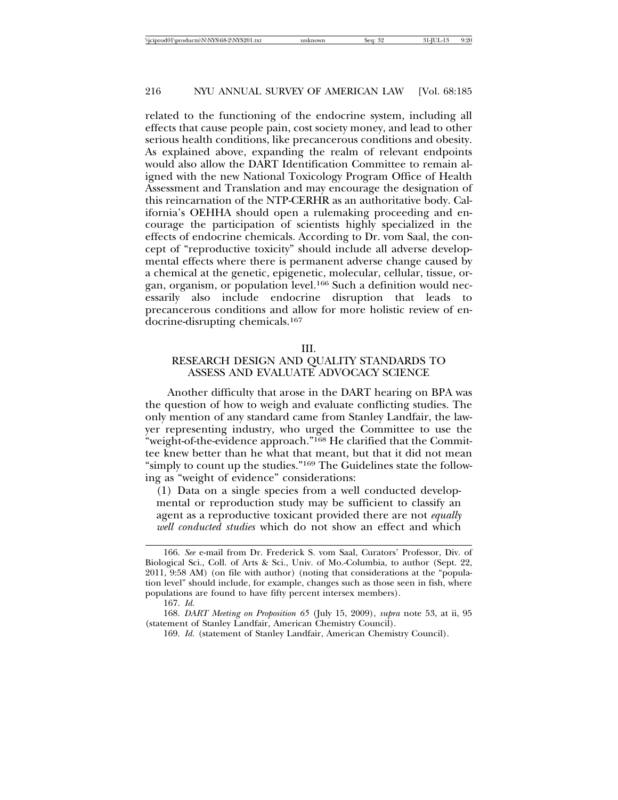related to the functioning of the endocrine system, including all effects that cause people pain, cost society money, and lead to other serious health conditions, like precancerous conditions and obesity. As explained above, expanding the realm of relevant endpoints would also allow the DART Identification Committee to remain aligned with the new National Toxicology Program Office of Health Assessment and Translation and may encourage the designation of this reincarnation of the NTP-CERHR as an authoritative body. California's OEHHA should open a rulemaking proceeding and encourage the participation of scientists highly specialized in the effects of endocrine chemicals. According to Dr. vom Saal, the concept of "reproductive toxicity" should include all adverse developmental effects where there is permanent adverse change caused by a chemical at the genetic, epigenetic, molecular, cellular, tissue, organ, organism, or population level.166 Such a definition would necessarily also include endocrine disruption that leads to precancerous conditions and allow for more holistic review of endocrine-disrupting chemicals.167

III.

## RESEARCH DESIGN AND QUALITY STANDARDS TO ASSESS AND EVALUATE ADVOCACY SCIENCE

Another difficulty that arose in the DART hearing on BPA was the question of how to weigh and evaluate conflicting studies. The only mention of any standard came from Stanley Landfair, the lawyer representing industry, who urged the Committee to use the "weight-of-the-evidence approach."<sup>168</sup> He clarified that the Committee knew better than he what that meant, but that it did not mean "simply to count up the studies."<sup>169</sup> The Guidelines state the following as "weight of evidence" considerations:

(1) Data on a single species from a well conducted developmental or reproduction study may be sufficient to classify an agent as a reproductive toxicant provided there are not *equally well conducted studies* which do not show an effect and which

<sup>166.</sup> *See* e-mail from Dr. Frederick S. vom Saal, Curators' Professor, Div. of Biological Sci., Coll. of Arts & Sci., Univ. of Mo.-Columbia, to author (Sept. 22, 2011, 9:58 AM) (on file with author) (noting that considerations at the "population level" should include, for example, changes such as those seen in fish, where populations are found to have fifty percent intersex members).

<sup>167.</sup> *Id.*

<sup>168.</sup> *DART Meeting on Proposition 65* (July 15, 2009), *supra* note 53, at ii, 95 (statement of Stanley Landfair, American Chemistry Council).

<sup>169.</sup> *Id.* (statement of Stanley Landfair, American Chemistry Council).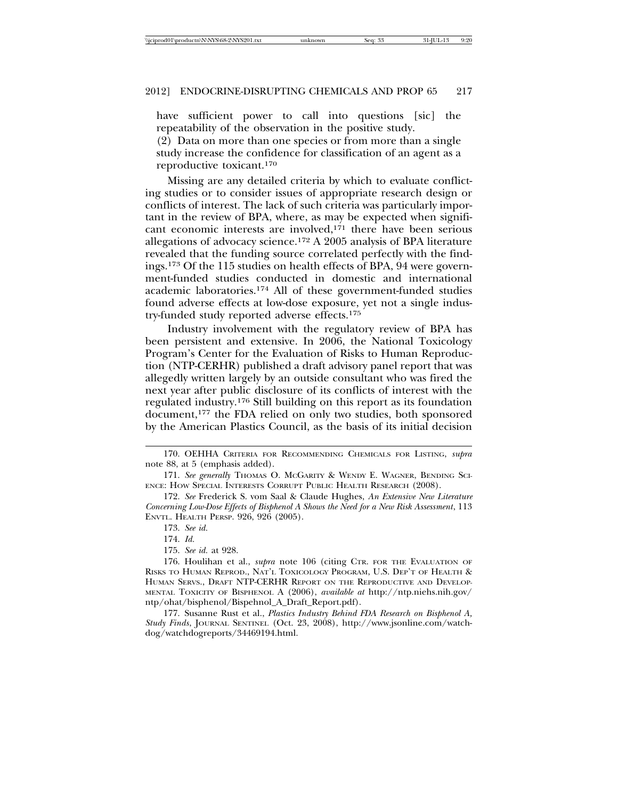have sufficient power to call into questions [sic] the repeatability of the observation in the positive study.

(2) Data on more than one species or from more than a single study increase the confidence for classification of an agent as a reproductive toxicant.170

Missing are any detailed criteria by which to evaluate conflicting studies or to consider issues of appropriate research design or conflicts of interest. The lack of such criteria was particularly important in the review of BPA, where, as may be expected when significant economic interests are involved,171 there have been serious allegations of advocacy science.172 A 2005 analysis of BPA literature revealed that the funding source correlated perfectly with the findings.173 Of the 115 studies on health effects of BPA, 94 were government-funded studies conducted in domestic and international academic laboratories.174 All of these government-funded studies found adverse effects at low-dose exposure, yet not a single industry-funded study reported adverse effects.175

Industry involvement with the regulatory review of BPA has been persistent and extensive. In 2006, the National Toxicology Program's Center for the Evaluation of Risks to Human Reproduction (NTP-CERHR) published a draft advisory panel report that was allegedly written largely by an outside consultant who was fired the next year after public disclosure of its conflicts of interest with the regulated industry.176 Still building on this report as its foundation document,177 the FDA relied on only two studies, both sponsored by the American Plastics Council, as the basis of its initial decision

177. Susanne Rust et al., *Plastics Industry Behind FDA Research on Bisphenol A, Study Finds*, JOURNAL SENTINEL (Oct. 23, 2008), http://www.jsonline.com/watchdog/watchdogreports/34469194.html.

<sup>170.</sup> OEHHA CRITERIA FOR RECOMMENDING CHEMICALS FOR LISTING, *supra* note 88, at 5 (emphasis added).

<sup>171.</sup> See generally THOMAS O. McGARITY & WENDY E. WAGNER, BENDING SCI-ENCE: HOW SPECIAL INTERESTS CORRUPT PUBLIC HEALTH RESEARCH (2008).

<sup>172.</sup> *See* Frederick S. vom Saal & Claude Hughes, *An Extensive New Literature Concerning Low-Dose Effects of Bisphenol A Shows the Need for a New Risk Assessment*, 113 ENVTL. HEALTH PERSP. 926, 926 (2005).

<sup>173.</sup> *See id.*

<sup>174.</sup> *Id.*

<sup>175.</sup> *See id.* at 928.

<sup>176.</sup> Houlihan et al., *supra* note 106 (citing CTR. FOR THE EVALUATION OF RISKS TO HUMAN REPROD., NAT'L TOXICOLOGY PROGRAM, U.S. DEP'T OF HEALTH & HUMAN SERVS., DRAFT NTP-CERHR REPORT ON THE REPRODUCTIVE AND DEVELOP-MENTAL TOXICITY OF BISPHENOL A (2006), *available at* http://ntp.niehs.nih.gov/ ntp/ohat/bisphenol/Bispehnol\_A\_Draft\_Report.pdf).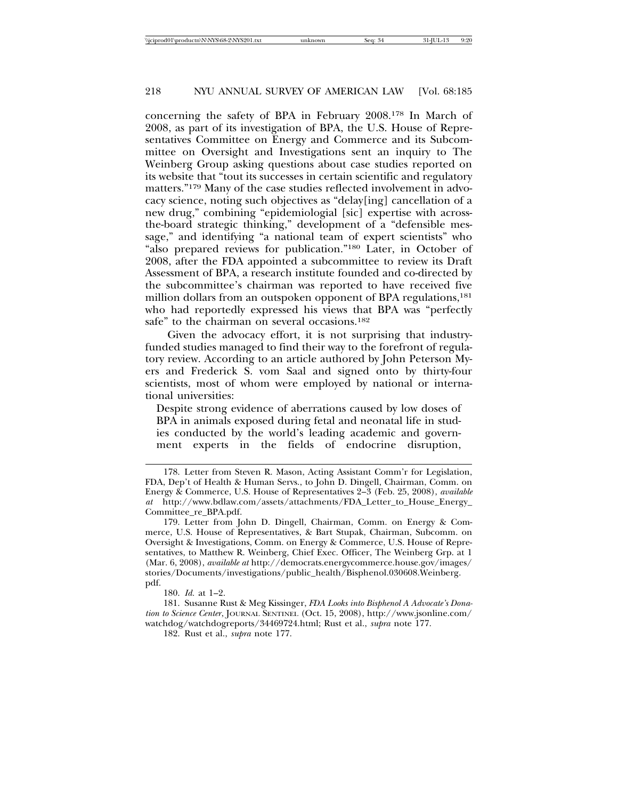concerning the safety of BPA in February 2008.178 In March of 2008, as part of its investigation of BPA, the U.S. House of Representatives Committee on Energy and Commerce and its Subcommittee on Oversight and Investigations sent an inquiry to The Weinberg Group asking questions about case studies reported on its website that "tout its successes in certain scientific and regulatory matters."179 Many of the case studies reflected involvement in advocacy science, noting such objectives as "delay[ing] cancellation of a new drug," combining "epidemiologial [sic] expertise with acrossthe-board strategic thinking," development of a "defensible message," and identifying "a national team of expert scientists" who "also prepared reviews for publication."180 Later, in October of 2008, after the FDA appointed a subcommittee to review its Draft Assessment of BPA, a research institute founded and co-directed by the subcommittee's chairman was reported to have received five million dollars from an outspoken opponent of BPA regulations,<sup>181</sup> who had reportedly expressed his views that BPA was "perfectly safe" to the chairman on several occasions.<sup>182</sup>

Given the advocacy effort, it is not surprising that industryfunded studies managed to find their way to the forefront of regulatory review. According to an article authored by John Peterson Myers and Frederick S. vom Saal and signed onto by thirty-four scientists, most of whom were employed by national or international universities:

Despite strong evidence of aberrations caused by low doses of BPA in animals exposed during fetal and neonatal life in studies conducted by the world's leading academic and government experts in the fields of endocrine disruption,

182. Rust et al., *supra* note 177.

<sup>178.</sup> Letter from Steven R. Mason, Acting Assistant Comm'r for Legislation, FDA, Dep't of Health & Human Servs., to John D. Dingell, Chairman, Comm. on Energy & Commerce, U.S. House of Representatives 2–3 (Feb. 25, 2008), *available at* http://www.bdlaw.com/assets/attachments/FDA\_Letter\_to\_House\_Energy\_ Committee\_re\_BPA.pdf.

<sup>179.</sup> Letter from John D. Dingell, Chairman, Comm. on Energy & Commerce, U.S. House of Representatives, & Bart Stupak, Chairman, Subcomm. on Oversight & Investigations, Comm. on Energy & Commerce, U.S. House of Representatives, to Matthew R. Weinberg, Chief Exec. Officer, The Weinberg Grp. at 1 (Mar. 6, 2008), *available at* http://democrats.energycommerce.house.gov/images/ stories/Documents/investigations/public\_health/Bisphenol.030608.Weinberg. pdf.

<sup>180.</sup> *Id.* at 1–2.

<sup>181.</sup> Susanne Rust & Meg Kissinger, *FDA Looks into Bisphenol A Advocate's Donation to Science Center*, JOURNAL SENTINEL (Oct. 15, 2008), http://www.jsonline.com/ watchdog/watchdogreports/34469724.html; Rust et al., *supra* note 177.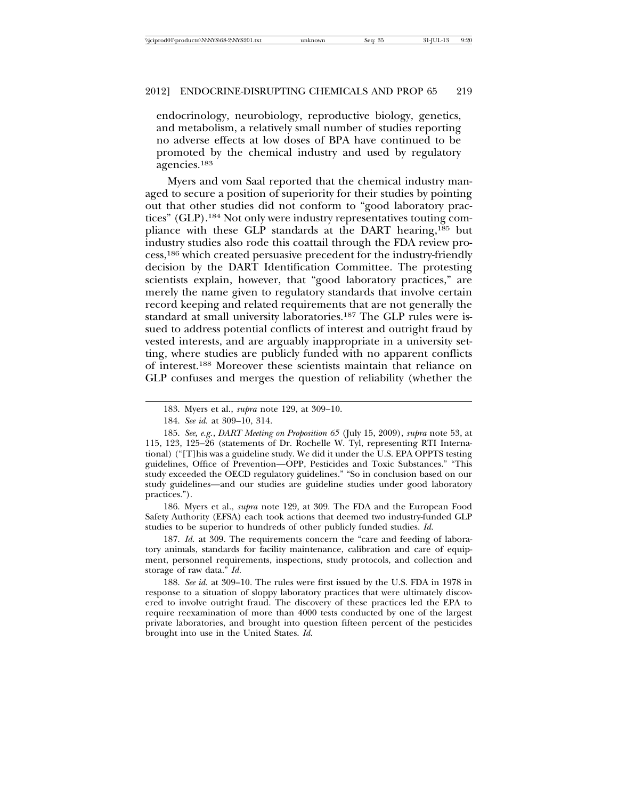endocrinology, neurobiology, reproductive biology, genetics, and metabolism, a relatively small number of studies reporting no adverse effects at low doses of BPA have continued to be promoted by the chemical industry and used by regulatory agencies.183

Myers and vom Saal reported that the chemical industry managed to secure a position of superiority for their studies by pointing out that other studies did not conform to "good laboratory practices" (GLP).184 Not only were industry representatives touting compliance with these GLP standards at the DART hearing,185 but industry studies also rode this coattail through the FDA review process,186 which created persuasive precedent for the industry-friendly decision by the DART Identification Committee. The protesting scientists explain, however, that "good laboratory practices," are merely the name given to regulatory standards that involve certain record keeping and related requirements that are not generally the standard at small university laboratories.187 The GLP rules were issued to address potential conflicts of interest and outright fraud by vested interests, and are arguably inappropriate in a university setting, where studies are publicly funded with no apparent conflicts of interest.188 Moreover these scientists maintain that reliance on GLP confuses and merges the question of reliability (whether the

186. Myers et al., *supra* note 129, at 309. The FDA and the European Food Safety Authority (EFSA) each took actions that deemed two industry-funded GLP studies to be superior to hundreds of other publicly funded studies. *Id.*

187. *Id.* at 309. The requirements concern the "care and feeding of laboratory animals, standards for facility maintenance, calibration and care of equipment, personnel requirements, inspections, study protocols, and collection and storage of raw data." *Id.*

188. *See id.* at 309–10. The rules were first issued by the U.S. FDA in 1978 in response to a situation of sloppy laboratory practices that were ultimately discovered to involve outright fraud. The discovery of these practices led the EPA to require reexamination of more than 4000 tests conducted by one of the largest private laboratories, and brought into question fifteen percent of the pesticides brought into use in the United States. *Id.*

<sup>183.</sup> Myers et al., *supra* note 129, at 309–10.

<sup>184.</sup> *See id.* at 309–10, 314.

<sup>185.</sup> *See, e.g.*, *DART Meeting on Proposition 65* (July 15, 2009), *supra* note 53, at 115, 123, 125–26 (statements of Dr. Rochelle W. Tyl, representing RTI International) ("[T]his was a guideline study. We did it under the U.S. EPA OPPTS testing guidelines, Office of Prevention—OPP, Pesticides and Toxic Substances." "This study exceeded the OECD regulatory guidelines." "So in conclusion based on our study guidelines—and our studies are guideline studies under good laboratory practices.").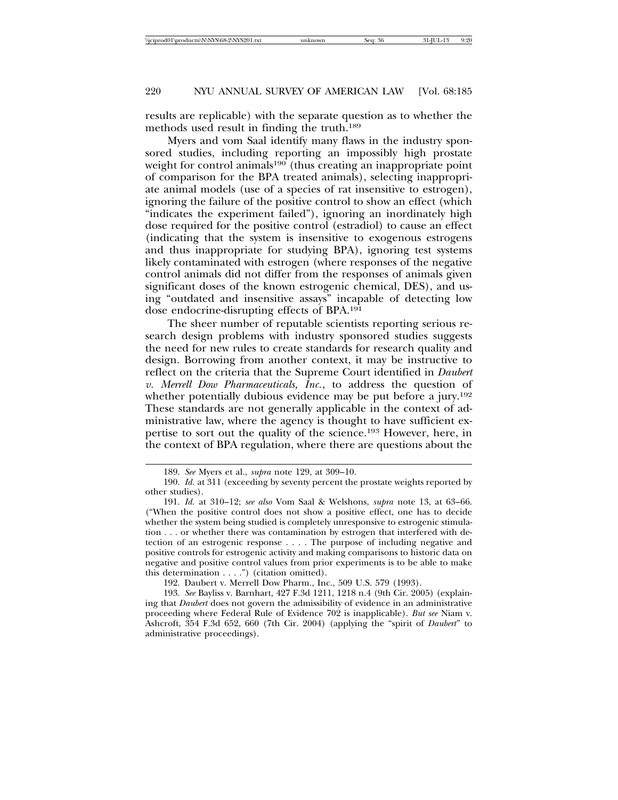results are replicable) with the separate question as to whether the methods used result in finding the truth.189

Myers and vom Saal identify many flaws in the industry sponsored studies, including reporting an impossibly high prostate weight for control animals<sup>190</sup> (thus creating an inappropriate point of comparison for the BPA treated animals), selecting inappropriate animal models (use of a species of rat insensitive to estrogen), ignoring the failure of the positive control to show an effect (which "indicates the experiment failed"), ignoring an inordinately high dose required for the positive control (estradiol) to cause an effect (indicating that the system is insensitive to exogenous estrogens and thus inappropriate for studying BPA), ignoring test systems likely contaminated with estrogen (where responses of the negative control animals did not differ from the responses of animals given significant doses of the known estrogenic chemical, DES), and using "outdated and insensitive assays" incapable of detecting low dose endocrine-disrupting effects of BPA.191

The sheer number of reputable scientists reporting serious research design problems with industry sponsored studies suggests the need for new rules to create standards for research quality and design. Borrowing from another context, it may be instructive to reflect on the criteria that the Supreme Court identified in *Daubert v. Merrell Dow Pharmaceuticals, Inc.*, to address the question of whether potentially dubious evidence may be put before a jury.<sup>192</sup> These standards are not generally applicable in the context of administrative law, where the agency is thought to have sufficient expertise to sort out the quality of the science.193 However, here, in the context of BPA regulation, where there are questions about the

192. Daubert v. Merrell Dow Pharm., Inc., 509 U.S. 579 (1993).

<sup>189.</sup> *See* Myers et al., *supra* note 129, at 309–10.

<sup>190.</sup> *Id.* at 311 (exceeding by seventy percent the prostate weights reported by other studies).

<sup>191.</sup> *Id.* at 310–12; *see also* Vom Saal & Welshons, *supra* note 13, at 63–66. ("When the positive control does not show a positive effect, one has to decide whether the system being studied is completely unresponsive to estrogenic stimulation . . . or whether there was contamination by estrogen that interfered with detection of an estrogenic response . . . . The purpose of including negative and positive controls for estrogenic activity and making comparisons to historic data on negative and positive control values from prior experiments is to be able to make this determination  $\dots$ .") (citation omitted).

<sup>193.</sup> *See* Bayliss v. Barnhart, 427 F.3d 1211, 1218 n.4 (9th Cir. 2005) (explaining that *Daubert* does not govern the admissibility of evidence in an administrative proceeding where Federal Rule of Evidence 702 is inapplicable). *But see* Niam v. Ashcroft, 354 F.3d 652, 660 (7th Cir. 2004) (applying the "spirit of *Daubert*" to administrative proceedings).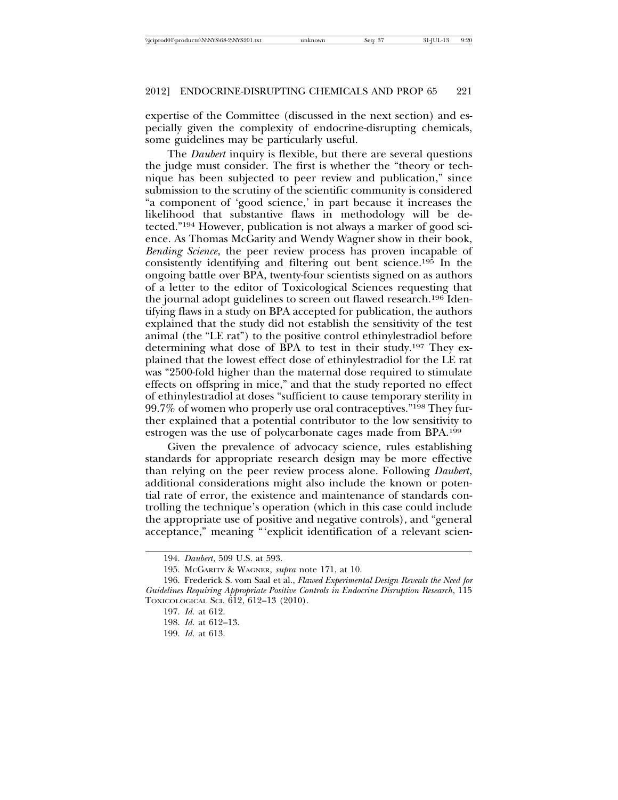expertise of the Committee (discussed in the next section) and especially given the complexity of endocrine-disrupting chemicals, some guidelines may be particularly useful.

The *Daubert* inquiry is flexible, but there are several questions the judge must consider. The first is whether the "theory or technique has been subjected to peer review and publication," since submission to the scrutiny of the scientific community is considered "a component of 'good science,' in part because it increases the likelihood that substantive flaws in methodology will be detected."194 However, publication is not always a marker of good science. As Thomas McGarity and Wendy Wagner show in their book, *Bending Science*, the peer review process has proven incapable of consistently identifying and filtering out bent science.195 In the ongoing battle over BPA, twenty-four scientists signed on as authors of a letter to the editor of Toxicological Sciences requesting that the journal adopt guidelines to screen out flawed research.196 Identifying flaws in a study on BPA accepted for publication, the authors explained that the study did not establish the sensitivity of the test animal (the "LE rat") to the positive control ethinylestradiol before determining what dose of BPA to test in their study.197 They explained that the lowest effect dose of ethinylestradiol for the LE rat was "2500-fold higher than the maternal dose required to stimulate effects on offspring in mice," and that the study reported no effect of ethinylestradiol at doses "sufficient to cause temporary sterility in 99.7% of women who properly use oral contraceptives."198 They further explained that a potential contributor to the low sensitivity to estrogen was the use of polycarbonate cages made from BPA.199

Given the prevalence of advocacy science, rules establishing standards for appropriate research design may be more effective than relying on the peer review process alone. Following *Daubert*, additional considerations might also include the known or potential rate of error, the existence and maintenance of standards controlling the technique's operation (which in this case could include the appropriate use of positive and negative controls), and "general acceptance," meaning "'explicit identification of a relevant scien-

196. Frederick S. vom Saal et al., *Flawed Experimental Design Reveals the Need for Guidelines Requiring Appropriate Positive Controls in Endocrine Disruption Research*, 115 TOXICOLOGICAL SCI. 612, 612–13 (2010).

<sup>194.</sup> *Daubert*, 509 U.S. at 593.

<sup>195.</sup> MCGARITY & WAGNER, *supra* note 171, at 10.

<sup>197.</sup> *Id.* at 612.

<sup>198.</sup> *Id.* at 612–13.

<sup>199.</sup> *Id.* at 613.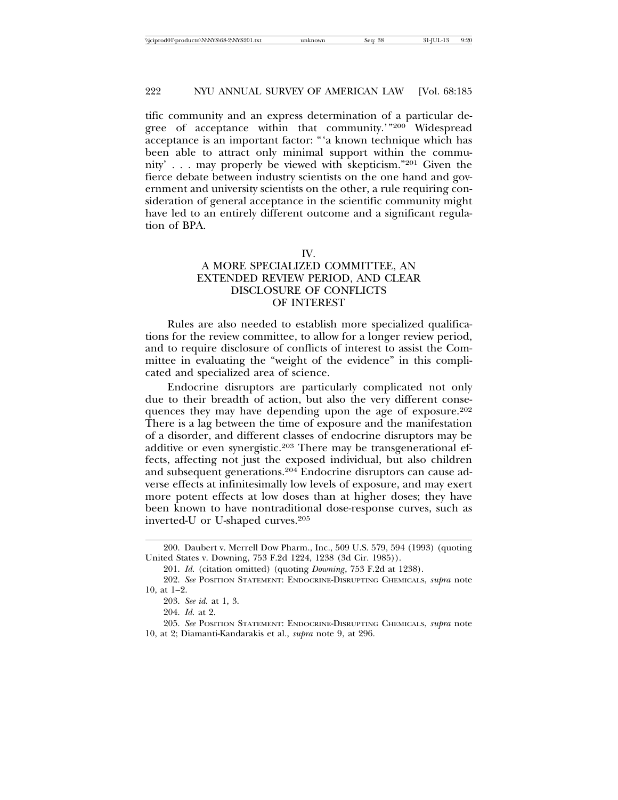tific community and an express determination of a particular degree of acceptance within that community.'"200 Widespread acceptance is an important factor: "'a known technique which has been able to attract only minimal support within the community' . . . may properly be viewed with skepticism."201 Given the fierce debate between industry scientists on the one hand and government and university scientists on the other, a rule requiring consideration of general acceptance in the scientific community might have led to an entirely different outcome and a significant regulation of BPA.

IV.

## A MORE SPECIALIZED COMMITTEE, AN EXTENDED REVIEW PERIOD, AND CLEAR DISCLOSURE OF CONFLICTS OF INTEREST

Rules are also needed to establish more specialized qualifications for the review committee, to allow for a longer review period, and to require disclosure of conflicts of interest to assist the Committee in evaluating the "weight of the evidence" in this complicated and specialized area of science.

Endocrine disruptors are particularly complicated not only due to their breadth of action, but also the very different consequences they may have depending upon the age of exposure.<sup>202</sup> There is a lag between the time of exposure and the manifestation of a disorder, and different classes of endocrine disruptors may be additive or even synergistic.<sup>203</sup> There may be transgenerational effects, affecting not just the exposed individual, but also children and subsequent generations.204 Endocrine disruptors can cause adverse effects at infinitesimally low levels of exposure, and may exert more potent effects at low doses than at higher doses; they have been known to have nontraditional dose-response curves, such as inverted-U or U-shaped curves.205

<sup>200.</sup> Daubert v. Merrell Dow Pharm., Inc., 509 U.S. 579, 594 (1993) (quoting United States v. Downing, 753 F.2d 1224, 1238 (3d Cir. 1985)).

<sup>201.</sup> *Id.* (citation omitted) (quoting *Downing*, 753 F.2d at 1238).

<sup>202.</sup> *See* POSITION STATEMENT: ENDOCRINE-DISRUPTING CHEMICALS, *supra* note 10, at 1–2.

<sup>203.</sup> *See id.* at 1, 3.

<sup>204.</sup> *Id.* at 2.

<sup>205.</sup> *See* POSITION STATEMENT: ENDOCRINE-DISRUPTING CHEMICALS, *supra* note 10, at 2; Diamanti-Kandarakis et al., *supra* note 9, at 296.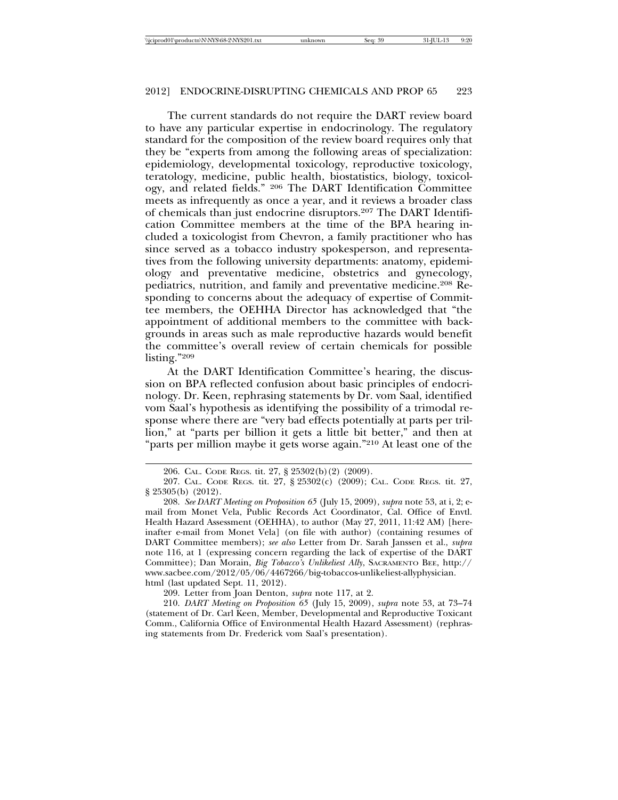The current standards do not require the DART review board to have any particular expertise in endocrinology. The regulatory standard for the composition of the review board requires only that they be "experts from among the following areas of specialization: epidemiology, developmental toxicology, reproductive toxicology, teratology, medicine, public health, biostatistics, biology, toxicology, and related fields." 206 The DART Identification Committee meets as infrequently as once a year, and it reviews a broader class of chemicals than just endocrine disruptors.207 The DART Identification Committee members at the time of the BPA hearing included a toxicologist from Chevron, a family practitioner who has since served as a tobacco industry spokesperson, and representatives from the following university departments: anatomy, epidemiology and preventative medicine, obstetrics and gynecology, pediatrics, nutrition, and family and preventative medicine.208 Responding to concerns about the adequacy of expertise of Committee members, the OEHHA Director has acknowledged that "the appointment of additional members to the committee with backgrounds in areas such as male reproductive hazards would benefit the committee's overall review of certain chemicals for possible listing."209

At the DART Identification Committee's hearing, the discussion on BPA reflected confusion about basic principles of endocrinology. Dr. Keen, rephrasing statements by Dr. vom Saal, identified vom Saal's hypothesis as identifying the possibility of a trimodal response where there are "very bad effects potentially at parts per trillion," at "parts per billion it gets a little bit better," and then at "parts per million maybe it gets worse again."<sup>210</sup> At least one of the

209. Letter from Joan Denton, *supra* note 117, at 2.

210. *DART Meeting on Proposition 65* (July 15, 2009), *supra* note 53, at 73–74 (statement of Dr. Carl Keen, Member, Developmental and Reproductive Toxicant Comm., California Office of Environmental Health Hazard Assessment) (rephrasing statements from Dr. Frederick vom Saal's presentation).

<sup>206.</sup> CAL. CODE REGS. tit. 27, § 25302(b)(2) (2009).

<sup>207.</sup> CAL. CODE REGS. tit. 27, § 25302(c) (2009); CAL. CODE REGS. tit. 27, § 25305(b) (2012).

<sup>208.</sup> *See DART Meeting on Proposition 65* (July 15, 2009), *supra* note 53, at i, 2; email from Monet Vela, Public Records Act Coordinator, Cal. Office of Envtl. Health Hazard Assessment (OEHHA), to author (May 27, 2011, 11:42 AM) [hereinafter e-mail from Monet Vela] (on file with author) (containing resumes of DART Committee members); *see also* Letter from Dr. Sarah Janssen et al., *supra* note 116, at 1 (expressing concern regarding the lack of expertise of the DART Committee); Dan Morain, *Big Tobacco's Unlikeliest Ally*, SACRAMENTO BEE, http:// www.sacbee.com/2012/05/06/4467266/big-tobaccos-unlikeliest-allyphysician. html (last updated Sept. 11, 2012).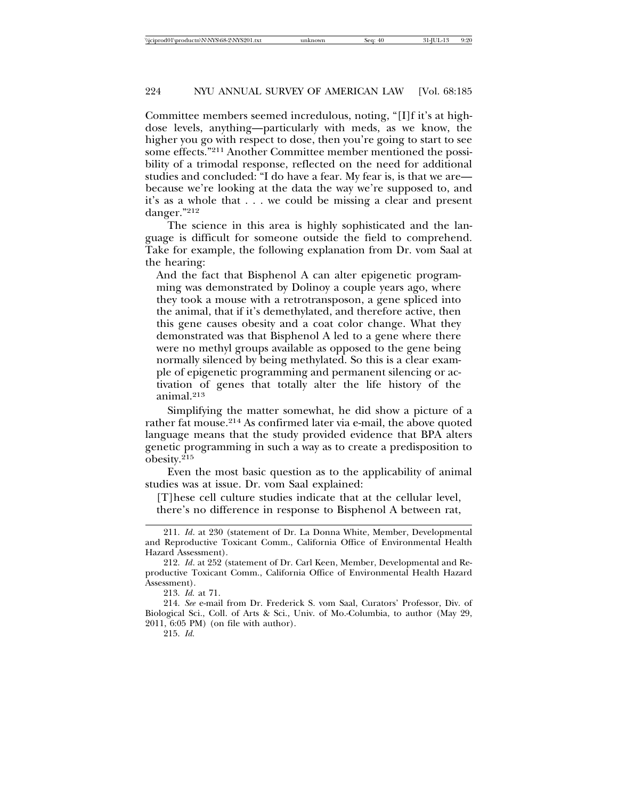Committee members seemed incredulous, noting, "[I]f it's at highdose levels, anything—particularly with meds, as we know, the higher you go with respect to dose, then you're going to start to see some effects."211 Another Committee member mentioned the possibility of a trimodal response, reflected on the need for additional studies and concluded: "I do have a fear. My fear is, is that we are because we're looking at the data the way we're supposed to, and it's as a whole that . . . we could be missing a clear and present danger."212

The science in this area is highly sophisticated and the language is difficult for someone outside the field to comprehend. Take for example, the following explanation from Dr. vom Saal at the hearing:

And the fact that Bisphenol A can alter epigenetic programming was demonstrated by Dolinoy a couple years ago, where they took a mouse with a retrotransposon, a gene spliced into the animal, that if it's demethylated, and therefore active, then this gene causes obesity and a coat color change. What they demonstrated was that Bisphenol A led to a gene where there were no methyl groups available as opposed to the gene being normally silenced by being methylated. So this is a clear example of epigenetic programming and permanent silencing or activation of genes that totally alter the life history of the animal.213

Simplifying the matter somewhat, he did show a picture of a rather fat mouse.<sup>214</sup> As confirmed later via e-mail, the above quoted language means that the study provided evidence that BPA alters genetic programming in such a way as to create a predisposition to obesity.215

Even the most basic question as to the applicability of animal studies was at issue. Dr. vom Saal explained:

[T]hese cell culture studies indicate that at the cellular level, there's no difference in response to Bisphenol A between rat,

<sup>211.</sup> *Id*. at 230 (statement of Dr. La Donna White, Member, Developmental and Reproductive Toxicant Comm., California Office of Environmental Health Hazard Assessment).

<sup>212.</sup> *Id*. at 252 (statement of Dr. Carl Keen, Member, Developmental and Reproductive Toxicant Comm., California Office of Environmental Health Hazard Assessment).

<sup>213.</sup> *Id.* at 71.

<sup>214.</sup> *See* e-mail from Dr. Frederick S. vom Saal, Curators' Professor, Div. of Biological Sci., Coll. of Arts & Sci., Univ. of Mo.-Columbia, to author (May 29, 2011, 6:05 PM) (on file with author).

<sup>215.</sup> *Id.*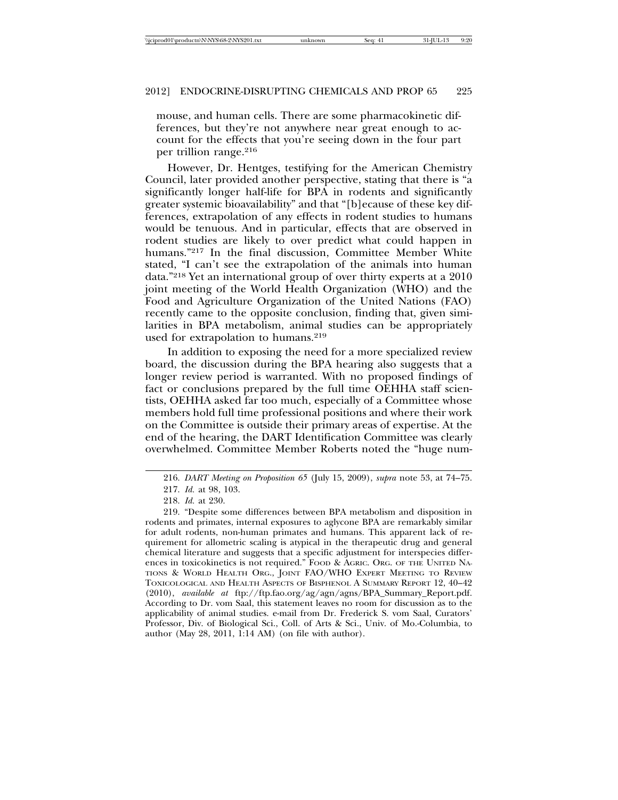mouse, and human cells. There are some pharmacokinetic differences, but they're not anywhere near great enough to account for the effects that you're seeing down in the four part per trillion range.216

However, Dr. Hentges, testifying for the American Chemistry Council, later provided another perspective, stating that there is "a significantly longer half-life for BPA in rodents and significantly greater systemic bioavailability" and that "[b]ecause of these key differences, extrapolation of any effects in rodent studies to humans would be tenuous. And in particular, effects that are observed in rodent studies are likely to over predict what could happen in humans."<sup>217</sup> In the final discussion, Committee Member White stated, "I can't see the extrapolation of the animals into human data."218 Yet an international group of over thirty experts at a 2010 joint meeting of the World Health Organization (WHO) and the Food and Agriculture Organization of the United Nations (FAO) recently came to the opposite conclusion, finding that, given similarities in BPA metabolism, animal studies can be appropriately used for extrapolation to humans.<sup>219</sup>

In addition to exposing the need for a more specialized review board, the discussion during the BPA hearing also suggests that a longer review period is warranted. With no proposed findings of fact or conclusions prepared by the full time OEHHA staff scientists, OEHHA asked far too much, especially of a Committee whose members hold full time professional positions and where their work on the Committee is outside their primary areas of expertise. At the end of the hearing, the DART Identification Committee was clearly overwhelmed. Committee Member Roberts noted the "huge num-

<sup>216.</sup> *DART Meeting on Proposition 65* (July 15, 2009), *supra* note 53, at 74–75.

<sup>217.</sup> *Id.* at 98, 103.

<sup>218.</sup> *Id.* at 230.

<sup>219. &</sup>quot;Despite some differences between BPA metabolism and disposition in rodents and primates, internal exposures to aglycone BPA are remarkably similar for adult rodents, non-human primates and humans. This apparent lack of requirement for allometric scaling is atypical in the therapeutic drug and general chemical literature and suggests that a specific adjustment for interspecies differences in toxicokinetics is not required." FOOD & AGRIC. ORG. OF THE UNITED NA-TIONS & WORLD HEALTH ORG., JOINT FAO/WHO EXPERT MEETING TO REVIEW TOXICOLOGICAL AND HEALTH ASPECTS OF BISPHENOL A SUMMARY REPORT 12, 40–42 (2010), *available at* ftp://ftp.fao.org/ag/agn/agns/BPA\_Summary\_Report.pdf. According to Dr. vom Saal, this statement leaves no room for discussion as to the applicability of animal studies. e-mail from Dr. Frederick S. vom Saal, Curators' Professor, Div. of Biological Sci., Coll. of Arts & Sci., Univ. of Mo.-Columbia, to author (May 28, 2011, 1:14 AM) (on file with author).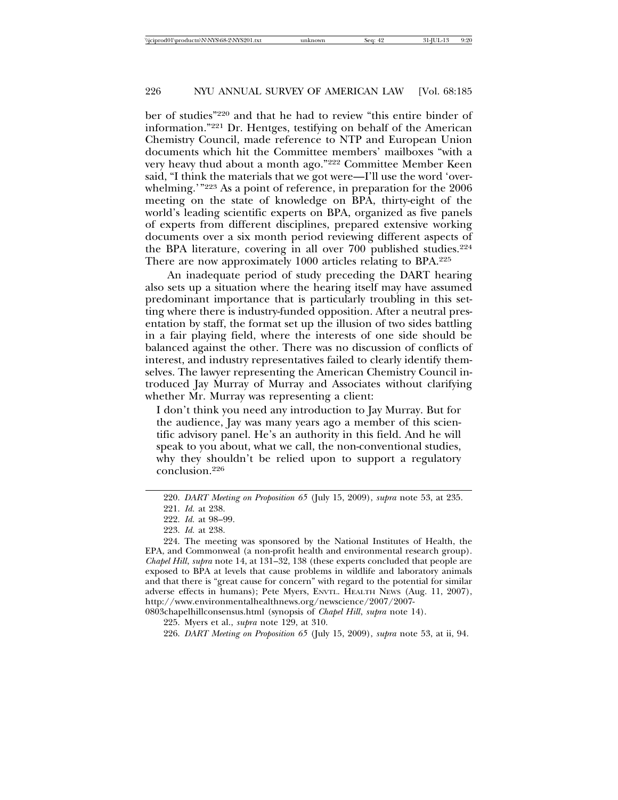ber of studies"220 and that he had to review "this entire binder of information."221 Dr. Hentges, testifying on behalf of the American Chemistry Council, made reference to NTP and European Union documents which hit the Committee members' mailboxes "with a very heavy thud about a month ago."222 Committee Member Keen said, "I think the materials that we got were—I'll use the word 'overwhelming.'"223 As a point of reference, in preparation for the 2006 meeting on the state of knowledge on BPA, thirty-eight of the world's leading scientific experts on BPA, organized as five panels of experts from different disciplines, prepared extensive working documents over a six month period reviewing different aspects of the BPA literature, covering in all over 700 published studies.<sup>224</sup> There are now approximately 1000 articles relating to BPA.225

An inadequate period of study preceding the DART hearing also sets up a situation where the hearing itself may have assumed predominant importance that is particularly troubling in this setting where there is industry-funded opposition. After a neutral presentation by staff, the format set up the illusion of two sides battling in a fair playing field, where the interests of one side should be balanced against the other. There was no discussion of conflicts of interest, and industry representatives failed to clearly identify themselves. The lawyer representing the American Chemistry Council introduced Jay Murray of Murray and Associates without clarifying whether Mr. Murray was representing a client:

I don't think you need any introduction to Jay Murray. But for the audience, Jay was many years ago a member of this scientific advisory panel. He's an authority in this field. And he will speak to you about, what we call, the non-conventional studies, why they shouldn't be relied upon to support a regulatory conclusion.226

<sup>220.</sup> *DART Meeting on Proposition 65* (July 15, 2009), *supra* note 53, at 235.

<sup>221.</sup> *Id.* at 238.

<sup>222.</sup> *Id.* at 98–99.

<sup>223.</sup> *Id.* at 238.

<sup>224.</sup> The meeting was sponsored by the National Institutes of Health, the EPA, and Commonweal (a non-profit health and environmental research group). *Chapel Hill*, *supra* note 14, at 131–32, 138 (these experts concluded that people are exposed to BPA at levels that cause problems in wildlife and laboratory animals and that there is "great cause for concern" with regard to the potential for similar adverse effects in humans); Pete Myers, ENVTL. HEALTH NEWS (Aug. 11, 2007), http://www.environmentalhealthnews.org/newscience/2007/2007-

<sup>0803</sup>chapelhillconsensus.html (synopsis of *Chapel Hill*, *supra* note 14).

<sup>225.</sup> Myers et al., *supra* note 129, at 310.

<sup>226.</sup> *DART Meeting on Proposition 65* (July 15, 2009), *supra* note 53, at ii, 94.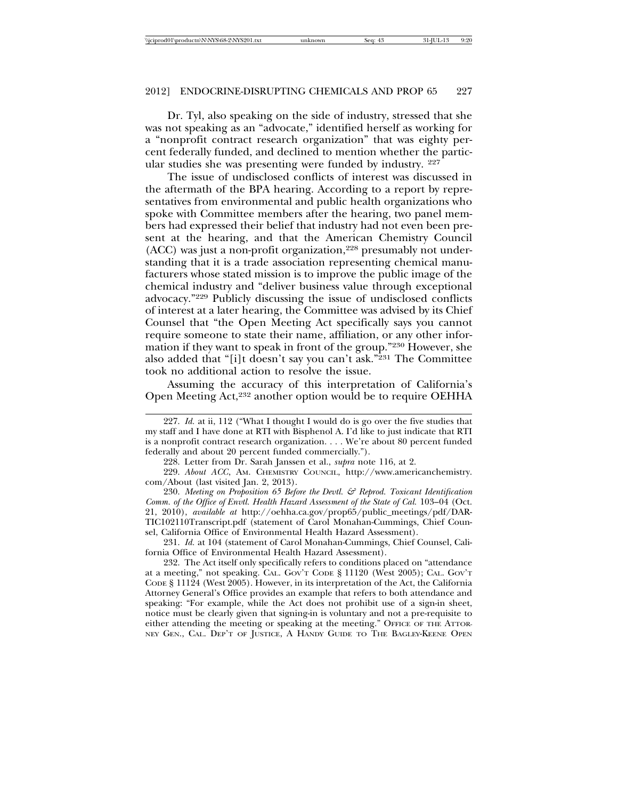Dr. Tyl, also speaking on the side of industry, stressed that she was not speaking as an "advocate," identified herself as working for a "nonprofit contract research organization" that was eighty percent federally funded, and declined to mention whether the particular studies she was presenting were funded by industry. 227

The issue of undisclosed conflicts of interest was discussed in the aftermath of the BPA hearing. According to a report by representatives from environmental and public health organizations who spoke with Committee members after the hearing, two panel members had expressed their belief that industry had not even been present at the hearing, and that the American Chemistry Council  $(ACC)$  was just a non-profit organization,<sup>228</sup> presumably not understanding that it is a trade association representing chemical manufacturers whose stated mission is to improve the public image of the chemical industry and "deliver business value through exceptional advocacy."229 Publicly discussing the issue of undisclosed conflicts of interest at a later hearing, the Committee was advised by its Chief Counsel that "the Open Meeting Act specifically says you cannot require someone to state their name, affiliation, or any other information if they want to speak in front of the group."230 However, she also added that "[i]t doesn't say you can't ask."231 The Committee took no additional action to resolve the issue.

Assuming the accuracy of this interpretation of California's Open Meeting Act,232 another option would be to require OEHHA

231. *Id.* at 104 (statement of Carol Monahan-Cummings, Chief Counsel, California Office of Environmental Health Hazard Assessment).

<sup>227.</sup> *Id.* at ii, 112 ("What I thought I would do is go over the five studies that my staff and I have done at RTI with Bisphenol A. I'd like to just indicate that RTI is a nonprofit contract research organization. . . . We're about 80 percent funded federally and about 20 percent funded commercially.").

<sup>228.</sup> Letter from Dr. Sarah Janssen et al., *supra* note 116, at 2.

<sup>229.</sup> *About ACC*, AM. CHEMISTRY COUNCIL, http://www.americanchemistry. com/About (last visited Jan. 2, 2013).

<sup>230.</sup> *Meeting on Proposition 65 Before the Devtl. & Reprod. Toxicant Identification Comm. of the Office of Envtl. Health Hazard Assessment of the State of Cal.* 103–04 (Oct. 21, 2010), *available at* http://oehha.ca.gov/prop65/public\_meetings/pdf/DAR-TIC102110Transcript.pdf (statement of Carol Monahan-Cummings, Chief Counsel, California Office of Environmental Health Hazard Assessment).

<sup>232.</sup> The Act itself only specifically refers to conditions placed on "attendance at a meeting," not speaking. CAL. GOV'T CODE § 11120 (West 2005); CAL. GOV'T CODE § 11124 (West 2005). However, in its interpretation of the Act, the California Attorney General's Office provides an example that refers to both attendance and speaking: "For example, while the Act does not prohibit use of a sign-in sheet, notice must be clearly given that signing-in is voluntary and not a pre-requisite to either attending the meeting or speaking at the meeting." OFFICE OF THE ATTOR-NEY GEN., CAL. DEP'T OF JUSTICE, A HANDY GUIDE TO THE BAGLEY-KEENE OPEN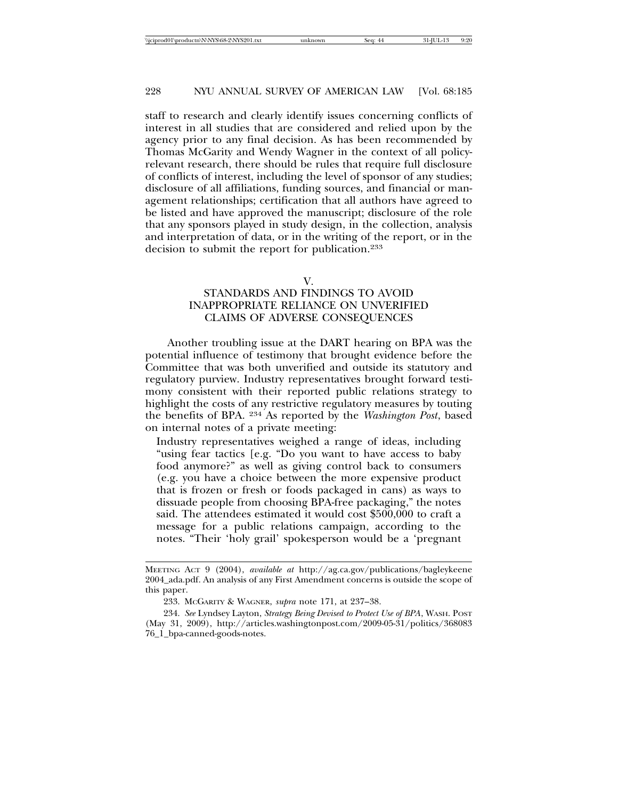staff to research and clearly identify issues concerning conflicts of interest in all studies that are considered and relied upon by the agency prior to any final decision. As has been recommended by Thomas McGarity and Wendy Wagner in the context of all policyrelevant research, there should be rules that require full disclosure of conflicts of interest, including the level of sponsor of any studies; disclosure of all affiliations, funding sources, and financial or management relationships; certification that all authors have agreed to be listed and have approved the manuscript; disclosure of the role that any sponsors played in study design, in the collection, analysis and interpretation of data, or in the writing of the report, or in the decision to submit the report for publication.233

#### V.

## STANDARDS AND FINDINGS TO AVOID INAPPROPRIATE RELIANCE ON UNVERIFIED CLAIMS OF ADVERSE CONSEQUENCES

Another troubling issue at the DART hearing on BPA was the potential influence of testimony that brought evidence before the Committee that was both unverified and outside its statutory and regulatory purview. Industry representatives brought forward testimony consistent with their reported public relations strategy to highlight the costs of any restrictive regulatory measures by touting the benefits of BPA. 234 As reported by the *Washington Post*, based on internal notes of a private meeting:

Industry representatives weighed a range of ideas, including "using fear tactics [e.g. "Do you want to have access to baby food anymore?" as well as giving control back to consumers (e.g. you have a choice between the more expensive product that is frozen or fresh or foods packaged in cans) as ways to dissuade people from choosing BPA-free packaging," the notes said. The attendees estimated it would cost \$500,000 to craft a message for a public relations campaign, according to the notes. "Their 'holy grail' spokesperson would be a 'pregnant

MEETING ACT 9 (2004), *available at* http://ag.ca.gov/publications/bagleykeene 2004\_ada.pdf. An analysis of any First Amendment concerns is outside the scope of this paper.

<sup>233.</sup> MCGARITY & WAGNER, *supra* note 171, at 237–38.

<sup>234.</sup> *See* Lyndsey Layton, *Strategy Being Devised to Protect Use of BPA*, WASH. POST (May 31, 2009), http://articles.washingtonpost.com/2009-05-31/politics/368083 76\_1\_bpa-canned-goods-notes.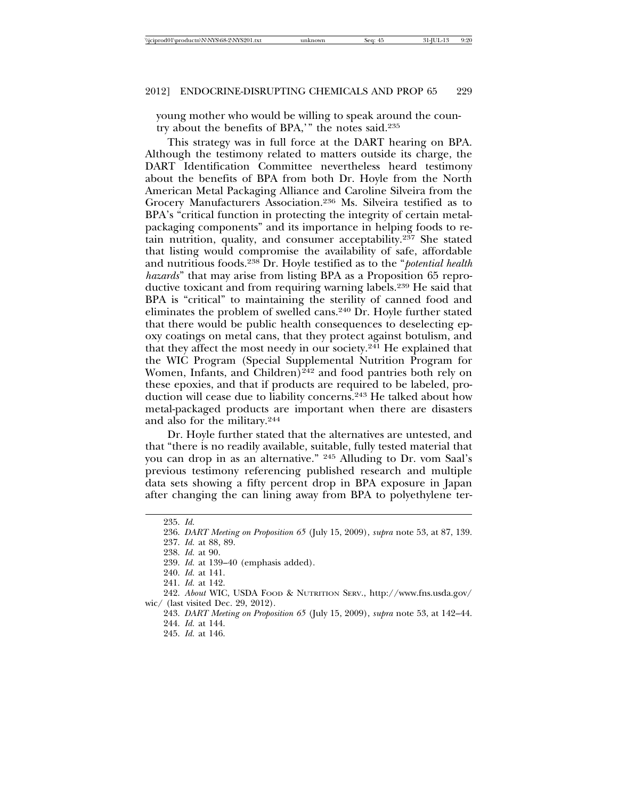young mother who would be willing to speak around the country about the benefits of BPA,'" the notes said.235

This strategy was in full force at the DART hearing on BPA. Although the testimony related to matters outside its charge, the DART Identification Committee nevertheless heard testimony about the benefits of BPA from both Dr. Hoyle from the North American Metal Packaging Alliance and Caroline Silveira from the Grocery Manufacturers Association.236 Ms. Silveira testified as to BPA's "critical function in protecting the integrity of certain metalpackaging components" and its importance in helping foods to retain nutrition, quality, and consumer acceptability.237 She stated that listing would compromise the availability of safe, affordable and nutritious foods.238 Dr. Hoyle testified as to the "*potential health hazards*" that may arise from listing BPA as a Proposition 65 reproductive toxicant and from requiring warning labels.239 He said that BPA is "critical" to maintaining the sterility of canned food and eliminates the problem of swelled cans.240 Dr. Hoyle further stated that there would be public health consequences to deselecting epoxy coatings on metal cans, that they protect against botulism, and that they affect the most needy in our society.<sup>241</sup> He explained that the WIC Program (Special Supplemental Nutrition Program for Women, Infants, and Children) $^{242}$  and food pantries both rely on these epoxies, and that if products are required to be labeled, production will cease due to liability concerns.243 He talked about how metal-packaged products are important when there are disasters and also for the military.244

Dr. Hoyle further stated that the alternatives are untested, and that "there is no readily available, suitable, fully tested material that you can drop in as an alternative." 245 Alluding to Dr. vom Saal's previous testimony referencing published research and multiple data sets showing a fifty percent drop in BPA exposure in Japan after changing the can lining away from BPA to polyethylene ter-

237. *Id.* at 88, 89.

- 239. *Id.* at 139–40 (emphasis added).
- 240. *Id.* at 141.

<sup>235.</sup> *Id.*

<sup>236.</sup> *DART Meeting on Proposition 65* (July 15, 2009), *supra* note 53, at 87, 139.

<sup>238.</sup> *Id.* at 90.

<sup>241.</sup> *Id.* at 142.

<sup>242.</sup> *About* WIC, USDA FOOD & NUTRITION SERV., http://www.fns.usda.gov/ wic/ (last visited Dec. 29, 2012).

<sup>243.</sup> *DART Meeting on Proposition 65* (July 15, 2009), *supra* note 53, at 142–44. 244. *Id.* at 144.

<sup>245.</sup> *Id.* at 146.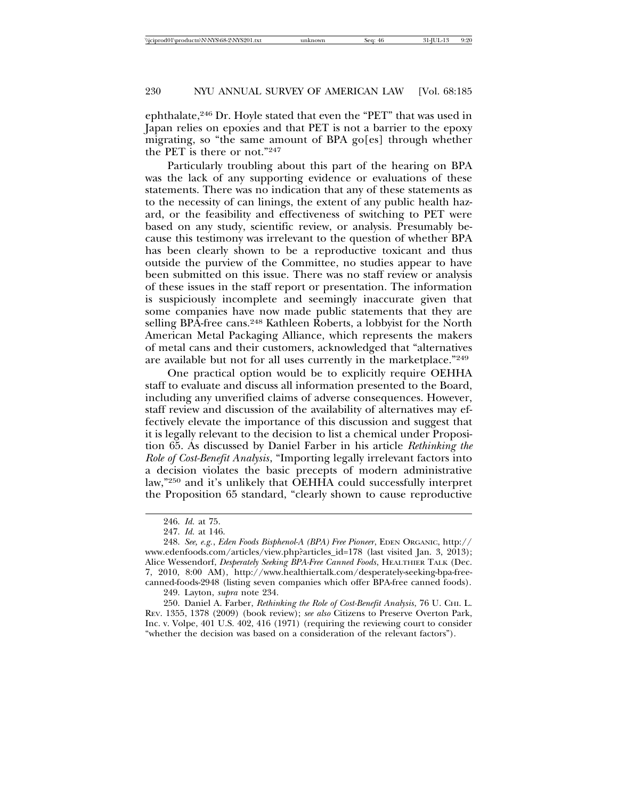ephthalate,<sup>246</sup> Dr. Hoyle stated that even the "PET" that was used in Japan relies on epoxies and that PET is not a barrier to the epoxy migrating, so "the same amount of BPA go[es] through whether the PET is there or not."247

Particularly troubling about this part of the hearing on BPA was the lack of any supporting evidence or evaluations of these statements. There was no indication that any of these statements as to the necessity of can linings, the extent of any public health hazard, or the feasibility and effectiveness of switching to PET were based on any study, scientific review, or analysis. Presumably because this testimony was irrelevant to the question of whether BPA has been clearly shown to be a reproductive toxicant and thus outside the purview of the Committee, no studies appear to have been submitted on this issue. There was no staff review or analysis of these issues in the staff report or presentation. The information is suspiciously incomplete and seemingly inaccurate given that some companies have now made public statements that they are selling BPA-free cans.<sup>248</sup> Kathleen Roberts, a lobbyist for the North American Metal Packaging Alliance, which represents the makers of metal cans and their customers, acknowledged that "alternatives are available but not for all uses currently in the marketplace."249

One practical option would be to explicitly require OEHHA staff to evaluate and discuss all information presented to the Board, including any unverified claims of adverse consequences. However, staff review and discussion of the availability of alternatives may effectively elevate the importance of this discussion and suggest that it is legally relevant to the decision to list a chemical under Proposition 65. As discussed by Daniel Farber in his article *Rethinking the Role of Cost-Benefit Analysis*, "Importing legally irrelevant factors into a decision violates the basic precepts of modern administrative law,"250 and it's unlikely that OEHHA could successfully interpret the Proposition 65 standard, "clearly shown to cause reproductive

249. Layton, *supra* note 234.

250. Daniel A. Farber, *Rethinking the Role of Cost-Benefit Analysis*, 76 U. CHI. L. REV. 1355, 1378 (2009) (book review); *see also* Citizens to Preserve Overton Park, Inc. v. Volpe, 401 U.S. 402, 416 (1971) (requiring the reviewing court to consider "whether the decision was based on a consideration of the relevant factors").

<sup>246.</sup> *Id.* at 75.

<sup>247.</sup> *Id.* at 146.

<sup>248.</sup> *See, e.g.*, *Eden Foods Bisphenol-A (BPA) Free Pioneer*, EDEN ORGANIC, http:// www.edenfoods.com/articles/view.php?articles\_id=178 (last visited Jan. 3, 2013); Alice Wessendorf, *Desperately Seeking BPA-Free Canned Foods*, HEALTHIER TALK (Dec. 7, 2010, 8:00 AM), http://www.healthiertalk.com/desperately-seeking-bpa-freecanned-foods-2948 (listing seven companies which offer BPA-free canned foods).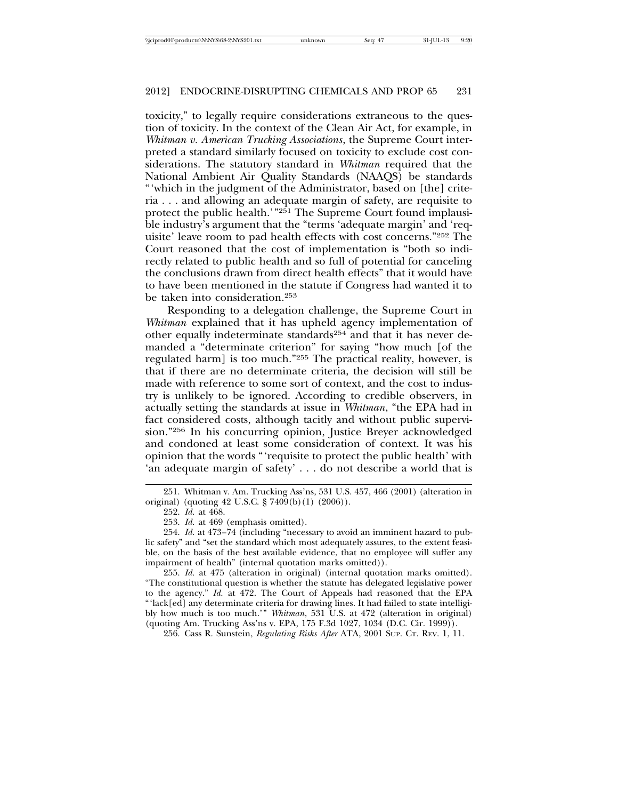toxicity," to legally require considerations extraneous to the question of toxicity. In the context of the Clean Air Act, for example, in *Whitman v. American Trucking Associations*, the Supreme Court interpreted a standard similarly focused on toxicity to exclude cost considerations. The statutory standard in *Whitman* required that the National Ambient Air Quality Standards (NAAQS) be standards "'which in the judgment of the Administrator, based on [the] criteria . . . and allowing an adequate margin of safety, are requisite to protect the public health.'"<sup>251</sup> The Supreme Court found implausible industry's argument that the "terms 'adequate margin' and 'requisite' leave room to pad health effects with cost concerns."252 The Court reasoned that the cost of implementation is "both so indirectly related to public health and so full of potential for canceling the conclusions drawn from direct health effects" that it would have to have been mentioned in the statute if Congress had wanted it to be taken into consideration.253

Responding to a delegation challenge, the Supreme Court in *Whitman* explained that it has upheld agency implementation of other equally indeterminate standards254 and that it has never demanded a "determinate criterion" for saying "how much [of the regulated harm] is too much."255 The practical reality, however, is that if there are no determinate criteria, the decision will still be made with reference to some sort of context, and the cost to industry is unlikely to be ignored. According to credible observers, in actually setting the standards at issue in *Whitman*, "the EPA had in fact considered costs, although tacitly and without public supervision."256 In his concurring opinion, Justice Breyer acknowledged and condoned at least some consideration of context. It was his opinion that the words "'requisite to protect the public health' with 'an adequate margin of safety' . . . do not describe a world that is

255. *Id.* at 475 (alteration in original) (internal quotation marks omitted). "The constitutional question is whether the statute has delegated legislative power to the agency." *Id.* at 472. The Court of Appeals had reasoned that the EPA "'lack[ed] any determinate criteria for drawing lines. It had failed to state intelligibly how much is too much.'" *Whitman*, 531 U.S. at 472 (alteration in original) (quoting Am. Trucking Ass'ns v. EPA, 175 F.3d 1027, 1034 (D.C. Cir. 1999)).

256. Cass R. Sunstein, *Regulating Risks After* ATA, 2001 SUP. CT. REV. 1, 11.

<sup>251.</sup> Whitman v. Am. Trucking Ass'ns, 531 U.S. 457, 466 (2001) (alteration in original) (quoting 42 U.S.C. § 7409(b)(1) (2006)).

<sup>252.</sup> *Id.* at 468.

<sup>253.</sup> *Id.* at 469 (emphasis omitted).

<sup>254.</sup> *Id.* at 473–74 (including "necessary to avoid an imminent hazard to public safety" and "set the standard which most adequately assures, to the extent feasible, on the basis of the best available evidence, that no employee will suffer any impairment of health" (internal quotation marks omitted)).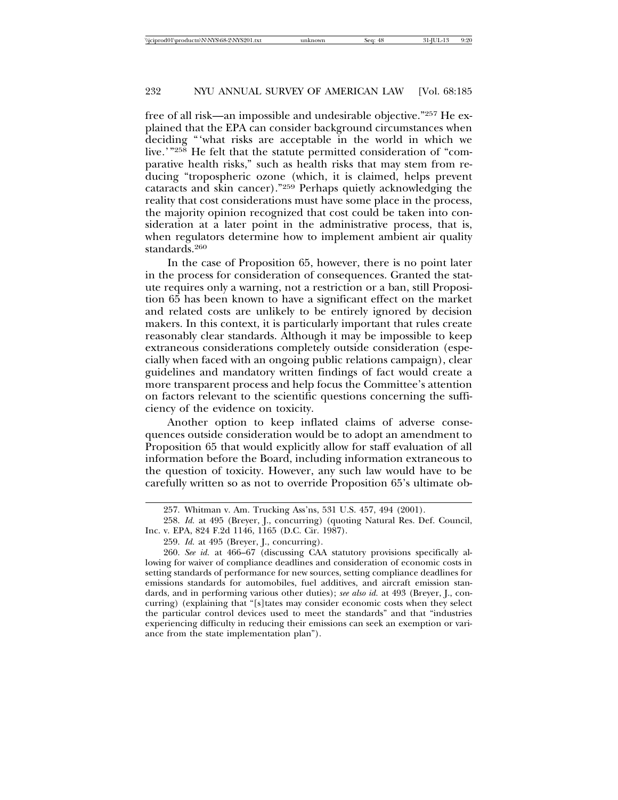free of all risk—an impossible and undesirable objective."257 He explained that the EPA can consider background circumstances when deciding "'what risks are acceptable in the world in which we live*.*'"258 He felt that the statute permitted consideration of "comparative health risks," such as health risks that may stem from reducing "tropospheric ozone (which, it is claimed, helps prevent cataracts and skin cancer)."259 Perhaps quietly acknowledging the reality that cost considerations must have some place in the process, the majority opinion recognized that cost could be taken into consideration at a later point in the administrative process, that is, when regulators determine how to implement ambient air quality standards.<sup>260</sup>

In the case of Proposition 65, however, there is no point later in the process for consideration of consequences. Granted the statute requires only a warning, not a restriction or a ban, still Proposition 65 has been known to have a significant effect on the market and related costs are unlikely to be entirely ignored by decision makers. In this context, it is particularly important that rules create reasonably clear standards. Although it may be impossible to keep extraneous considerations completely outside consideration (especially when faced with an ongoing public relations campaign), clear guidelines and mandatory written findings of fact would create a more transparent process and help focus the Committee's attention on factors relevant to the scientific questions concerning the sufficiency of the evidence on toxicity.

Another option to keep inflated claims of adverse consequences outside consideration would be to adopt an amendment to Proposition 65 that would explicitly allow for staff evaluation of all information before the Board, including information extraneous to the question of toxicity. However, any such law would have to be carefully written so as not to override Proposition 65's ultimate ob-

<sup>257.</sup> Whitman v. Am. Trucking Ass'ns, 531 U.S. 457, 494 (2001).

<sup>258.</sup> *Id.* at 495 (Breyer, J., concurring) (quoting Natural Res. Def. Council, Inc. v. EPA, 824 F.2d 1146, 1165 (D.C. Cir. 1987).

<sup>259.</sup> *Id.* at 495 (Breyer, J., concurring).

<sup>260.</sup> *See id.* at 466–67 (discussing CAA statutory provisions specifically allowing for waiver of compliance deadlines and consideration of economic costs in setting standards of performance for new sources, setting compliance deadlines for emissions standards for automobiles, fuel additives, and aircraft emission standards, and in performing various other duties); *see also id.* at 493 (Breyer, J., concurring) (explaining that "[s]tates may consider economic costs when they select the particular control devices used to meet the standards" and that "industries experiencing difficulty in reducing their emissions can seek an exemption or variance from the state implementation plan").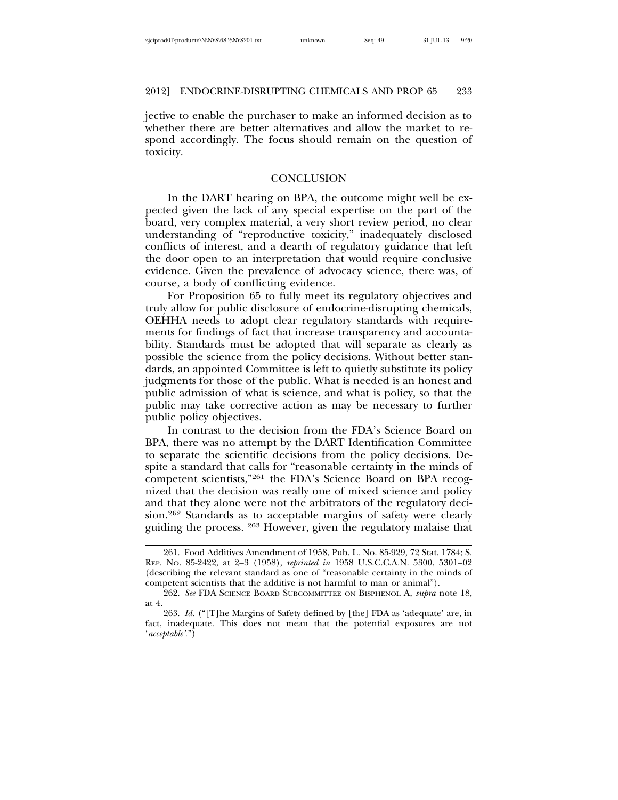jective to enable the purchaser to make an informed decision as to whether there are better alternatives and allow the market to respond accordingly. The focus should remain on the question of toxicity.

### **CONCLUSION**

In the DART hearing on BPA, the outcome might well be expected given the lack of any special expertise on the part of the board, very complex material, a very short review period, no clear understanding of "reproductive toxicity," inadequately disclosed conflicts of interest, and a dearth of regulatory guidance that left the door open to an interpretation that would require conclusive evidence. Given the prevalence of advocacy science, there was, of course, a body of conflicting evidence.

For Proposition 65 to fully meet its regulatory objectives and truly allow for public disclosure of endocrine-disrupting chemicals, OEHHA needs to adopt clear regulatory standards with requirements for findings of fact that increase transparency and accountability. Standards must be adopted that will separate as clearly as possible the science from the policy decisions. Without better standards, an appointed Committee is left to quietly substitute its policy judgments for those of the public. What is needed is an honest and public admission of what is science, and what is policy, so that the public may take corrective action as may be necessary to further public policy objectives.

In contrast to the decision from the FDA's Science Board on BPA, there was no attempt by the DART Identification Committee to separate the scientific decisions from the policy decisions. Despite a standard that calls for "reasonable certainty in the minds of competent scientists,"261 the FDA's Science Board on BPA recognized that the decision was really one of mixed science and policy and that they alone were not the arbitrators of the regulatory decision.262 Standards as to acceptable margins of safety were clearly guiding the process. 263 However, given the regulatory malaise that

<sup>261.</sup> Food Additives Amendment of 1958, Pub. L. No. 85-929, 72 Stat. 1784; S. REP. NO. 85-2422, at 2–3 (1958), *reprinted in* 1958 U.S.C.C.A.N. 5300, 5301–02 (describing the relevant standard as one of "reasonable certainty in the minds of competent scientists that the additive is not harmful to man or animal").

<sup>262.</sup> *See* FDA SCIENCE BOARD SUBCOMMITTEE ON BISPHENOL A, *supra* note 18, at 4.

<sup>263.</sup> *Id.* ("[T]he Margins of Safety defined by [the] FDA as 'adequate' are, in fact, inadequate. This does not mean that the potential exposures are not '*acceptable'.*")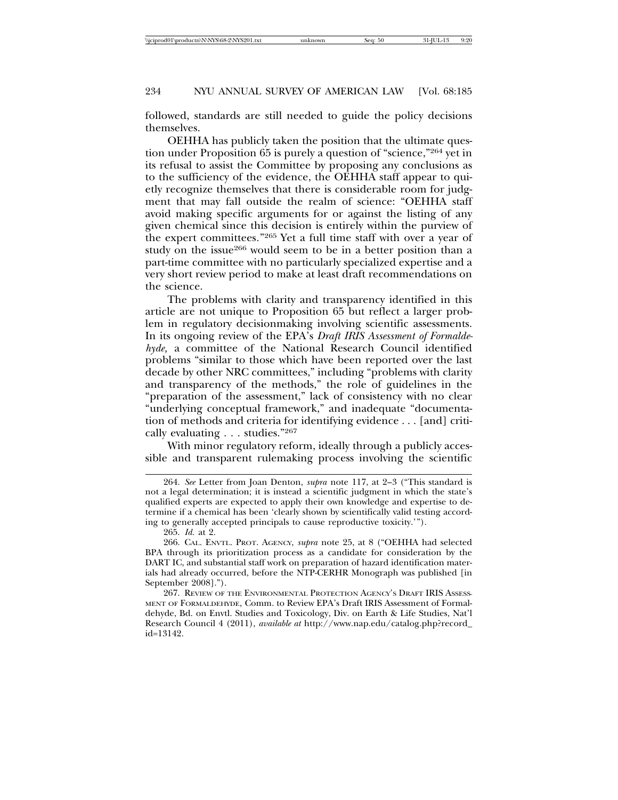followed, standards are still needed to guide the policy decisions themselves.

OEHHA has publicly taken the position that the ultimate question under Proposition 65 is purely a question of "science,"264 yet in its refusal to assist the Committee by proposing any conclusions as to the sufficiency of the evidence, the OEHHA staff appear to quietly recognize themselves that there is considerable room for judgment that may fall outside the realm of science: "OEHHA staff avoid making specific arguments for or against the listing of any given chemical since this decision is entirely within the purview of the expert committees*.*"265 Yet a full time staff with over a year of study on the issue<sup>266</sup> would seem to be in a better position than a part-time committee with no particularly specialized expertise and a very short review period to make at least draft recommendations on the science.

The problems with clarity and transparency identified in this article are not unique to Proposition 65 but reflect a larger problem in regulatory decisionmaking involving scientific assessments. In its ongoing review of the EPA's *Draft IRIS Assessment of Formaldehyde,* a committee of the National Research Council identified problems "similar to those which have been reported over the last decade by other NRC committees," including "problems with clarity and transparency of the methods," the role of guidelines in the "preparation of the assessment," lack of consistency with no clear "underlying conceptual framework," and inadequate "documentation of methods and criteria for identifying evidence . . . [and] critically evaluating . . . studies."267

With minor regulatory reform, ideally through a publicly accessible and transparent rulemaking process involving the scientific

<sup>264.</sup> *See* Letter from Joan Denton, *supra* note 117, at 2–3 ("This standard is not a legal determination; it is instead a scientific judgment in which the state's qualified experts are expected to apply their own knowledge and expertise to determine if a chemical has been 'clearly shown by scientifically valid testing according to generally accepted principals to cause reproductive toxicity.'").

<sup>265.</sup> *Id.* at 2.

<sup>266.</sup> CAL. ENVTL. PROT. AGENCY, *supra* note 25, at 8 ("OEHHA had selected BPA through its prioritization process as a candidate for consideration by the DART IC, and substantial staff work on preparation of hazard identification materials had already occurred, before the NTP-CERHR Monograph was published [in September 2008].").

<sup>267.</sup> REVIEW OF THE ENVIRONMENTAL PROTECTION AGENCY'S DRAFT IRIS ASSESS-MENT OF FORMALDEHYDE, Comm. to Review EPA's Draft IRIS Assessment of Formaldehyde, Bd. on Envtl. Studies and Toxicology, Div. on Earth & Life Studies, Nat'l Research Council 4 (2011), *available at* http://www.nap.edu/catalog.php?record\_ id=13142.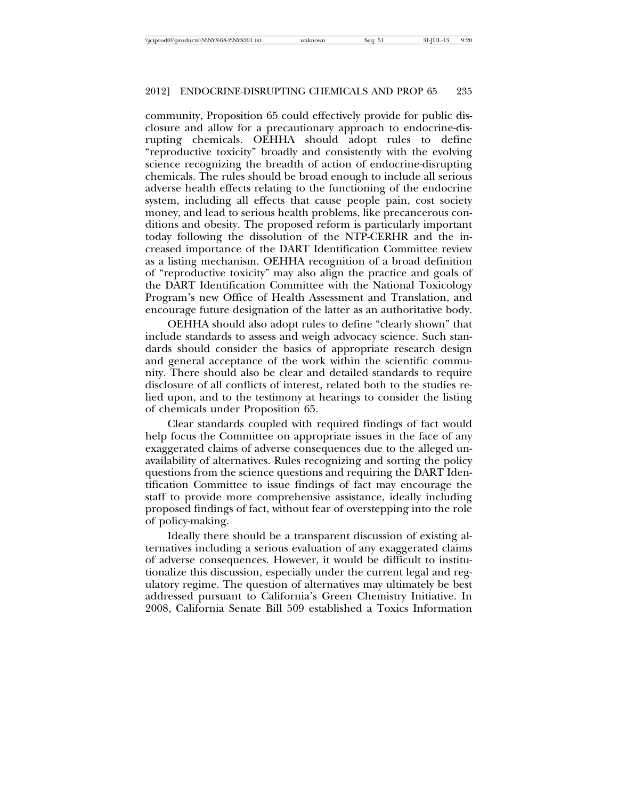community, Proposition 65 could effectively provide for public disclosure and allow for a precautionary approach to endocrine-disrupting chemicals. OEHHA should adopt rules to define "reproductive toxicity" broadly and consistently with the evolving science recognizing the breadth of action of endocrine-disrupting chemicals. The rules should be broad enough to include all serious adverse health effects relating to the functioning of the endocrine system, including all effects that cause people pain, cost society money, and lead to serious health problems, like precancerous conditions and obesity. The proposed reform is particularly important today following the dissolution of the NTP-CERHR and the increased importance of the DART Identification Committee review as a listing mechanism. OEHHA recognition of a broad definition of "reproductive toxicity" may also align the practice and goals of the DART Identification Committee with the National Toxicology Program's new Office of Health Assessment and Translation, and encourage future designation of the latter as an authoritative body.

OEHHA should also adopt rules to define "clearly shown" that include standards to assess and weigh advocacy science. Such standards should consider the basics of appropriate research design and general acceptance of the work within the scientific community. There should also be clear and detailed standards to require disclosure of all conflicts of interest, related both to the studies relied upon, and to the testimony at hearings to consider the listing of chemicals under Proposition 65.

Clear standards coupled with required findings of fact would help focus the Committee on appropriate issues in the face of any exaggerated claims of adverse consequences due to the alleged unavailability of alternatives. Rules recognizing and sorting the policy questions from the science questions and requiring the DART Identification Committee to issue findings of fact may encourage the staff to provide more comprehensive assistance, ideally including proposed findings of fact, without fear of overstepping into the role of policy-making.

Ideally there should be a transparent discussion of existing alternatives including a serious evaluation of any exaggerated claims of adverse consequences. However, it would be difficult to institutionalize this discussion, especially under the current legal and regulatory regime. The question of alternatives may ultimately be best addressed pursuant to California's Green Chemistry Initiative. In 2008, California Senate Bill 509 established a Toxics Information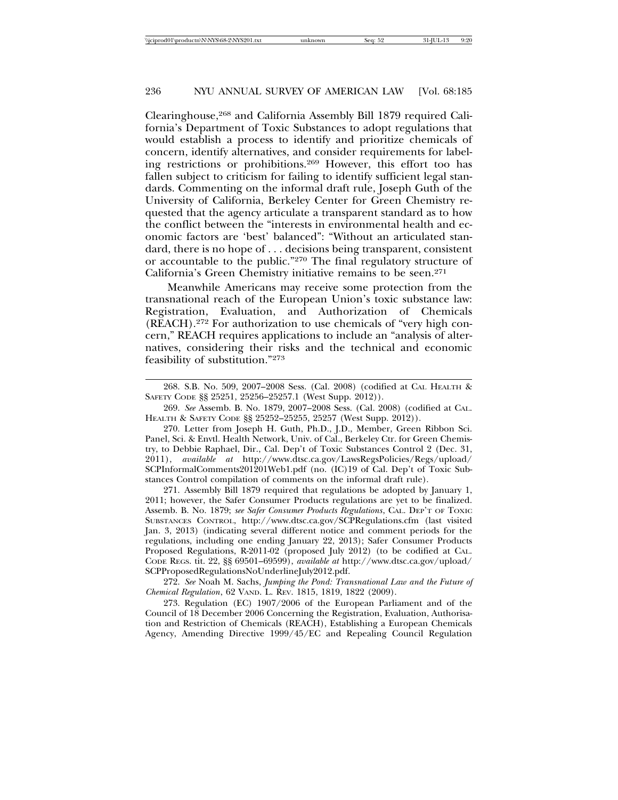Clearinghouse,268 and California Assembly Bill 1879 required California's Department of Toxic Substances to adopt regulations that would establish a process to identify and prioritize chemicals of concern, identify alternatives, and consider requirements for labeling restrictions or prohibitions.269 However, this effort too has fallen subject to criticism for failing to identify sufficient legal standards. Commenting on the informal draft rule, Joseph Guth of the University of California, Berkeley Center for Green Chemistry requested that the agency articulate a transparent standard as to how the conflict between the "interests in environmental health and economic factors are 'best' balanced": "Without an articulated standard, there is no hope of . . . decisions being transparent, consistent or accountable to the public."270 The final regulatory structure of California's Green Chemistry initiative remains to be seen.271

Meanwhile Americans may receive some protection from the transnational reach of the European Union's toxic substance law: Registration, Evaluation, and Authorization of Chemicals (REACH).272 For authorization to use chemicals of "very high concern," REACH requires applications to include an "analysis of alternatives, considering their risks and the technical and economic feasibility of substitution."273

271. Assembly Bill 1879 required that regulations be adopted by January 1, 2011; however, the Safer Consumer Products regulations are yet to be finalized. Assemb. B. No. 1879; *see Safer Consumer Products Regulations*, CAL. DEP'T OF TOXIC SUBSTANCES CONTROL, http://www.dtsc.ca.gov/SCPRegulations.cfm (last visited Jan. 3, 2013) (indicating several different notice and comment periods for the regulations, including one ending January 22, 2013); Safer Consumer Products Proposed Regulations, R-2011-02 (proposed July 2012) (to be codified at CAL. CODE REGS. tit. 22, §§ 69501–69599), *available at* http://www.dtsc.ca.gov/upload/ SCPProposedRegulationsNoUnderlineJuly2012.pdf.

272. *See* Noah M. Sachs, *Jumping the Pond: Transnational Law and the Future of Chemical Regulation*, 62 VAND. L. REV. 1815, 1819, 1822 (2009).

273. Regulation (EC) 1907/2006 of the European Parliament and of the Council of 18 December 2006 Concerning the Registration, Evaluation, Authorisation and Restriction of Chemicals (REACH), Establishing a European Chemicals Agency, Amending Directive 1999/45/EC and Repealing Council Regulation

<sup>268.</sup> S.B. No. 509, 2007–2008 Sess. (Cal. 2008) (codified at CAL HEALTH & SAFETY CODE §§ 25251, 25256–25257.1 (West Supp. 2012)).

<sup>269.</sup> *See* Assemb. B. No. 1879, 2007–2008 Sess. (Cal. 2008) (codified at CAL. HEALTH & SAFETY CODE §§ 25252–25255, 25257 (West Supp. 2012)).

<sup>270.</sup> Letter from Joseph H. Guth, Ph.D., J.D., Member, Green Ribbon Sci. Panel, Sci. & Envtl. Health Network, Univ. of Cal., Berkeley Ctr. for Green Chemistry, to Debbie Raphael, Dir., Cal. Dep't of Toxic Substances Control 2 (Dec. 31, 2011), *available at* http://www.dtsc.ca.gov/LawsRegsPolicies/Regs/upload/ SCPInformalComments201201Web1.pdf (no. (IC)19 of Cal. Dep't of Toxic Substances Control compilation of comments on the informal draft rule).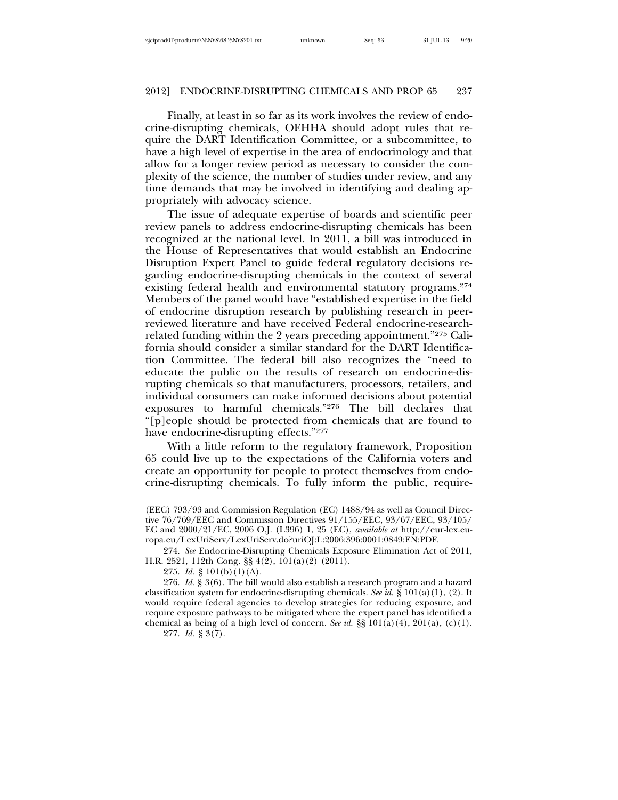Finally, at least in so far as its work involves the review of endocrine-disrupting chemicals, OEHHA should adopt rules that require the DART Identification Committee, or a subcommittee, to have a high level of expertise in the area of endocrinology and that allow for a longer review period as necessary to consider the complexity of the science, the number of studies under review, and any time demands that may be involved in identifying and dealing appropriately with advocacy science.

The issue of adequate expertise of boards and scientific peer review panels to address endocrine-disrupting chemicals has been recognized at the national level. In 2011, a bill was introduced in the House of Representatives that would establish an Endocrine Disruption Expert Panel to guide federal regulatory decisions regarding endocrine-disrupting chemicals in the context of several existing federal health and environmental statutory programs.<sup>274</sup> Members of the panel would have "established expertise in the field of endocrine disruption research by publishing research in peerreviewed literature and have received Federal endocrine-researchrelated funding within the 2 years preceding appointment."275 California should consider a similar standard for the DART Identification Committee. The federal bill also recognizes the "need to educate the public on the results of research on endocrine-disrupting chemicals so that manufacturers, processors, retailers, and individual consumers can make informed decisions about potential exposures to harmful chemicals."276 The bill declares that "[p]eople should be protected from chemicals that are found to have endocrine-disrupting effects."277

With a little reform to the regulatory framework, Proposition 65 could live up to the expectations of the California voters and create an opportunity for people to protect themselves from endocrine-disrupting chemicals. To fully inform the public, require-

<sup>(</sup>EEC) 793/93 and Commission Regulation (EC) 1488/94 as well as Council Directive 76/769/EEC and Commission Directives 91/155/EEC, 93/67/EEC, 93/105/ EC and 2000/21/EC, 2006 O.J. (L396) 1, 25 (EC), *available at* http://eur-lex.europa.eu/LexUriServ/LexUriServ.do?uriOJ:L:2006:396:0001:0849:EN:PDF.

<sup>274.</sup> *See* Endocrine-Disrupting Chemicals Exposure Elimination Act of 2011, H.R. 2521, 112th Cong. §§ 4(2), 101(a)(2) (2011).

<sup>275.</sup> *Id.* § 101(b)(1)(A).

<sup>276.</sup> *Id.* § 3(6). The bill would also establish a research program and a hazard classification system for endocrine-disrupting chemicals. *See id.* § 101(a)(1), (2). It would require federal agencies to develop strategies for reducing exposure, and require exposure pathways to be mitigated where the expert panel has identified a chemical as being of a high level of concern. *See id.*  $\S$ § 101(a)(4), 201(a), (c)(1).

<sup>277.</sup> *Id.* § 3(7).